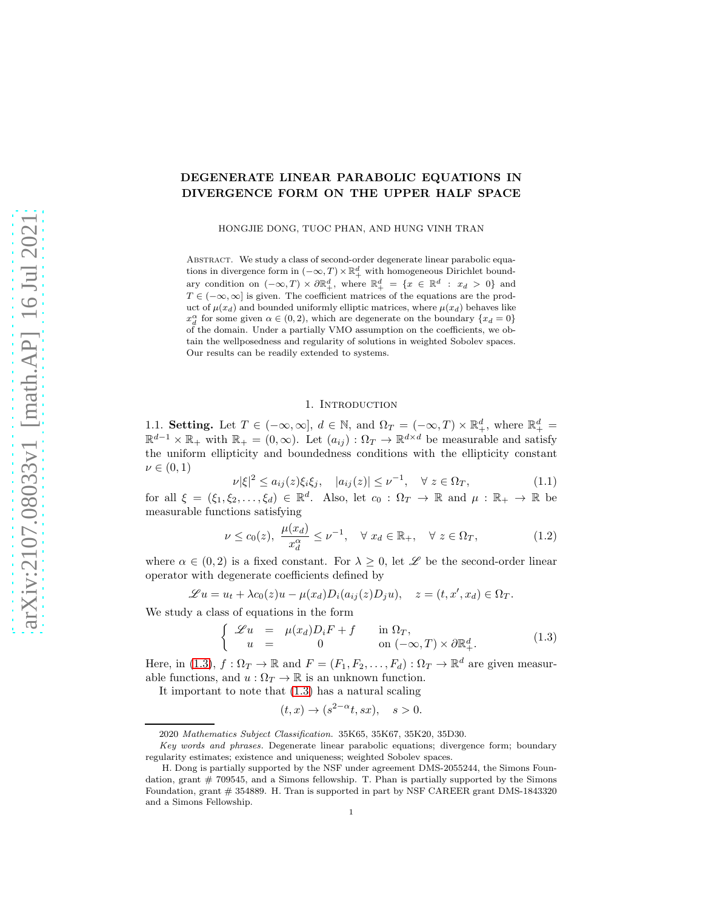# DEGENERATE LINEAR PARABOLIC EQUATIONS IN DIVERGENCE FORM ON THE UPPER HALF SPACE

HONGJIE DONG, TUOC PHAN, AND HUNG VINH TRAN

ABSTRACT. We study a class of second-order degenerate linear parabolic equations in divergence form in  $(-\infty,T) \times \mathbb{R}^d_+$  with homogeneous Dirichlet boundary condition on  $(-\infty,T) \times \partial \mathbb{R}^d_+$ , where  $\mathbb{R}^d_+ = \{x \in \mathbb{R}^d : x_d > 0\}$  and  $T \in (-\infty, \infty]$  is given. The coefficient matrices of the equations are the product of  $\mu(x_d)$  and bounded uniformly elliptic matrices, where  $\mu(x_d)$  behaves like  $x_d^{\alpha}$  for some given  $\alpha \in (0, 2)$ , which are degenerate on the boundary  $\{x_d = 0\}$ of the domain. Under a partially VMO assumption on the coefficients, we obtain the wellposedness and regularity of solutions in weighted Sobolev spaces. Our results can be readily extended to systems.

# 1. INTRODUCTION

1.1. Setting. Let  $T \in (-\infty, \infty]$ ,  $d \in \mathbb{N}$ , and  $\Omega_T = (-\infty, T) \times \mathbb{R}^d_+$ , where  $\mathbb{R}^d_+$  $\mathbb{R}^{d-1} \times \mathbb{R}_+$  with  $\mathbb{R}_+ = (0, \infty)$ . Let  $(a_{ij}) : \Omega_T \to \mathbb{R}^{d \times d}$  be measurable and satisfy the uniform ellipticity and boundedness conditions with the ellipticity constant  $\nu \in (0,1)$ 

<span id="page-0-1"></span>
$$
\nu |\xi|^2 \le a_{ij}(z)\xi_i\xi_j, \quad |a_{ij}(z)| \le \nu^{-1}, \quad \forall \ z \in \Omega_T,\tag{1.1}
$$

for all  $\xi = (\xi_1, \xi_2, \dots, \xi_d) \in \mathbb{R}^d$ . Also, let  $c_0 : \Omega_T \to \mathbb{R}$  and  $\mu : \mathbb{R}_+ \to \mathbb{R}$  be measurable functions satisfying

<span id="page-0-2"></span>
$$
\nu \le c_0(z), \ \frac{\mu(x_d)}{x_d^{\alpha}} \le \nu^{-1}, \quad \forall \ x_d \in \mathbb{R}_+, \quad \forall \ z \in \Omega_T,
$$
 (1.2)

where  $\alpha \in (0, 2)$  is a fixed constant. For  $\lambda \geq 0$ , let  $\mathscr L$  be the second-order linear operator with degenerate coefficients defined by

$$
\mathscr{L}u = u_t + \lambda c_0(z)u - \mu(x_d)D_i(a_{ij}(z)D_ju), \quad z = (t, x', x_d) \in \Omega_T.
$$

We study a class of equations in the form

<span id="page-0-0"></span>
$$
\begin{cases}\n\mathcal{L}u = \mu(x_d)D_i F + f & \text{in } \Omega_T, \\
u = 0 & \text{on } (-\infty, T) \times \partial \mathbb{R}^d_+.\n\end{cases}
$$
\n(1.3)

Here, in [\(1.3\)](#page-0-0),  $f: \Omega_T \to \mathbb{R}$  and  $F = (F_1, F_2, \ldots, F_d) : \Omega_T \to \mathbb{R}^d$  are given measurable functions, and  $u : \Omega_T \to \mathbb{R}$  is an unknown function.

It important to note that [\(1.3\)](#page-0-0) has a natural scaling

$$
(t,x) \to (s^{2-\alpha}t,sx), \quad s > 0.
$$

<sup>2020</sup> Mathematics Subject Classification. 35K65, 35K67, 35K20, 35D30.

Key words and phrases. Degenerate linear parabolic equations; divergence form; boundary regularity estimates; existence and uniqueness; weighted Sobolev spaces.

H. Dong is partially supported by the NSF under agreement DMS-2055244, the Simons Foundation, grant  $# 709545$ , and a Simons fellowship. T. Phan is partially supported by the Simons Foundation, grant # 354889. H. Tran is supported in part by NSF CAREER grant DMS-1843320 and a Simons Fellowship.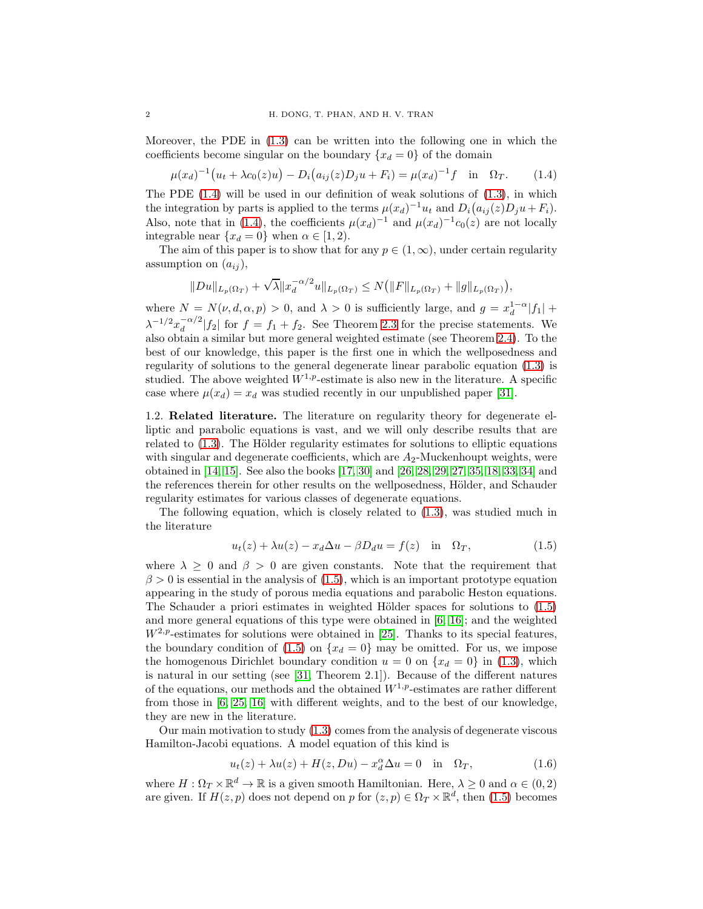Moreover, the PDE in [\(1.3\)](#page-0-0) can be written into the following one in which the coefficients become singular on the boundary  $\{x_d = 0\}$  of the domain

<span id="page-1-0"></span>
$$
\mu(x_d)^{-1} \big( u_t + \lambda c_0(z) u \big) - D_i \big( a_{ij}(z) D_j u + F_i \big) = \mu(x_d)^{-1} f \quad \text{in} \quad \Omega_T. \tag{1.4}
$$

The PDE  $(1.4)$  will be used in our definition of weak solutions of  $(1.3)$ , in which the integration by parts is applied to the terms  $\mu(x_d)^{-1}u_t$  and  $D_i(a_{ij}(z)D_ju+F_i)$ . Also, note that in [\(1.4\)](#page-1-0), the coefficients  $\mu(x_d)^{-1}$  and  $\mu(x_d)^{-1}c_0(z)$  are not locally integrable near  $\{x_d = 0\}$  when  $\alpha \in [1, 2)$ .

The aim of this paper is to show that for any  $p \in (1,\infty)$ , under certain regularity assumption on  $(a_{ij}),$ 

$$
||Du||_{L_p(\Omega_T)} + \sqrt{\lambda} ||x_d^{-\alpha/2}u||_{L_p(\Omega_T)} \le N(|F||_{L_p(\Omega_T)} + ||g||_{L_p(\Omega_T)}),
$$

where  $N = N(\nu, d, \alpha, p) > 0$ , and  $\lambda > 0$  is sufficiently large, and  $g = x_d^{1-\alpha} |f_1| +$  $\lambda^{-1/2} x_d^{-\alpha/2}$  $\int_{d}^{d} |f_2|$  for  $f = f_1 + f_2$ . See Theorem [2.3](#page-5-0) for the precise statements. We also obtain a similar but more general weighted estimate (see Theorem [2.4\)](#page-5-1). To the best of our knowledge, this paper is the first one in which the wellposedness and regularity of solutions to the general degenerate linear parabolic equation [\(1.3\)](#page-0-0) is studied. The above weighted  $W^{1,p}$ -estimate is also new in the literature. A specific case where  $\mu(x_d) = x_d$  was studied recently in our unpublished paper [\[31\]](#page-29-0).

1.2. Related literature. The literature on regularity theory for degenerate elliptic and parabolic equations is vast, and we will only describe results that are related to  $(1.3)$ . The Hölder regularity estimates for solutions to elliptic equations with singular and degenerate coefficients, which are  $A_2$ -Muckenhoupt weights, were obtained in [\[14,](#page-28-0) [15\]](#page-28-1). See also the books [\[17,](#page-28-2) [30\]](#page-29-1) and [\[26,](#page-29-2) [28,](#page-29-3) [29,](#page-29-4) [27,](#page-29-5) [35,](#page-29-6) [18,](#page-28-3) [33,](#page-29-7) [34\]](#page-29-8) and the references therein for other results on the wellposedness, Hölder, and Schauder regularity estimates for various classes of degenerate equations.

The following equation, which is closely related to [\(1.3\)](#page-0-0), was studied much in the literature

<span id="page-1-1"></span>
$$
u_t(z) + \lambda u(z) - x_d \Delta u - \beta D_d u = f(z) \quad \text{in} \quad \Omega_T,
$$
\n(1.5)

where  $\lambda \geq 0$  and  $\beta > 0$  are given constants. Note that the requirement that  $\beta > 0$  is essential in the analysis of [\(1.5\)](#page-1-1), which is an important prototype equation appearing in the study of porous media equations and parabolic Heston equations. The Schauder a priori estimates in weighted Hölder spaces for solutions to  $(1.5)$ and more general equations of this type were obtained in [\[6,](#page-28-4) [16\]](#page-28-5); and the weighted  $W^{2,p}$ -estimates for solutions were obtained in [\[25\]](#page-29-9). Thanks to its special features, the boundary condition of [\(1.5\)](#page-1-1) on  $\{x_d = 0\}$  may be omitted. For us, we impose the homogenous Dirichlet boundary condition  $u = 0$  on  $\{x_d = 0\}$  in [\(1.3\)](#page-0-0), which is natural in our setting (see [\[31,](#page-29-0) Theorem 2.1]). Because of the different natures of the equations, our methods and the obtained  $W^{1,p}$ -estimates are rather different from those in [\[6,](#page-28-4) [25,](#page-29-9) [16\]](#page-28-5) with different weights, and to the best of our knowledge, they are new in the literature.

Our main motivation to study [\(1.3\)](#page-0-0) comes from the analysis of degenerate viscous Hamilton-Jacobi equations. A model equation of this kind is

<span id="page-1-2"></span>
$$
u_t(z) + \lambda u(z) + H(z, Du) - x_d^{\alpha} \Delta u = 0 \quad \text{in} \quad \Omega_T,
$$
\n(1.6)

where  $H: \Omega_T \times \mathbb{R}^d \to \mathbb{R}$  is a given smooth Hamiltonian. Here,  $\lambda \geq 0$  and  $\alpha \in (0, 2)$ are given. If  $H(z, p)$  does not depend on p for  $(z, p) \in \Omega_T \times \mathbb{R}^d$ , then  $(1.5)$  becomes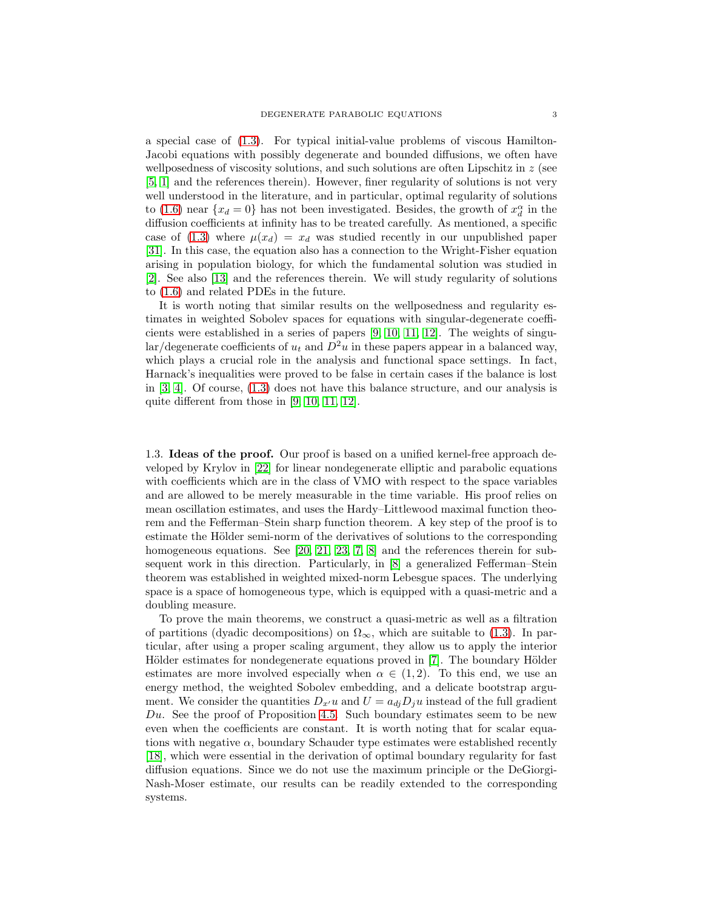a special case of [\(1.3\)](#page-0-0). For typical initial-value problems of viscous Hamilton-Jacobi equations with possibly degenerate and bounded diffusions, we often have wellposedness of viscosity solutions, and such solutions are often Lipschitz in  $z$  (see [\[5,](#page-28-6) [1\]](#page-28-7) and the references therein). However, finer regularity of solutions is not very well understood in the literature, and in particular, optimal regularity of solutions to [\(1.6\)](#page-1-2) near  ${x_d = 0}$  has not been investigated. Besides, the growth of  $x_d^{\alpha}$  in the diffusion coefficients at infinity has to be treated carefully. As mentioned, a specific case of [\(1.3\)](#page-0-0) where  $\mu(x_d) = x_d$  was studied recently in our unpublished paper [\[31\]](#page-29-0). In this case, the equation also has a connection to the Wright-Fisher equation arising in population biology, for which the fundamental solution was studied in [\[2\]](#page-28-8). See also [\[13\]](#page-28-9) and the references therein. We will study regularity of solutions to [\(1.6\)](#page-1-2) and related PDEs in the future.

It is worth noting that similar results on the wellposedness and regularity estimates in weighted Sobolev spaces for equations with singular-degenerate coefficients were established in a series of papers [\[9,](#page-28-10) [10,](#page-28-11) [11,](#page-28-12) [12\]](#page-28-13). The weights of singular/degenerate coefficients of  $u_t$  and  $D^2u$  in these papers appear in a balanced way, which plays a crucial role in the analysis and functional space settings. In fact, Harnack's inequalities were proved to be false in certain cases if the balance is lost in [\[3,](#page-28-14) [4\]](#page-28-15). Of course, [\(1.3\)](#page-0-0) does not have this balance structure, and our analysis is quite different from those in [\[9,](#page-28-10) [10,](#page-28-11) [11,](#page-28-12) [12\]](#page-28-13).

1.3. Ideas of the proof. Our proof is based on a unified kernel-free approach developed by Krylov in [\[22\]](#page-28-16) for linear nondegenerate elliptic and parabolic equations with coefficients which are in the class of VMO with respect to the space variables and are allowed to be merely measurable in the time variable. His proof relies on mean oscillation estimates, and uses the Hardy–Littlewood maximal function theorem and the Fefferman–Stein sharp function theorem. A key step of the proof is to estimate the Hölder semi-norm of the derivatives of solutions to the corresponding homogeneous equations. See [\[20,](#page-28-17) [21,](#page-28-18) [23,](#page-28-19) [7,](#page-28-20) [8\]](#page-28-21) and the references therein for subsequent work in this direction. Particularly, in [\[8\]](#page-28-21) a generalized Fefferman–Stein theorem was established in weighted mixed-norm Lebesgue spaces. The underlying space is a space of homogeneous type, which is equipped with a quasi-metric and a doubling measure.

To prove the main theorems, we construct a quasi-metric as well as a filtration of partitions (dyadic decompositions) on  $\Omega_{\infty}$ , which are suitable to [\(1.3\)](#page-0-0). In particular, after using a proper scaling argument, they allow us to apply the interior Hölder estimates for nondegenerate equations proved in [\[7\]](#page-28-20). The boundary Hölder estimates are more involved especially when  $\alpha \in (1,2)$ . To this end, we use an energy method, the weighted Sobolev embedding, and a delicate bootstrap argument. We consider the quantities  $D_{x'}u$  and  $U = a_{di}D_iu$  instead of the full gradient  $Du$ . See the proof of Proposition [4.5.](#page-12-0) Such boundary estimates seem to be new even when the coefficients are constant. It is worth noting that for scalar equations with negative  $\alpha$ , boundary Schauder type estimates were established recently [\[18\]](#page-28-3), which were essential in the derivation of optimal boundary regularity for fast diffusion equations. Since we do not use the maximum principle or the DeGiorgi-Nash-Moser estimate, our results can be readily extended to the corresponding systems.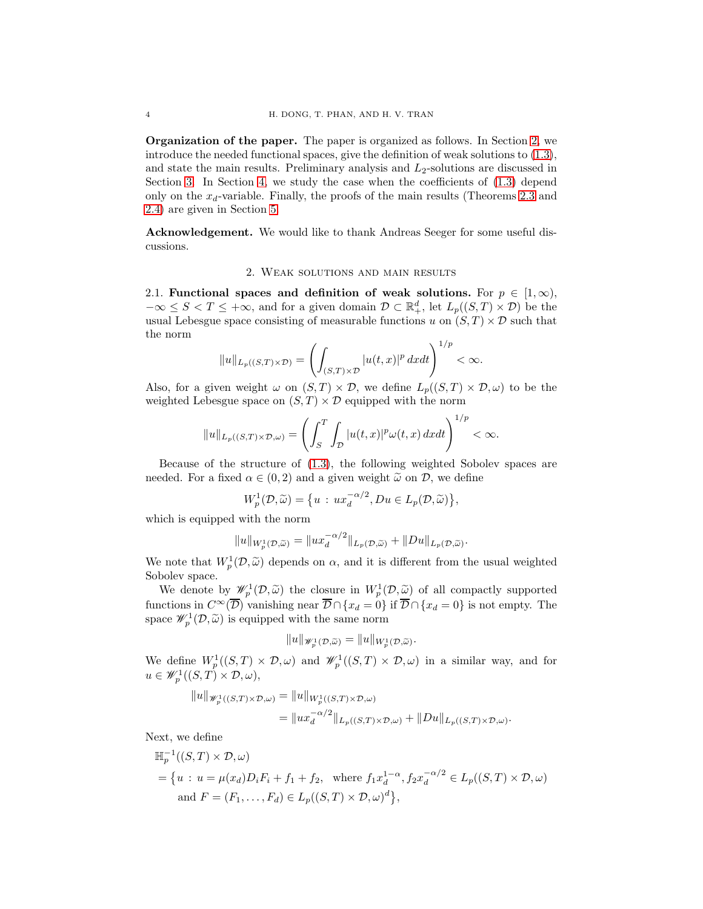Organization of the paper. The paper is organized as follows. In Section [2,](#page-3-0) we introduce the needed functional spaces, give the definition of weak solutions to [\(1.3\)](#page-0-0), and state the main results. Preliminary analysis and  $L_2$ -solutions are discussed in Section [3.](#page-7-0) In Section [4,](#page-10-0) we study the case when the coefficients of [\(1.3\)](#page-0-0) depend only on the  $x_d$ -variable. Finally, the proofs of the main results (Theorems [2.3](#page-5-0) and [2.4\)](#page-5-1) are given in Section [5.](#page-22-0)

<span id="page-3-0"></span>Acknowledgement. We would like to thank Andreas Seeger for some useful discussions.

### 2. Weak solutions and main results

2.1. Functional spaces and definition of weak solutions. For  $p \in [1,\infty)$ ,  $-\infty \leq S < T \leq +\infty$ , and for a given domain  $\mathcal{D} \subset \mathbb{R}^d_+$ , let  $L_p((S,T) \times \mathcal{D})$  be the usual Lebesgue space consisting of measurable functions u on  $(S, T) \times \mathcal{D}$  such that the norm

$$
||u||_{L_p((S,T)\times \mathcal{D})} = \left(\int_{(S,T)\times \mathcal{D}} |u(t,x)|^p dxdt\right)^{1/p} < \infty.
$$

Also, for a given weight  $\omega$  on  $(S, T) \times \mathcal{D}$ , we define  $L_p((S, T) \times \mathcal{D}, \omega)$  to be the weighted Lebesgue space on  $(S, T) \times \mathcal{D}$  equipped with the norm

$$
||u||_{L_p((S,T)\times \mathcal{D},\omega)} = \left(\int_S^T \int_{\mathcal{D}} |u(t,x)|^p \omega(t,x) \, dxdt\right)^{1/p} < \infty.
$$

Because of the structure of [\(1.3\)](#page-0-0), the following weighted Sobolev spaces are needed. For a fixed  $\alpha \in (0, 2)$  and a given weight  $\tilde{\omega}$  on  $\mathcal{D}$ , we define

$$
W_p^1(\mathcal{D}, \widetilde{\omega}) = \{ u : ux_d^{-\alpha/2}, Du \in L_p(\mathcal{D}, \widetilde{\omega}) \},
$$

which is equipped with the norm

$$
||u||_{W_p^1(\mathcal{D}, \widetilde{\omega})} = ||ux_d^{-\alpha/2}||_{L_p(\mathcal{D}, \widetilde{\omega})} + ||Du||_{L_p(\mathcal{D}, \widetilde{\omega})}.
$$

We note that  $W_p^1(\mathcal{D}, \widetilde{\omega})$  depends on  $\alpha$ , and it is different from the usual weighted Sobolev space.

We denote by  $\mathscr{W}_p^1(\mathcal{D}, \widetilde{\omega})$  the closure in  $W_p^1(\mathcal{D}, \widetilde{\omega})$  of all compactly supported functions in  $C^{\infty}(\overline{\mathcal{D}})$  vanishing near  $\overline{\mathcal{D}} \cap \{x_d = 0\}$  if  $\overline{\mathcal{D}} \cap \{x_d = 0\}$  is not empty. The space  $\mathscr{W}_p^1(\mathcal{D}, \widetilde{\omega})$  is equipped with the same norm

$$
||u||_{\mathscr{W}_p^1(\mathcal{D},\widetilde{\omega})} = ||u||_{W_p^1(\mathcal{D},\widetilde{\omega})}.
$$

We define  $W_p^1((S,T) \times \mathcal{D}, \omega)$  and  $\mathscr{W}_p^1((S,T) \times \mathcal{D}, \omega)$  in a similar way, and for  $u \in \mathscr{W}_p^1((S,T) \times \mathcal{D}, \omega),$ 

$$
||u||_{\mathscr{W}_p^1((S,T)\times \mathcal{D},\omega)} = ||u||_{W_p^1((S,T)\times \mathcal{D},\omega)}
$$
  
= 
$$
||ux_d^{-\alpha/2}||_{L_p((S,T)\times \mathcal{D},\omega)} + ||Du||_{L_p((S,T)\times \mathcal{D},\omega)}.
$$

Next, we define

$$
\mathbb{H}_p^{-1}((S,T) \times \mathcal{D}, \omega)
$$
  
=  $\{u : u = \mu(x_d)D_iF_i + f_1 + f_2, \text{ where } f_1x_d^{1-\alpha}, f_2x_d^{-\alpha/2} \in L_p((S,T) \times \mathcal{D}, \omega)$   
and  $F = (F_1, \dots, F_d) \in L_p((S,T) \times \mathcal{D}, \omega)^d\},$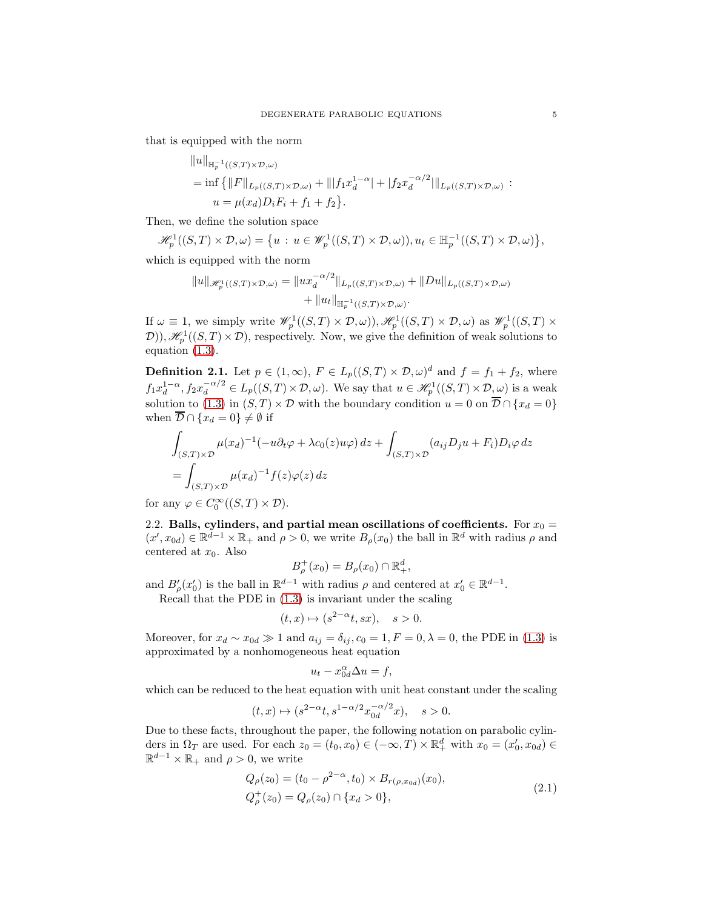that is equipped with the norm

$$
||u||_{\mathbb{H}_p^{-1}((S,T)\times \mathcal{D},\omega)}
$$
  
= inf { $||F||_{L_p((S,T)\times \mathcal{D},\omega)}$  +  $|||f_1x_d^{1-\alpha}|$  +  $|f_2x_d^{-\alpha/2}|||_{L_p((S,T)\times \mathcal{D},\omega)}$  :  
 $u = \mu(x_d)D_iF_i + f_1 + f_2$  }.

Then, we define the solution space

$$
\mathscr{H}_p^1((S,T) \times \mathcal{D}, \omega) = \{ u : u \in \mathscr{W}_p^1((S,T) \times \mathcal{D}, \omega)), u_t \in \mathbb{H}_p^{-1}((S,T) \times \mathcal{D}, \omega) \},
$$

which is equipped with the norm

$$
||u||_{\mathscr{H}_p^1((S,T)\times \mathcal{D},\omega)} = ||ux_d^{-\alpha/2}||_{L_p((S,T)\times \mathcal{D},\omega)} + ||Du||_{L_p((S,T)\times \mathcal{D},\omega)}
$$
  
+ 
$$
||u_t||_{\mathbb{H}_p^{-1}((S,T)\times \mathcal{D},\omega)}.
$$

If  $\omega \equiv 1$ , we simply write  $\mathscr{W}_p^1((S,T) \times \mathcal{D}, \omega)$ ,  $\mathscr{H}_p^1((S,T) \times \mathcal{D}, \omega)$  as  $\mathscr{W}_p^1((S,T) \times \mathcal{D}, \omega)$  $(D), \mathcal{H}^1_p((S,T) \times \mathcal{D})$ , respectively. Now, we give the definition of weak solutions to equation [\(1.3\)](#page-0-0).

<span id="page-4-1"></span>**Definition 2.1.** Let  $p \in (1,\infty)$ ,  $F \in L_p((S,T) \times \mathcal{D}, \omega)^d$  and  $f = f_1 + f_2$ , where  $f_1x_d^{1-\alpha}, f_2x_d^{-\alpha/2} \in L_p((S,T) \times \mathcal{D}, \omega)$ . We say that  $u \in \mathcal{H}_p^1((S,T) \times \mathcal{D}, \omega)$  is a weak solution to [\(1.3\)](#page-0-0) in  $(S, T) \times \mathcal{D}$  with the boundary condition  $u = 0$  on  $\mathcal{D} \cap \{x_d = 0\}$ when  $\overline{\mathcal{D}} \cap \{x_d = 0\} \neq \emptyset$  if

$$
\int_{(S,T)\times\mathcal{D}} \mu(x_d)^{-1} (-u\partial_t \varphi + \lambda c_0(z)u\varphi) dz + \int_{(S,T)\times\mathcal{D}} (a_{ij}D_j u + F_i)D_i\varphi dz
$$
\n
$$
= \int_{(S,T)\times\mathcal{D}} \mu(x_d)^{-1} f(z)\varphi(z) dz
$$

for any  $\varphi \in C_0^{\infty}((S,T) \times \mathcal{D}).$ 

2.2. Balls, cylinders, and partial mean oscillations of coefficients. For  $x_0 =$  $(x', x_{0d}) \in \mathbb{R}^{d-1} \times \mathbb{R}_+$  and  $\rho > 0$ , we write  $B_{\rho}(x_0)$  the ball in  $\mathbb{R}^d$  with radius  $\rho$  and centered at  $x_0$ . Also

$$
B_{\rho}^+(x_0) = B_{\rho}(x_0) \cap \mathbb{R}^d_+,
$$

and  $B'_{\rho}(x'_0)$  is the ball in  $\mathbb{R}^{d-1}$  with radius  $\rho$  and centered at  $x'_0 \in \mathbb{R}^{d-1}$ .

Recall that the PDE in [\(1.3\)](#page-0-0) is invariant under the scaling

$$
(t,x)\mapsto (s^{2-\alpha}t,sx), \quad s>0.
$$

Moreover, for  $x_d \sim x_{0d} \gg 1$  and  $a_{ij} = \delta_{ij}$ ,  $c_0 = 1, F = 0, \lambda = 0$ , the PDE in [\(1.3\)](#page-0-0) is approximated by a nonhomogeneous heat equation

$$
u_t - x_{0d}^{\alpha} \Delta u = f,
$$

which can be reduced to the heat equation with unit heat constant under the scaling

$$
(t,x) \mapsto (s^{2-\alpha}t, s^{1-\alpha/2}x_{0d}^{-\alpha/2}x), \quad s > 0.
$$

<span id="page-4-0"></span>Due to these facts, throughout the paper, the following notation on parabolic cylinders in  $\Omega_T$  are used. For each  $z_0 = (t_0, x_0) \in (-\infty, T) \times \mathbb{R}^d_+$  with  $x_0 = (x'_0, x_{0d}) \in$  $\mathbb{R}^{d-1} \times \mathbb{R}_+$  and  $\rho > 0$ , we write

$$
Q_{\rho}(z_0) = (t_0 - \rho^{2-\alpha}, t_0) \times B_{r(\rho, x_{0d})}(x_0),
$$
  
\n
$$
Q_{\rho}^+(z_0) = Q_{\rho}(z_0) \cap \{x_d > 0\},
$$
\n(2.1)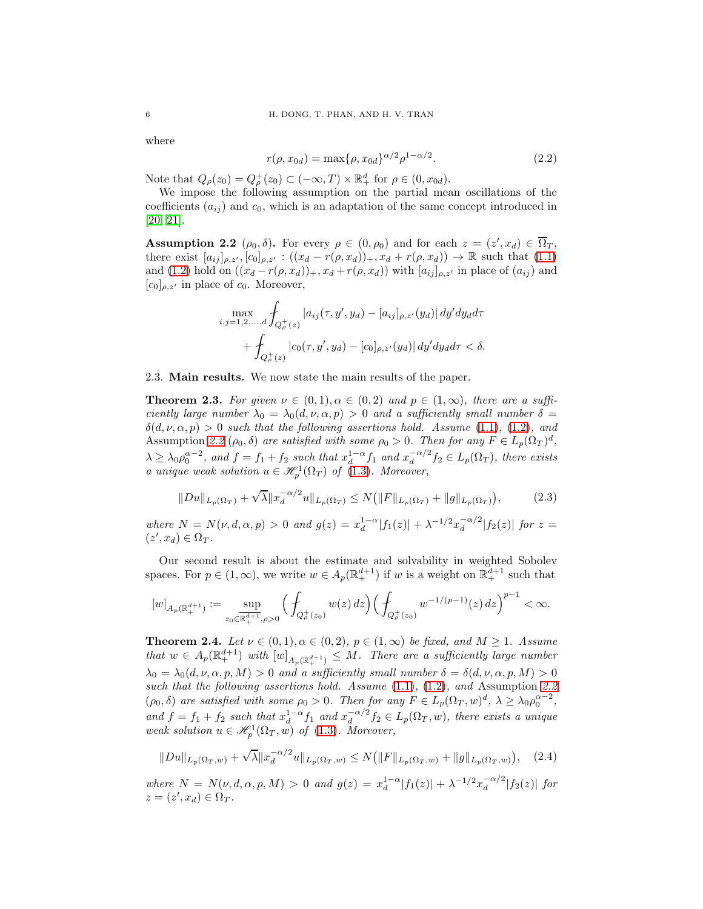where

<span id="page-5-4"></span>
$$
r(\rho, x_{0d}) = \max{\{\rho, x_{0d}\}}^{\alpha/2} \rho^{1-\alpha/2}.
$$
 (2.2)

Note that  $Q_{\rho}(z_0) = Q_{\rho}^+(z_0) \subset (-\infty, T) \times \mathbb{R}^d_+$  for  $\rho \in (0, x_{0d})$ .

We impose the following assumption on the partial mean oscillations of the coefficients  $(a_{ij})$  and  $c_0$ , which is an adaptation of the same concept introduced in [\[20,](#page-28-17) [21\]](#page-28-18).

<span id="page-5-2"></span>**Assumption 2.2**  $(\rho_0, \delta)$ . For every  $\rho \in (0, \rho_0)$  and for each  $z = (z', x_d) \in \overline{\Omega}_T$ , there exist  $[a_{ij}]_{\rho,z'}, [c_0]_{\rho,z'} : ((x_d - r(\rho, x_d))_+, x_d + r(\rho, x_d)) \to \mathbb{R}$  such that [\(1.1\)](#page-0-1) and [\(1.2\)](#page-0-2) hold on  $((x_d - r(\rho, x_d))_+, x_d + r(\rho, x_d))$  with  $[a_{ij}]_{\rho, z'}$  in place of  $(a_{ij})$  and  $[c_0]_{\rho,z'}$  in place of  $c_0$ . Moreover,

$$
\max_{i,j=1,2,...,d} \int_{Q_{\rho}^+(z)} |a_{ij}(\tau, y', y_d) - [a_{ij}]_{\rho, z'}(y_d)| dy' dy_d d\tau + \int_{Q_{\rho}^+(z)} |c_0(\tau, y', y_d) - [c_0]_{\rho, z'}(y_d)| dy' dy_d d\tau < \delta.
$$

2.3. Main results. We now state the main results of the paper.

<span id="page-5-0"></span>**Theorem 2.3.** For given  $\nu \in (0,1), \alpha \in (0,2)$  and  $p \in (1,\infty)$ , there are a sufficiently large number  $\lambda_0 = \lambda_0(d, \nu, \alpha, p) > 0$  and a sufficiently small number  $\delta =$  $\delta(d, \nu, \alpha, p) > 0$  such that the following assertions hold. Assume [\(1.1\)](#page-0-1), [\(1.2\)](#page-0-2), and Assumption [2.2](#page-5-2)  $(\rho_0, \delta)$  are satisfied with some  $\rho_0 > 0$ . Then for any  $F \in L_p(\Omega_T)^d$ ,  $\lambda \geq \lambda_0 \rho_0^{\alpha-2}$ , and  $f = f_1 + f_2$  such that  $x_d^{1-\alpha} f_1$  and  $x_d^{-\alpha/2}$  $\frac{1}{d}$ <sup> $\alpha$ </sup>/<sup>2</sup> $f_2 \in L_p(\Omega_T)$ , there exists a unique weak solution  $u \in \mathcal{H}^1_p(\Omega_T)$  of [\(1.3\)](#page-0-0). Moreover,

$$
||Du||_{L_p(\Omega_T)} + \sqrt{\lambda} ||x_d^{-\alpha/2}u||_{L_p(\Omega_T)} \le N(||F||_{L_p(\Omega_T)} + ||g||_{L_p(\Omega_T)}),
$$
\n(2.3)

<span id="page-5-3"></span>where  $N = N(\nu, d, \alpha, p) > 0$  and  $g(z) = x_d^{1-\alpha} |f_1(z)| + \lambda^{-1/2} x_d^{-\alpha/2}$  $\int_{d}^{-\alpha/2} |f_2(z)|$  for  $z =$  $(z', x_d) \in \Omega_T$ .

Our second result is about the estimate and solvability in weighted Sobolev spaces. For  $p \in (1,\infty)$ , we write  $w \in A_p(\mathbb{R}^{d+1}_+)$  if w is a weight on  $\mathbb{R}^{d+1}_+$  such that

$$
[w]_{A_p(\mathbb{R}^{d+1}_+)} := \sup_{z_0 \in \mathbb{R}^{d+1}_+, \rho > 0} \Big( \oint_{Q^+_p(z_0)} w(z) \, dz \Big) \Big( \oint_{Q^+_p(z_0)} w^{-1/(p-1)}(z) \, dz \Big)^{p-1} < \infty.
$$

<span id="page-5-1"></span>**Theorem 2.4.** Let  $\nu \in (0,1), \alpha \in (0,2), p \in (1,\infty)$  be fixed, and  $M \geq 1$ . Assume that  $w \in A_p(\mathbb{R}^{d+1}_+)$  with  $[w]_{A_p(\mathbb{R}^{d+1}_+)} \leq M$ . There are a sufficiently large number  $\lambda_0 = \lambda_0(d, \nu, \alpha, p, M) > 0$  and a sufficiently small number  $\delta = \delta(d, \nu, \alpha, p, M) > 0$ such that the following assertions hold. Assume  $(1.1)$ ,  $(1.2)$ , and Assumption [2.2](#page-5-2)  $(\rho_0, \delta)$  are satisfied with some  $\rho_0 > 0$ . Then for any  $F \in L_p(\Omega_T, w)^d$ ,  $\lambda \geq \lambda_0 \rho_0^{\alpha-2}$ , and  $f = f_1 + f_2$  such that  $x_d^{1-\alpha} f_1$  and  $x_d^{-\alpha/2}$  $\frac{d}{d} \int_0^{\infty} f_2 \in L_p(\Omega_T, w)$ , there exists a unique weak solution  $u \in \mathcal{H}^1_p(\Omega_T, w)$  of [\(1.3\)](#page-0-0). Moreover,

<span id="page-5-5"></span>
$$
||Du||_{L_p(\Omega_T, w)} + \sqrt{\lambda} ||x_d^{-\alpha/2}u||_{L_p(\Omega_T, w)} \le N (||F||_{L_p(\Omega_T, w)} + ||g||_{L_p(\Omega_T, w)}), \quad (2.4)
$$

where  $N = N(\nu, d, \alpha, p, M) > 0$  and  $g(z) = x_d^{1-\alpha} |f_1(z)| + \lambda^{-1/2} x_d^{-\alpha/2}$  $\int_{d}^{-\alpha/2} |f_2(z)|$  for  $z = (z', x_d) \in \Omega_T.$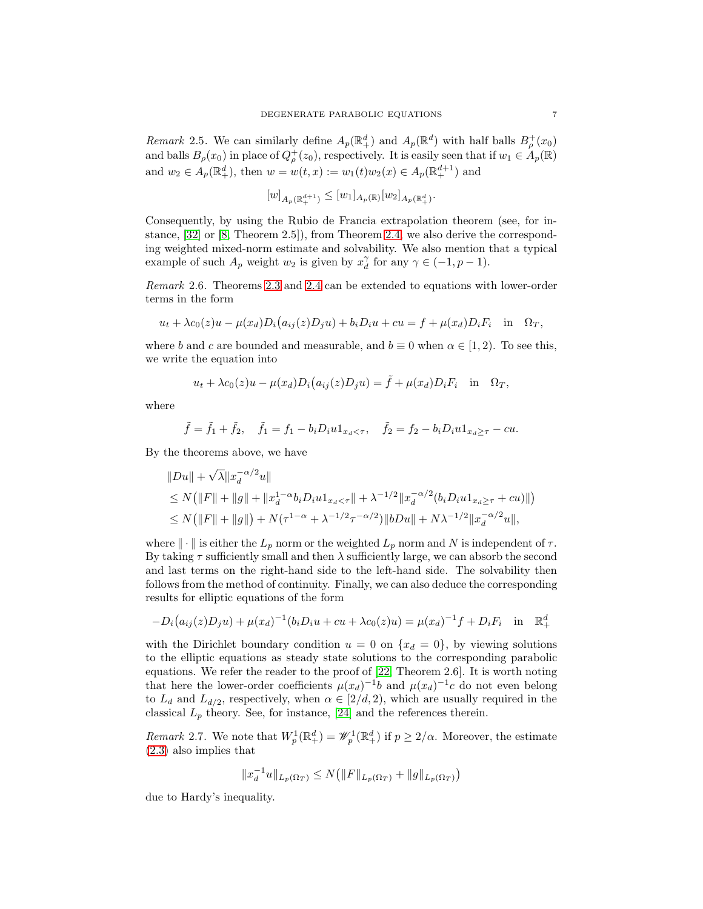Remark 2.5. We can similarly define  $A_p(\mathbb{R}^d_+)$  and  $A_p(\mathbb{R}^d)$  with half balls  $B^+_{\rho}(x_0)$ and balls  $B_{\rho}(x_0)$  in place of  $Q_{\rho}^+(z_0)$ , respectively. It is easily seen that if  $w_1 \in A_p(\mathbb{R})$ and  $w_2 \in A_p(\mathbb{R}^d_+)$ , then  $w = w(t, x) := w_1(t)w_2(x) \in A_p(\mathbb{R}^{d+1}_+)$  and

$$
[w]_{A_p(\mathbb{R}^{d+1}_+)} \leq [w_1]_{A_p(\mathbb{R})}[w_2]_{A_p(\mathbb{R}^d_+)}.
$$

Consequently, by using the Rubio de Francia extrapolation theorem (see, for instance, [\[32\]](#page-29-10) or [\[8,](#page-28-21) Theorem 2.5]), from Theorem [2.4,](#page-5-1) we also derive the corresponding weighted mixed-norm estimate and solvability. We also mention that a typical example of such  $A_p$  weight  $w_2$  is given by  $x_d^{\gamma}$  for any  $\gamma \in (-1, p-1)$ .

Remark 2.6. Theorems [2.3](#page-5-0) and [2.4](#page-5-1) can be extended to equations with lower-order terms in the form

$$
u_t + \lambda c_0(z)u - \mu(x_d)D_i(a_{ij}(z)D_ju) + b_iD_iu + cu = f + \mu(x_d)D_iF_i \text{ in } \Omega_T,
$$

where b and c are bounded and measurable, and  $b \equiv 0$  when  $\alpha \in [1, 2)$ . To see this, we write the equation into

$$
u_t + \lambda c_0(z)u - \mu(x_d)D_i(a_{ij}(z)D_j u) = \tilde{f} + \mu(x_d)D_iF_i \text{ in } \Omega_T,
$$

where

$$
\tilde{f} = \tilde{f}_1 + \tilde{f}_2
$$
,  $\tilde{f}_1 = f_1 - b_i D_i u_1_{x_d < \tau}$ ,  $\tilde{f}_2 = f_2 - b_i D_i u_1_{x_d \ge \tau} - cu$ .

By the theorems above, we have

$$
||Du|| + \sqrt{\lambda} ||x_d^{-\alpha/2}u||
$$
  
\n
$$
\leq N(||F|| + ||g|| + ||x_d^{1-\alpha}b_iD_iu1_{x_d < \tau}|| + \lambda^{-1/2} ||x_d^{-\alpha/2}(b_iD_iu1_{x_d \geq \tau} + cu)||)
$$
  
\n
$$
\leq N(||F|| + ||g||) + N(\tau^{1-\alpha} + \lambda^{-1/2}\tau^{-\alpha/2}) ||bDu|| + N\lambda^{-1/2} ||x_d^{-\alpha/2}u||,
$$

where  $\|\cdot\|$  is either the  $L_p$  norm or the weighted  $L_p$  norm and N is independent of  $\tau$ . By taking  $\tau$  sufficiently small and then  $\lambda$  sufficiently large, we can absorb the second and last terms on the right-hand side to the left-hand side. The solvability then follows from the method of continuity. Finally, we can also deduce the corresponding results for elliptic equations of the form

$$
-D_i(a_{ij}(z)D_ju) + \mu(x_d)^{-1}(b_iD_iu + cu + \lambda c_0(z)u) = \mu(x_d)^{-1}f + D_iF_i \text{ in } \mathbb{R}_+^d
$$

with the Dirichlet boundary condition  $u = 0$  on  $\{x_d = 0\}$ , by viewing solutions to the elliptic equations as steady state solutions to the corresponding parabolic equations. We refer the reader to the proof of [\[22,](#page-28-16) Theorem 2.6]. It is worth noting that here the lower-order coefficients  $\mu(x_d)^{-1}b$  and  $\mu(x_d)^{-1}c$  do not even belong to  $L_d$  and  $L_{d/2}$ , respectively, when  $\alpha \in [2/d, 2)$ , which are usually required in the classical  $L_p$  theory. See, for instance, [\[24\]](#page-29-11) and the references therein.

*Remark* 2.7. We note that  $W_p^1(\mathbb{R}^d_+) = \mathscr{W}_p^1(\mathbb{R}^d_+)$  if  $p \geq 2/\alpha$ . Moreover, the estimate [\(2.3\)](#page-5-3) also implies that

$$
||x_d^{-1}u||_{L_p(\Omega_T)} \le N\big(||F||_{L_p(\Omega_T)} + ||g||_{L_p(\Omega_T)}\big)
$$

due to Hardy's inequality.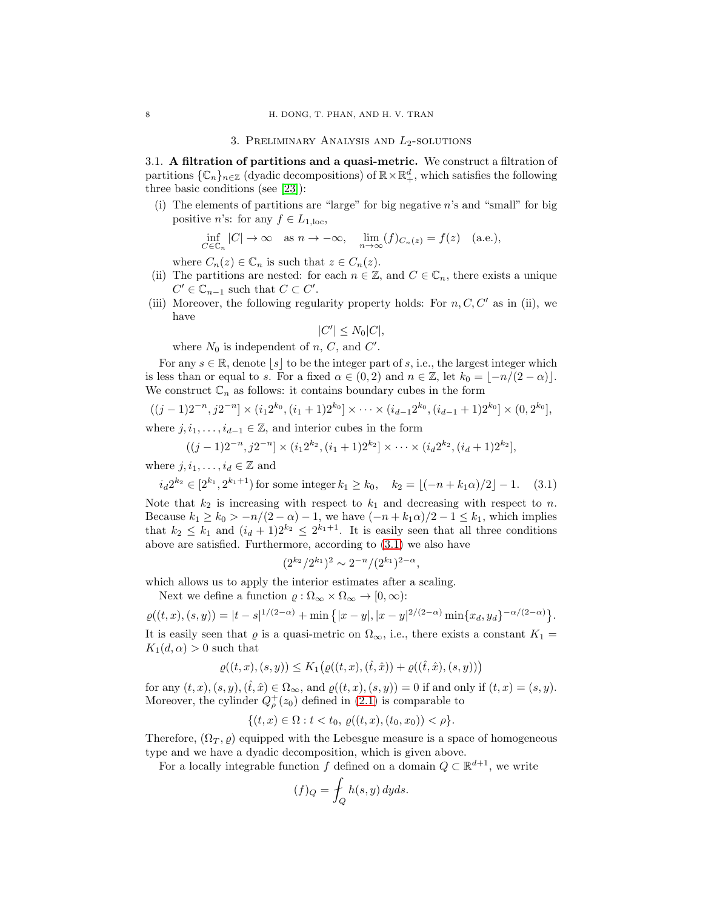#### 3. PRELIMINARY ANALYSIS AND  $L_2$ -SOLUTIONS

<span id="page-7-2"></span><span id="page-7-0"></span>3.1. A filtration of partitions and a quasi-metric. We construct a filtration of partitions  $\{\mathbb{C}_n\}_{n\in\mathbb{Z}}$  (dyadic decompositions) of  $\mathbb{R}\times\mathbb{R}^d_+$ , which satisfies the following three basic conditions (see [\[23\]](#page-28-19)):

(i) The elements of partitions are "large" for big negative  $n$ 's and "small" for big positive *n*'s: for any  $f \in L_{1,\text{loc}}$ ,

$$
\inf_{C \in \mathbb{C}_n} |C| \to \infty \quad \text{as } n \to -\infty, \quad \lim_{n \to \infty} (f)_{C_n(z)} = f(z) \quad \text{(a.e.),}
$$

where  $C_n(z) \in \mathbb{C}_n$  is such that  $z \in C_n(z)$ .

- (ii) The partitions are nested: for each  $n \in \mathbb{Z}$ , and  $C \in \mathbb{C}_n$ , there exists a unique  $C' \in \mathbb{C}_{n-1}$  such that  $C \subset C'$ .
- (iii) Moreover, the following regularity property holds: For  $n, C, C'$  as in (ii), we have

$$
|C'| \leq N_0|C|,
$$

where  $N_0$  is independent of n, C, and C'.

For any  $s \in \mathbb{R}$ , denote  $|s|$  to be the integer part of s, i.e., the largest integer which is less than or equal to s. For a fixed  $\alpha \in (0, 2)$  and  $n \in \mathbb{Z}$ , let  $k_0 = \lfloor -n/(2 - \alpha) \rfloor$ . We construct  $\mathbb{C}_n$  as follows: it contains boundary cubes in the form

$$
((j-1)2^{-n}, j2^{-n}] \times (i_1 2^{k_0}, (i_1+1)2^{k_0}] \times \cdots \times (i_{d-1} 2^{k_0}, (i_{d-1}+1)2^{k_0}] \times (0, 2^{k_0}],
$$

where  $j, i_1, \ldots, i_{d-1} \in \mathbb{Z}$ , and interior cubes in the form

$$
((j-1)2^{-n}, j2^{-n}] \times (i_1 2^{k_2}, (i_1+1)2^{k_2}] \times \cdots \times (i_d 2^{k_2}, (i_d+1)2^{k_2}],
$$

where  $j, i_1, \ldots, i_d \in \mathbb{Z}$  and

<span id="page-7-1"></span>
$$
i_d 2^{k_2} \in [2^{k_1}, 2^{k_1+1})
$$
 for some integer  $k_1 \ge k_0$ ,  $k_2 = \lfloor (-n + k_1 \alpha)/2 \rfloor - 1$ . (3.1)

Note that  $k_2$  is increasing with respect to  $k_1$  and decreasing with respect to n. Because  $k_1 \geq k_0 > -n/(2 - \alpha) - 1$ , we have  $(-n + k_1 \alpha)/2 - 1 \leq k_1$ , which implies that  $k_2 \leq k_1$  and  $(i_d + 1)2^{k_2} \leq 2^{k_1+1}$ . It is easily seen that all three conditions above are satisfied. Furthermore, according to [\(3.1\)](#page-7-1) we also have

$$
(2^{k_2}/2^{k_1})^2 \sim 2^{-n}/(2^{k_1})^{2-\alpha},
$$

which allows us to apply the interior estimates after a scaling.

Next we define a function  $\varrho : \Omega_{\infty} \times \Omega_{\infty} \to [0, \infty)$ :

$$
\varrho((t,x),(s,y)) = |t-s|^{1/(2-\alpha)} + \min\left\{|x-y|,|x-y|^{2/(2-\alpha)}\min\{x_d,y_d\}^{-\alpha/(2-\alpha)}\right\}.
$$

It is easily seen that  $\varrho$  is a quasi-metric on  $\Omega_{\infty}$ , i.e., there exists a constant  $K_1 =$  $K_1(d, \alpha) > 0$  such that

$$
\varrho((t,x),(s,y))\leq K_1\big(\varrho((t,x),(\widehat{t},\widehat{x}))+\varrho((\widehat{t},\widehat{x}),(s,y))\big)
$$

for any  $(t, x), (s, y), (\hat{t}, \hat{x}) \in \Omega_{\infty}$ , and  $\varrho((t, x), (s, y)) = 0$  if and only if  $(t, x) = (s, y)$ . Moreover, the cylinder  $Q_{\rho}^{+}(z_0)$  defined in [\(2.1\)](#page-4-0) is comparable to

$$
\{(t,x)\in\Omega: t
$$

Therefore,  $(\Omega_T, \rho)$  equipped with the Lebesgue measure is a space of homogeneous type and we have a dyadic decomposition, which is given above.

For a locally integrable function f defined on a domain  $Q \subset \mathbb{R}^{d+1}$ , we write

$$
(f)_Q = \int_Q h(s, y) \, dy ds.
$$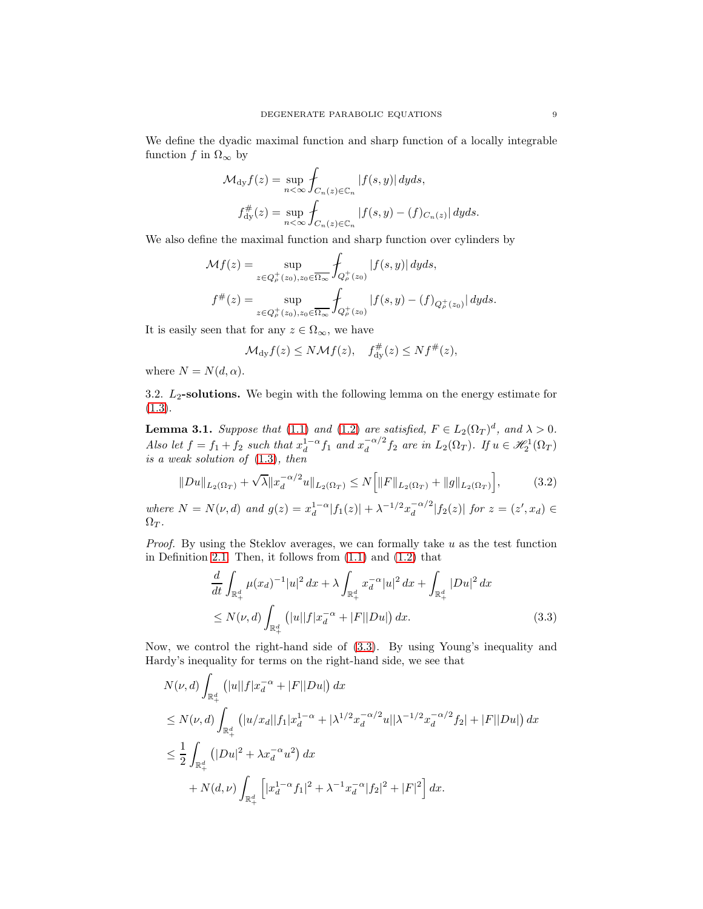We define the dyadic maximal function and sharp function of a locally integrable function f in  $\Omega_{\infty}$  by

$$
\mathcal{M}_{\mathrm{dy}}f(z) = \sup_{n < \infty} \int_{C_n(z) \in \mathbb{C}_n} |f(s, y)| \, dy ds,
$$
  

$$
f_{\mathrm{dy}}^{\#}(z) = \sup_{n < \infty} \int_{C_n(z) \in \mathbb{C}_n} |f(s, y) - (f)_{C_n(z)}| \, dy ds.
$$

We also define the maximal function and sharp function over cylinders by

$$
\mathcal{M}f(z) = \sup_{z \in Q_{\rho}^{+}(z_{0}), z_{0} \in \overline{\Omega_{\infty}}} \int_{Q_{\rho}^{+}(z_{0})} |f(s, y)| dy ds, \nf^{\#}(z) = \sup_{z \in Q_{\rho}^{+}(z_{0}), z_{0} \in \overline{\Omega_{\infty}}} \int_{Q_{\rho}^{+}(z_{0})} |f(s, y) - (f)_{Q_{\rho}^{+}(z_{0})}| dy ds.
$$

It is easily seen that for any  $z \in \Omega_{\infty}$ , we have

$$
\mathcal{M}_{\mathrm{dy}}f(z) \leq N\mathcal{M}f(z), \quad f_{\mathrm{dy}}^{\#}(z) \leq Nf^{\#}(z),
$$

where  $N = N(d, \alpha)$ .

3.2.  $L_2$ -solutions. We begin with the following lemma on the energy estimate for  $(1.3).$  $(1.3).$ 

<span id="page-8-2"></span>**Lemma 3.1.** Suppose that [\(1.1\)](#page-0-1) and [\(1.2\)](#page-0-2) are satisfied,  $F \in L_2(\Omega_T)^d$ , and  $\lambda > 0$ . Also let  $f = f_1 + f_2$  such that  $x_d^{1-\alpha} f_1$  and  $x_d^{-\alpha/2}$  $\frac{d}{d} \alpha^{12} f_2$  are in  $L_2(\Omega_T)$ . If  $u \in \mathcal{H}_2^1(\Omega_T)$ is a weak solution of [\(1.3\)](#page-0-0), then

$$
||Du||_{L_2(\Omega_T)} + \sqrt{\lambda} ||x_d^{-\alpha/2}u||_{L_2(\Omega_T)} \le N \Big[ ||F||_{L_2(\Omega_T)} + ||g||_{L_2(\Omega_T)} \Big],\tag{3.2}
$$

<span id="page-8-1"></span>where  $N = N(\nu, d)$  and  $g(z) = x_d^{1-\alpha} |f_1(z)| + \lambda^{-1/2} x_d^{-\alpha/2}$  $\int_{d}^{-\alpha/2} |f_2(z)| \; \text{for } z = (z', x_d) \in$  $\Omega_T$ .

*Proof.* By using the Steklov averages, we can formally take  $u$  as the test function in Definition [2.1.](#page-4-1) Then, it follows from  $(1.1)$  and  $(1.2)$  that

<span id="page-8-0"></span>
$$
\frac{d}{dt} \int_{\mathbb{R}^d_+} \mu(x_d)^{-1} |u|^2 \, dx + \lambda \int_{\mathbb{R}^d_+} x_d^{-\alpha} |u|^2 \, dx + \int_{\mathbb{R}^d_+} |Du|^2 \, dx
$$
\n
$$
\leq N(\nu, d) \int_{\mathbb{R}^d_+} \left( |u| |f| x_d^{-\alpha} + |F| |Du| \right) dx. \tag{3.3}
$$

Now, we control the right-hand side of [\(3.3\)](#page-8-0). By using Young's inequality and Hardy's inequality for terms on the right-hand side, we see that

$$
N(\nu, d) \int_{\mathbb{R}_+^d} (|u||f|x_d^{-\alpha} + |F||Du|) dx
$$
  
\n
$$
\leq N(\nu, d) \int_{\mathbb{R}_+^d} (|u/x_d||f_1|x_d^{1-\alpha} + |\lambda^{1/2}x_d^{-\alpha/2}u||\lambda^{-1/2}x_d^{-\alpha/2}f_2| + |F||Du|) dx
$$
  
\n
$$
\leq \frac{1}{2} \int_{\mathbb{R}_+^d} (|Du|^2 + \lambda x_d^{-\alpha}u^2) dx
$$
  
\n
$$
+ N(d, \nu) \int_{\mathbb{R}_+^d} [|x_d^{1-\alpha}f_1|^2 + \lambda^{-1}x_d^{-\alpha}|f_2|^2 + |F|^2] dx.
$$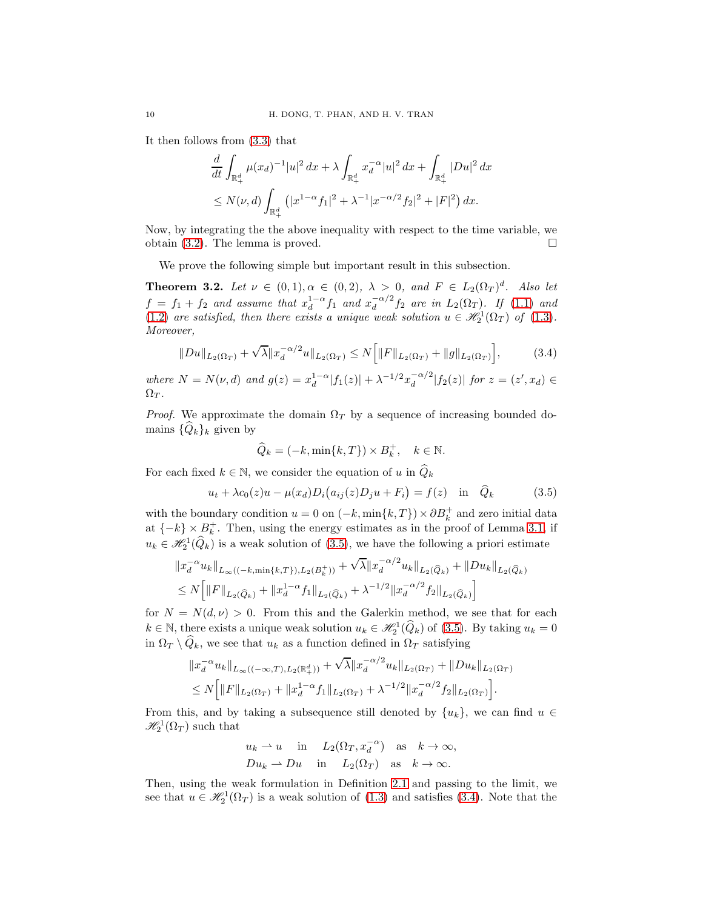It then follows from [\(3.3\)](#page-8-0) that

$$
\frac{d}{dt} \int_{\mathbb{R}^d_+} \mu(x_d)^{-1} |u|^2 \, dx + \lambda \int_{\mathbb{R}^d_+} x_d^{-\alpha} |u|^2 \, dx + \int_{\mathbb{R}^d_+} |Du|^2 \, dx
$$
  
\n
$$
\leq N(\nu, d) \int_{\mathbb{R}^d_+} \left( |x^{1-\alpha} f_1|^2 + \lambda^{-1} |x^{-\alpha/2} f_2|^2 + |F|^2 \right) dx.
$$

Now, by integrating the the above inequality with respect to the time variable, we obtain [\(3.2\)](#page-8-1). The lemma is proved.  $\square$ 

We prove the following simple but important result in this subsection.

<span id="page-9-2"></span>**Theorem 3.2.** Let  $\nu \in (0,1), \alpha \in (0,2), \lambda > 0, \text{ and } F \in L_2(\Omega_T)^d$ . Also let  $f = f_1 + f_2$  and assume that  $x_d^{1-\alpha} f_1$  and  $x_d^{-\alpha/2}$  $\frac{d}{d} \alpha^{12} f_2$  are in  $L_2(\Omega_T)$ . If [\(1.1\)](#page-0-1) and [\(1.2\)](#page-0-2) are satisfied, then there exists a unique weak solution  $u \in \mathcal{H}_2^1(\Omega_T)$  of [\(1.3\)](#page-0-0). Moreover,

$$
||Du||_{L_2(\Omega_T)} + \sqrt{\lambda} ||x_d^{-\alpha/2}u||_{L_2(\Omega_T)} \le N \Big[ ||F||_{L_2(\Omega_T)} + ||g||_{L_2(\Omega_T)} \Big],\tag{3.4}
$$

<span id="page-9-1"></span>where  $N = N(\nu, d)$  and  $g(z) = x_d^{1-\alpha} |f_1(z)| + \lambda^{-1/2} x_d^{-\alpha/2}$  $\int_{d}^{-\alpha/2} |f_2(z)| \; \text{for } z = (z', x_d) \in$  $\Omega_T$ .

*Proof.* We approximate the domain  $\Omega_T$  by a sequence of increasing bounded domains  $\{\hat{Q}_k\}_k$  given by

$$
\widehat{Q}_k = (-k, \min\{k, T\}) \times B_k^+, \quad k \in \mathbb{N}.
$$

For each fixed  $k \in \mathbb{N}$ , we consider the equation of u in  $\widehat{Q}_k$ 

<span id="page-9-0"></span>
$$
u_t + \lambda c_0(z)u - \mu(x_d)D_i(a_{ij}(z)D_ju + F_i) = f(z) \text{ in } \hat{Q}_k
$$
 (3.5)

with the boundary condition  $u = 0$  on  $(-k, \min\{k, T\}) \times \partial B_k^+$  and zero initial data at  $\{-k\}\times B_k^+$ . Then, using the energy estimates as in the proof of Lemma [3.1,](#page-8-2) if  $u_k \in \mathcal{H}_2^1(\widehat{Q}_k)$  is a weak solution of [\(3.5\)](#page-9-0), we have the following a priori estimate

$$
\begin{aligned} &\|x_d^{-\alpha}u_k\|_{L_\infty((-k,\min\{k,T\}),L_2(B_k^+))}+\sqrt{\lambda}\|x_d^{-\alpha/2}u_k\|_{L_2(\widehat{Q}_k)}+\|Du_k\|_{L_2(\widehat{Q}_k)}\\ &\leq N\Big[\|F\|_{L_2(\widehat{Q}_k)}+\|x_d^{1-\alpha}f_1\|_{L_2(\widehat{Q}_k)}+\lambda^{-1/2}\|x_d^{-\alpha/2}f_2\|_{L_2(\widehat{Q}_k)}\Big] \end{aligned}
$$

for  $N = N(d, \nu) > 0$ . From this and the Galerkin method, we see that for each  $k \in \mathbb{N}$ , there exists a unique weak solution  $u_k \in \mathcal{H}_2^1(\widehat{Q}_k)$  of [\(3.5\)](#page-9-0). By taking  $u_k = 0$ in  $\Omega_T \setminus \widehat{Q}_k$ , we see that  $u_k$  as a function defined in  $\Omega_T$  satisfying

$$
||x_d^{-\alpha}u_k||_{L_\infty((-\infty,T),L_2(\mathbb{R}^d_+))} + \sqrt{\lambda}||x_d^{-\alpha/2}u_k||_{L_2(\Omega_T)} + ||Du_k||_{L_2(\Omega_T)}
$$
  

$$
\leq N\Big[||F||_{L_2(\Omega_T)} + ||x_d^{1-\alpha}f_1||_{L_2(\Omega_T)} + \lambda^{-1/2}||x_d^{-\alpha/2}f_2||_{L_2(\Omega_T)}\Big].
$$

From this, and by taking a subsequence still denoted by  $\{u_k\}$ , we can find  $u \in$  $\mathscr{H}^1_2(\Omega_T)$  such that

$$
u_k \rightharpoonup u
$$
 in  $L_2(\Omega_T, x_d^{-\alpha})$  as  $k \to \infty$ ,  
\n $Du_k \rightharpoonup Du$  in  $L_2(\Omega_T)$  as  $k \to \infty$ .

Then, using the weak formulation in Definition [2.1](#page-4-1) and passing to the limit, we see that  $u \in \mathcal{H}_2^1(\Omega_T)$  is a weak solution of [\(1.3\)](#page-0-0) and satisfies [\(3.4\)](#page-9-1). Note that the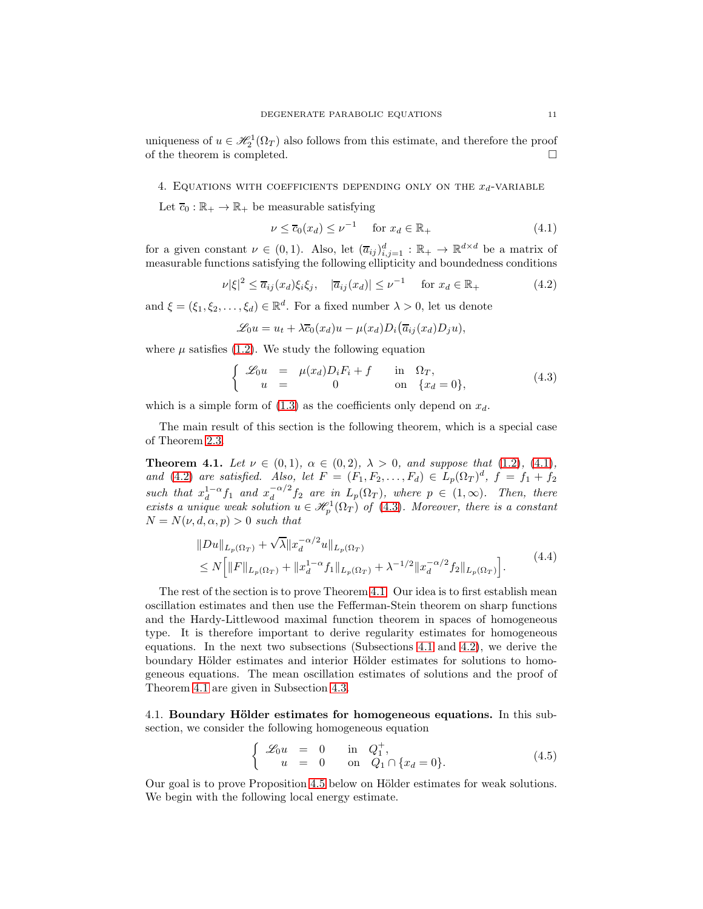uniqueness of  $u \in \mathcal{H}_2^1(\Omega_T)$  also follows from this estimate, and therefore the proof of the theorem is completed.

<span id="page-10-0"></span>4. EQUATIONS WITH COEFFICIENTS DEPENDING ONLY ON THE  $x_d$ -VARIABLE

Let  $\overline{c}_0 : \mathbb{R}_+ \to \mathbb{R}_+$  be measurable satisfying

<span id="page-10-1"></span>
$$
\nu \le \overline{c}_0(x_d) \le \nu^{-1} \quad \text{for } x_d \in \mathbb{R}_+ \tag{4.1}
$$

for a given constant  $\nu \in (0,1)$ . Also, let  $(\overline{a}_{ij})_{i,j=1}^d : \mathbb{R}_+ \to \mathbb{R}^{d \times d}$  be a matrix of measurable functions satisfying the following ellipticity and boundedness conditions

<span id="page-10-2"></span>
$$
\nu |\xi|^2 \le \overline{a}_{ij}(x_d)\xi_i\xi_j, \quad |\overline{a}_{ij}(x_d)| \le \nu^{-1} \quad \text{for } x_d \in \mathbb{R}_+ \tag{4.2}
$$

and  $\xi = (\xi_1, \xi_2, \dots, \xi_d) \in \mathbb{R}^d$ . For a fixed number  $\lambda > 0$ , let us denote

$$
\mathcal{L}_0 u = u_t + \lambda \overline{c}_0(x_d)u - \mu(x_d)D_i(\overline{a}_{ij}(x_d)D_j u),
$$

where  $\mu$  satisfies [\(1.2\)](#page-0-2). We study the following equation

<span id="page-10-3"></span>
$$
\begin{cases}\n\mathcal{L}_0 u = \mu(x_d) D_i F_i + f & \text{in } \Omega_T, \\
u = 0 & \text{on } \{x_d = 0\},\n\end{cases}
$$
\n(4.3)

which is a simple form of  $(1.3)$  as the coefficients only depend on  $x_d$ .

The main result of this section is the following theorem, which is a special case of Theorem [2.3.](#page-5-0)

<span id="page-10-4"></span>**Theorem 4.1.** Let  $\nu \in (0,1)$ ,  $\alpha \in (0,2)$ ,  $\lambda > 0$ , and suppose that  $(1.2)$ ,  $(4.1)$ , and [\(4.2\)](#page-10-2) are satisfied. Also, let  $F = (F_1, F_2, \ldots, F_d) \in L_p(\Omega_T)^d$ ,  $f = f_1 + f_2$ such that  $x_d^{1-\alpha} f_1$  and  $x_d^{-\alpha/2}$  $\int_{d}^{-\alpha/2} f_2$  are in  $L_p(\Omega_T)$ , where  $p \in (1,\infty)$ . Then, there exists a unique weak solution  $u \in \mathcal{H}^1_p(\Omega_T)$  of [\(4.3\)](#page-10-3). Moreover, there is a constant  $N = N(\nu, d, \alpha, p) > 0$  such that

$$
||Du||_{L_p(\Omega_T)} + \sqrt{\lambda} ||x_d^{-\alpha/2}u||_{L_p(\Omega_T)}
$$
  
\n
$$
\leq N \Big[ ||F||_{L_p(\Omega_T)} + ||x_d^{1-\alpha} f_1||_{L_p(\Omega_T)} + \lambda^{-1/2} ||x_d^{-\alpha/2} f_2||_{L_p(\Omega_T)} \Big].
$$
\n(4.4)

<span id="page-10-7"></span>The rest of the section is to prove Theorem [4.1.](#page-10-4) Our idea is to first establish mean oscillation estimates and then use the Fefferman-Stein theorem on sharp functions and the Hardy-Littlewood maximal function theorem in spaces of homogeneous type. It is therefore important to derive regularity estimates for homogeneous equations. In the next two subsections (Subsections [4.1](#page-10-5) and [4.2\)](#page-15-0), we derive the boundary Hölder estimates and interior Hölder estimates for solutions to homogeneous equations. The mean oscillation estimates of solutions and the proof of Theorem [4.1](#page-10-4) are given in Subsection [4.3.](#page-17-0)

<span id="page-10-5"></span>4.1. Boundary Hölder estimates for homogeneous equations. In this subsection, we consider the following homogeneous equation

<span id="page-10-6"></span>
$$
\begin{cases}\n\mathcal{L}_0 u = 0 & \text{in } Q_1^+, \\
u = 0 & \text{on } Q_1 \cap \{x_d = 0\}.\n\end{cases}
$$
\n(4.5)

Our goal is to prove Proposition [4.5](#page-12-0) below on Hölder estimates for weak solutions. We begin with the following local energy estimate.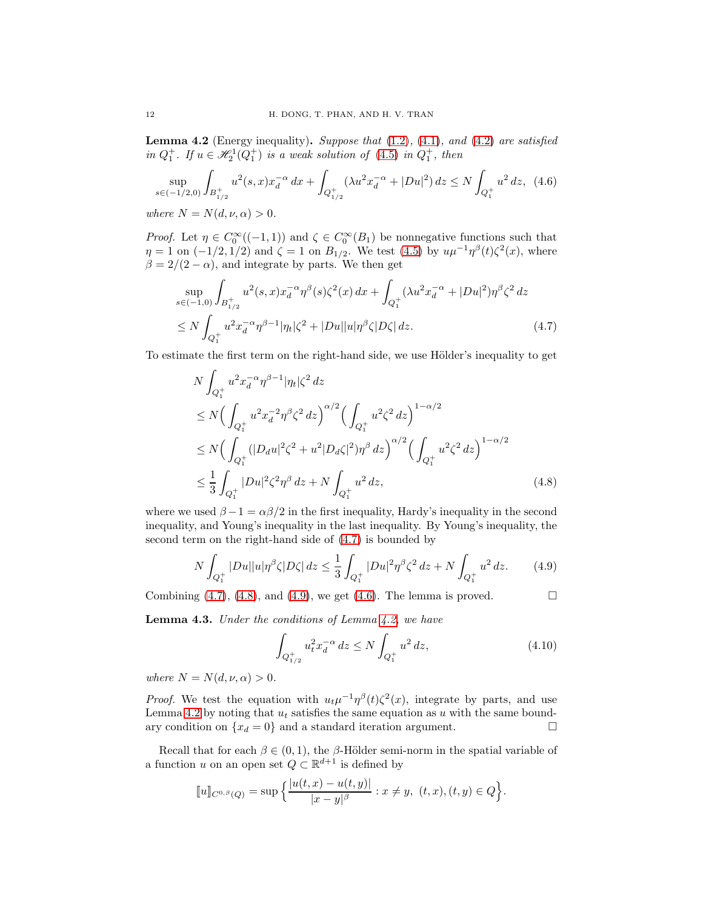<span id="page-11-4"></span>**Lemma 4.2** (Energy inequality). Suppose that  $(1.2)$ ,  $(4.1)$ , and  $(4.2)$  are satisfied in  $Q_1^+$ . If  $u \in \mathcal{H}_2^1(Q_1^+)$  is a weak solution of  $(4.5)$  in  $Q_1^+$ , then

<span id="page-11-3"></span>
$$
\sup_{s \in (-1/2,0)} \int_{B_{1/2}^+} u^2(s,x) x_d^{-\alpha} dx + \int_{Q_{1/2}^+} (\lambda u^2 x_d^{-\alpha} + |Du|^2) dz \le N \int_{Q_1^+} u^2 dz, \tag{4.6}
$$
\n
$$
\text{where } N - N(d, u, \alpha) > 0
$$

where  $N = N(d, \nu, \alpha) > 0$ .

*Proof.* Let  $\eta \in C_0^{\infty}((-1,1))$  and  $\zeta \in C_0^{\infty}(B_1)$  be nonnegative functions such that  $\eta = 1$  on  $(-1/2, 1/2)$  and  $\zeta = 1$  on  $B_{1/2}$ . We test [\(4.5\)](#page-10-6) by  $u\mu^{-1}\eta^{\beta}(t)\zeta^{2}(x)$ , where  $\beta = 2/(2 - \alpha)$ , and integrate by parts. We then get

$$
\sup_{s \in (-1,0)} \int_{B_{1/2}^+} u^2(s,x) x_d^{-\alpha} \eta^\beta(s) \zeta^2(x) \, dx + \int_{Q_1^+} (\lambda u^2 x_d^{-\alpha} + |Du|^2) \eta^\beta \zeta^2 \, dz
$$
\n
$$
\leq N \int_{Q_1^+} u^2 x_d^{-\alpha} \eta^{\beta - 1} |\eta_t| \zeta^2 + |Du||u| \eta^\beta \zeta |D\zeta| \, dz. \tag{4.7}
$$

To estimate the first term on the right-hand side, we use Hölder's inequality to get

<span id="page-11-0"></span>
$$
N \int_{Q_1^+} u^2 x_d^{-\alpha} \eta^{\beta - 1} |\eta_t| \zeta^2 dz
$$
  
\n
$$
\leq N \Big( \int_{Q_1^+} u^2 x_d^{-2} \eta^{\beta} \zeta^2 dz \Big)^{\alpha/2} \Big( \int_{Q_1^+} u^2 \zeta^2 dz \Big)^{1 - \alpha/2}
$$
  
\n
$$
\leq N \Big( \int_{Q_1^+} (|D_d u|^2 \zeta^2 + u^2 |D_d \zeta|^2) \eta^{\beta} dz \Big)^{\alpha/2} \Big( \int_{Q_1^+} u^2 \zeta^2 dz \Big)^{1 - \alpha/2}
$$
  
\n
$$
\leq \frac{1}{3} \int_{Q_1^+} |Du|^2 \zeta^2 \eta^{\beta} dz + N \int_{Q_1^+} u^2 dz,
$$
\n(4.8)

where we used  $\beta - 1 = \alpha \beta / 2$  in the first inequality, Hardy's inequality in the second inequality, and Young's inequality in the last inequality. By Young's inequality, the second term on the right-hand side of [\(4.7\)](#page-11-0) is bounded by

<span id="page-11-2"></span>
$$
N\int_{Q_1^+} |Du||u|\eta^{\beta}\zeta|D\zeta| \, dz \le \frac{1}{3} \int_{Q_1^+} |Du|^2 \eta^{\beta}\zeta^2 \, dz + N\int_{Q_1^+} u^2 \, dz. \tag{4.9}
$$

Combining  $(4.7)$ ,  $(4.8)$ , and  $(4.9)$ , we get  $(4.6)$ . The lemma is proved.

<span id="page-11-5"></span>Lemma 4.3. Under the conditions of Lemma [4.2,](#page-11-4) we have

<span id="page-11-6"></span><span id="page-11-1"></span>
$$
\int_{Q_{1/2}^+} u_t^2 x_d^{-\alpha} \, dz \le N \int_{Q_1^+} u^2 \, dz,\tag{4.10}
$$

where  $N = N(d, \nu, \alpha) > 0$ .

*Proof.* We test the equation with  $u_t\mu^{-1}\eta^{\beta}(t)\zeta^2(x)$ , integrate by parts, and use Lemma [4.2](#page-11-4) by noting that  $u_t$  satisfies the same equation as u with the same boundary condition on  $\{x_d = 0\}$  and a standard iteration argument.

Recall that for each  $\beta \in (0,1)$ , the  $\beta$ -Hölder semi-norm in the spatial variable of a function u on an open set  $Q \subset \mathbb{R}^{d+1}$  is defined by

$$
[\![u]\!]_{C^{0,\beta}(Q)} = \sup \Big\{ \frac{|u(t,x) - u(t,y)|}{|x - y|^{\beta}} : x \neq y, \ (t,x), (t,y) \in Q \Big\}.
$$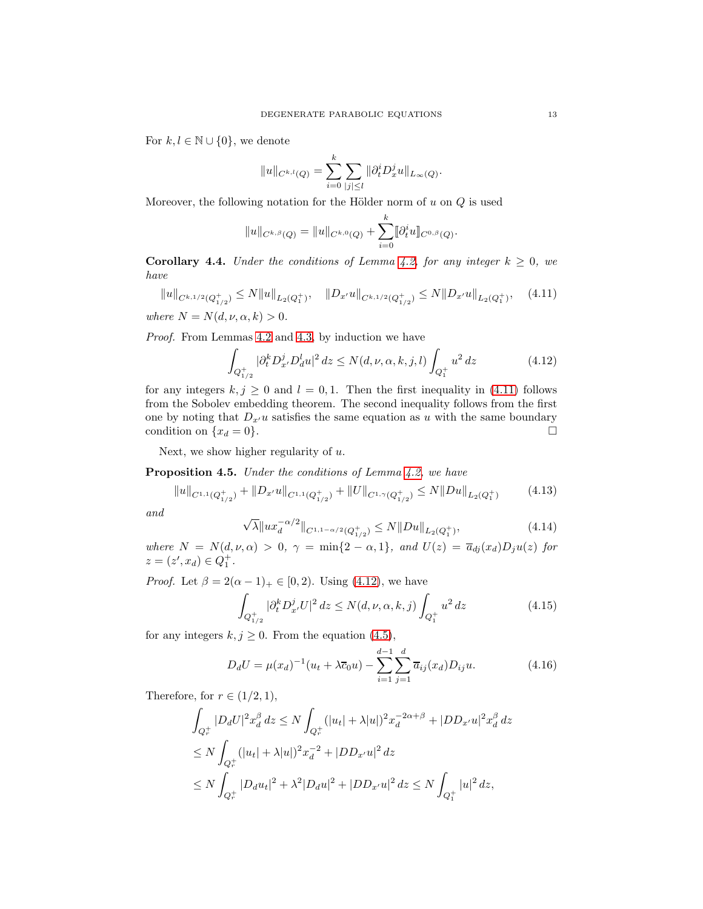For  $k, l \in \mathbb{N} \cup \{0\}$ , we denote

$$
||u||_{C^{k,l}(Q)} = \sum_{i=0}^k \sum_{|j| \le l} ||\partial_t^i D_x^j u||_{L_\infty(Q)}.
$$

Moreover, the following notation for the Hölder norm of  $u$  on  $Q$  is used

$$
||u||_{C^{k,\beta}(Q)} = ||u||_{C^{k,0}(Q)} + \sum_{i=0}^k [\partial_t^i u]]_{C^{0,\beta}(Q)}.
$$

**Corollary 4.4.** Under the conditions of Lemma [4.2,](#page-11-4) for any integer  $k \geq 0$ , we have

<span id="page-12-1"></span>
$$
||u||_{C^{k,1/2}(Q_{1/2}^+)} \le N||u||_{L_2(Q_1^+)}, \quad ||D_{x'}u||_{C^{k,1/2}(Q_{1/2}^+)} \le N||D_{x'}u||_{L_2(Q_1^+)}, \quad (4.11)
$$

where  $N = N(d, \nu, \alpha, k) > 0$ .

Proof. From Lemmas [4.2](#page-11-4) and [4.3,](#page-11-5) by induction we have

<span id="page-12-2"></span>
$$
\int_{Q_{1/2}^+} |\partial_t^k D_{x'}^j D_d^l u|^2 \, dz \le N(d, \nu, \alpha, k, j, l) \int_{Q_1^+} u^2 \, dz \tag{4.12}
$$

for any integers  $k, j \geq 0$  and  $l = 0, 1$ . Then the first inequality in [\(4.11\)](#page-12-1) follows from the Sobolev embedding theorem. The second inequality follows from the first one by noting that  $D_{x'}u$  satisfies the same equation as u with the same boundary condition on  $\{x_d = 0\}$ .

Next, we show higher regularity of  $u$ .

<span id="page-12-0"></span>Proposition 4.5. Under the conditions of Lemma [4.2,](#page-11-4) we have

<span id="page-12-5"></span>
$$
||u||_{C^{1,1}(Q_{1/2}^+)} + ||D_{x'}u||_{C^{1,1}(Q_{1/2}^+)} + ||U||_{C^{1,\gamma}(Q_{1/2}^+)} \le N||Du||_{L_2(Q_1^+)} \tag{4.13}
$$

and

<span id="page-12-6"></span>
$$
\sqrt{\lambda} \|ux_d^{-\alpha/2}\|_{C^{1,1-\alpha/2}(Q_{1/2}^+)} \le N \|Du\|_{L_2(Q_1^+)},\tag{4.14}
$$

where  $N = N(d, \nu, \alpha) > 0$ ,  $\gamma = \min\{2 - \alpha, 1\}$ , and  $U(z) = \overline{a}_{dj}(x_d)D_ju(z)$  for  $z = (z', x_d) \in Q_1^+$ .

*Proof.* Let  $\beta = 2(\alpha - 1)_{+} \in [0, 2)$ . Using [\(4.12\)](#page-12-2), we have

<span id="page-12-3"></span>
$$
\int_{Q_{1/2}^+} |\partial_t^k D_{x'}^j U|^2 dz \le N(d, \nu, \alpha, k, j) \int_{Q_1^+} u^2 dz \tag{4.15}
$$

for any integers  $k, j \geq 0$ . From the equation [\(4.5\)](#page-10-6),

<span id="page-12-4"></span>
$$
D_d U = \mu(x_d)^{-1} (u_t + \lambda \overline{c}_0 u) - \sum_{i=1}^{d-1} \sum_{j=1}^d \overline{a}_{ij}(x_d) D_{ij} u.
$$
 (4.16)

Therefore, for  $r \in (1/2, 1)$ ,

$$
\int_{Q_r^+} |D_d U|^2 x_d^{\beta} \, dz \le N \int_{Q_r^+} (|u_t| + \lambda |u|)^2 x_d^{-2\alpha + \beta} + |DD_{x'} u|^2 x_d^{\beta} \, dz
$$
\n
$$
\le N \int_{Q_r^+} (|u_t| + \lambda |u|)^2 x_d^{-2} + |DD_{x'} u|^2 \, dz
$$
\n
$$
\le N \int_{Q_r^+} |D_d u_t|^2 + \lambda^2 |D_d u|^2 + |DD_{x'} u|^2 \, dz \le N \int_{Q_1^+} |u|^2 \, dz,
$$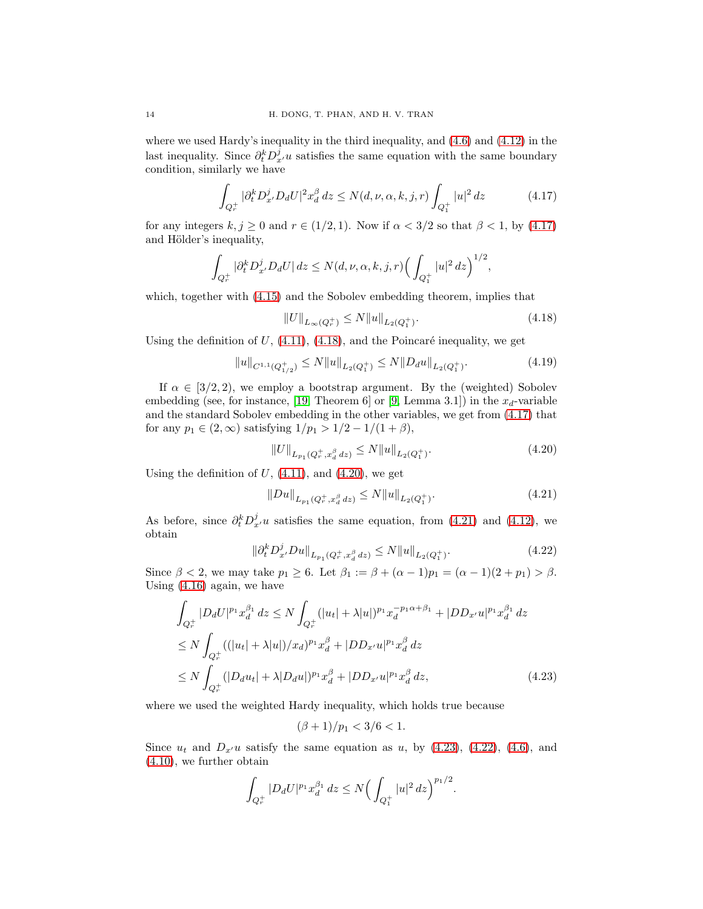where we used Hardy's inequality in the third inequality, and [\(4.6\)](#page-11-3) and [\(4.12\)](#page-12-2) in the last inequality. Since  $\partial_t^k D_{x'}^j u$  satisfies the same equation with the same boundary condition, similarly we have

<span id="page-13-0"></span>
$$
\int_{Q_r^+} |\partial_t^k D_{x'}^j D_d U|^2 x_d^{\beta} dz \le N(d, \nu, \alpha, k, j, r) \int_{Q_1^+} |u|^2 dz \tag{4.17}
$$

for any integers  $k, j \ge 0$  and  $r \in (1/2, 1)$ . Now if  $\alpha < 3/2$  so that  $\beta < 1$ , by [\(4.17\)](#page-13-0) and Hölder's inequality,

$$
\int_{Q_r^+} |\partial_t^k D_{x'}^j D_d U| \, dz \le N(d, \nu, \alpha, k, j, r) \Big( \int_{Q_1^+} |u|^2 \, dz \Big)^{1/2},
$$

which, together with  $(4.15)$  and the Sobolev embedding theorem, implies that

<span id="page-13-1"></span>
$$
||U||_{L_{\infty}(Q_r^+)} \le N||u||_{L_2(Q_1^+)}.\tag{4.18}
$$

Using the definition of  $U$ , [\(4.11\)](#page-12-1), [\(4.18\)](#page-13-1), and the Poincaré inequality, we get

<span id="page-13-6"></span>
$$
||u||_{C^{1,1}(Q_{1/2}^+)} \le N||u||_{L_2(Q_1^+)} \le N||D_d u||_{L_2(Q_1^+)}.
$$
\n(4.19)

If  $\alpha \in [3/2, 2)$ , we employ a bootstrap argument. By the (weighted) Sobolev embedding (see, for instance, [\[19,](#page-28-22) Theorem 6] or [\[9,](#page-28-10) Lemma 3.1]) in the  $x_d$ -variable and the standard Sobolev embedding in the other variables, we get from [\(4.17\)](#page-13-0) that for any  $p_1 \in (2,\infty)$  satisfying  $1/p_1 > 1/2 - 1/(1+\beta)$ ,

<span id="page-13-2"></span>
$$
||U||_{L_{p_1}(Q^+_r, x_d^{\beta} dz)} \le N||u||_{L_2(Q^+_1)}.
$$
\n(4.20)

Using the definition of  $U$ ,  $(4.11)$ , and  $(4.20)$ , we get

<span id="page-13-3"></span>
$$
||Du||_{L_{p_1}(Q_\tau^+, x_d^\beta \, dz)} \le N ||u||_{L_2(Q_1^+)}.
$$
\n(4.21)

As before, since  $\partial_t^k D_{x'}^j u$  satisfies the same equation, from [\(4.21\)](#page-13-3) and [\(4.12\)](#page-12-2), we obtain

<span id="page-13-5"></span>
$$
\|\partial_t^k D_{x'}^j D u\|_{L_{p_1}(Q_r^+, x_d^{\beta} \, dz)} \le N \|u\|_{L_2(Q_1^+)}.
$$
\n(4.22)

Since  $\beta < 2$ , we may take  $p_1 \geq 6$ . Let  $\beta_1 := \beta + (\alpha - 1)p_1 = (\alpha - 1)(2 + p_1) > \beta$ . Using [\(4.16\)](#page-12-4) again, we have

$$
\int_{Q_r^+} |D_d U|^{p_1} x_d^{\beta_1} dz \le N \int_{Q_r^+} (|u_t| + \lambda |u|)^{p_1} x_d^{-p_1 \alpha + \beta_1} + |DD_{x'} u|^{p_1} x_d^{\beta_1} dz
$$
\n
$$
\le N \int_{Q_r^+} ((|u_t| + \lambda |u|) / x_d)^{p_1} x_d^{\beta} + |DD_{x'} u|^{p_1} x_d^{\beta} dz
$$
\n
$$
\le N \int_{Q_r^+} (|D_d u_t| + \lambda |D_d u|)^{p_1} x_d^{\beta} + |DD_{x'} u|^{p_1} x_d^{\beta} dz, \tag{4.23}
$$

where we used the weighted Hardy inequality, which holds true because

<span id="page-13-4"></span>
$$
(\beta + 1)/p_1 < 3/6 < 1.
$$

Since  $u_t$  and  $D_{x'}u$  satisfy the same equation as u, by [\(4.23\)](#page-13-4), [\(4.22\)](#page-13-5), [\(4.6\)](#page-11-3), and [\(4.10\)](#page-11-6), we further obtain

$$
\int_{Q_r^+} |D_d U|^{p_1} x_d^{\beta_1} dz \le N \Big( \int_{Q_1^+} |u|^2 dz \Big)^{p_1/2}.
$$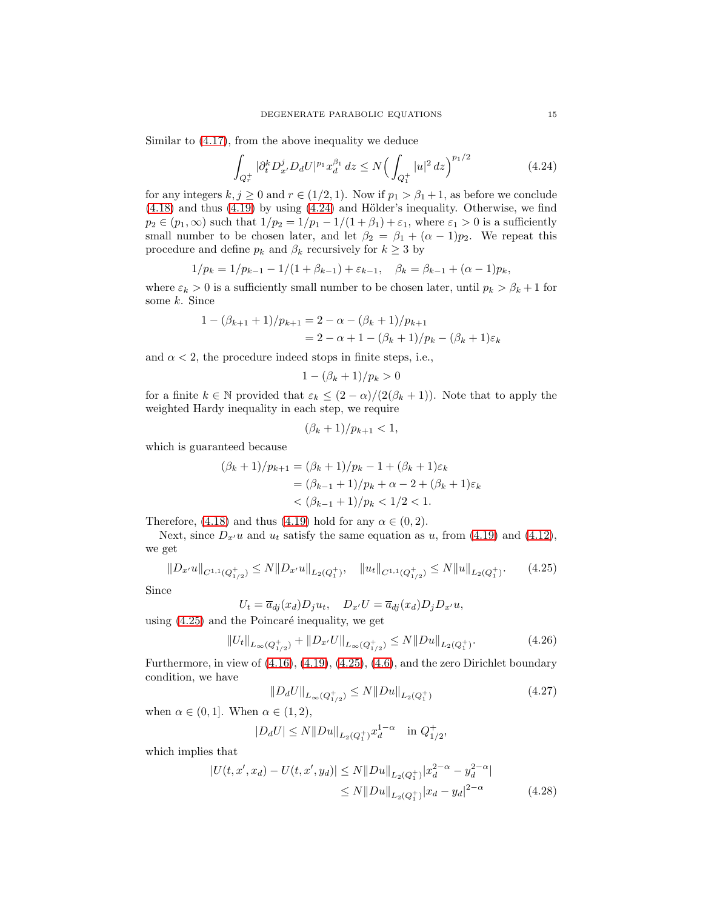Similar to [\(4.17\)](#page-13-0), from the above inequality we deduce

<span id="page-14-0"></span>
$$
\int_{Q_r^+} |\partial_t^k D_{x'}^j D_d U|^{p_1} x_d^{\beta_1} dz \le N \Big( \int_{Q_1^+} |u|^2 dz \Big)^{p_1/2} \tag{4.24}
$$

for any integers  $k, j \ge 0$  and  $r \in (1/2, 1)$ . Now if  $p_1 > \beta_1 + 1$ , as before we conclude  $(4.18)$  and thus  $(4.19)$  by using  $(4.24)$  and Hölder's inequality. Otherwise, we find  $p_2 \in (p_1, \infty)$  such that  $1/p_2 = 1/p_1 - 1/(1+\beta_1) + \varepsilon_1$ , where  $\varepsilon_1 > 0$  is a sufficiently small number to be chosen later, and let  $\beta_2 = \beta_1 + (\alpha - 1)p_2$ . We repeat this procedure and define  $p_k$  and  $\beta_k$  recursively for  $k \geq 3$  by

$$
1/p_k = 1/p_{k-1} - 1/(1 + \beta_{k-1}) + \varepsilon_{k-1}, \quad \beta_k = \beta_{k-1} + (\alpha - 1)p_k,
$$

where  $\varepsilon_k > 0$  is a sufficiently small number to be chosen later, until  $p_k > \beta_k + 1$  for some k. Since

$$
1 - (\beta_{k+1} + 1)/p_{k+1} = 2 - \alpha - (\beta_k + 1)/p_{k+1}
$$
  
= 2 - \alpha + 1 - (\beta\_k + 1)/p\_k - (\beta\_k + 1)\varepsilon\_k

and  $\alpha < 2$ , the procedure indeed stops in finite steps, i.e.,

$$
1 - (\beta_k + 1)/p_k > 0
$$

for a finite  $k \in \mathbb{N}$  provided that  $\varepsilon_k \leq (2-\alpha)/(2(\beta_k+1))$ . Note that to apply the weighted Hardy inequality in each step, we require

$$
(\beta_k + 1)/p_{k+1} < 1,
$$

which is guaranteed because

$$
(\beta_k + 1)/p_{k+1} = (\beta_k + 1)/p_k - 1 + (\beta_k + 1)\varepsilon_k
$$
  
=  $(\beta_{k-1} + 1)/p_k + \alpha - 2 + (\beta_k + 1)\varepsilon_k$   
<  $(\beta_{k-1} + 1)/p_k < 1/2 < 1$ .

Therefore, [\(4.18\)](#page-13-1) and thus [\(4.19\)](#page-13-6) hold for any  $\alpha \in (0, 2)$ .

Next, since  $D_{x'}u$  and  $u_t$  satisfy the same equation as u, from [\(4.19\)](#page-13-6) and [\(4.12\)](#page-12-2), we get

<span id="page-14-1"></span>
$$
||D_{x'}u||_{C^{1,1}(Q_{1/2}^+)} \le N||D_{x'}u||_{L_2(Q_1^+)}, \quad ||u_t||_{C^{1,1}(Q_{1/2}^+)} \le N||u||_{L_2(Q_1^+)}.
$$
 (4.25)

Since

$$
U_t = \overline{a}_{dj}(x_d)D_j u_t, \quad D_{x'}U = \overline{a}_{dj}(x_d)D_j D_{x'} u,
$$

using  $(4.25)$  and the Poincaré inequality, we get

<span id="page-14-2"></span>
$$
||U_t||_{L_{\infty}(Q_{1/2}^+)} + ||D_{x'}U||_{L_{\infty}(Q_{1/2}^+)} \le N||Du||_{L_2(Q_1^+)}.
$$
\n(4.26)

Furthermore, in view of [\(4.16\)](#page-12-4), [\(4.19\)](#page-13-6), [\(4.25\)](#page-14-1), [\(4.6\)](#page-11-3), and the zero Dirichlet boundary condition, we have

<span id="page-14-4"></span><span id="page-14-3"></span>
$$
||D_d U||_{L_{\infty}(Q_{1/2}^+)} \le N ||Du||_{L_2(Q_1^+)}
$$
\n(4.27)

when  $\alpha \in (0,1]$ . When  $\alpha \in (1,2)$ ,

$$
|D_d U| \le N ||Du||_{L_2(Q_1^+)} x_d^{1-\alpha} \quad \text{in } Q_{1/2}^+,
$$

which implies that

$$
|U(t, x', x_d) - U(t, x', y_d)| \le N ||Du||_{L_2(Q_1^+)} |x_d^{2-\alpha} - y_d^{2-\alpha}|
$$
  
 
$$
\le N ||Du||_{L_2(Q_1^+)} |x_d - y_d|^{2-\alpha}
$$
 (4.28)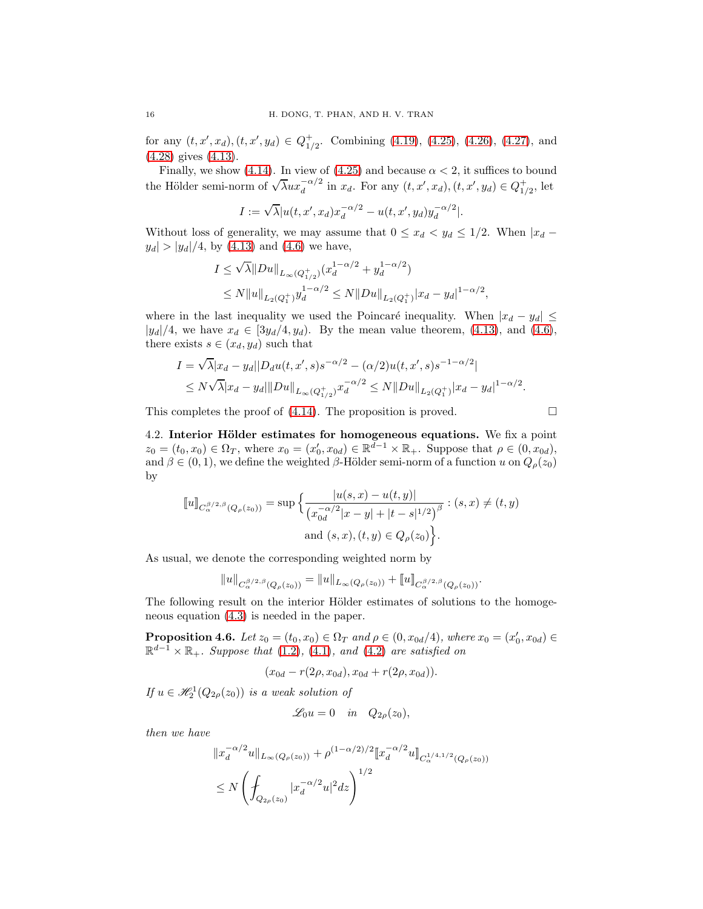for any  $(t, x', x_d), (t, x', y_d) \in Q_{1/2}^+$ . Combining [\(4.19\)](#page-13-6), [\(4.25\)](#page-14-1), [\(4.26\)](#page-14-2), [\(4.27\)](#page-14-3), and [\(4.28\)](#page-14-4) gives [\(4.13\)](#page-12-5).

Finally, we show [\(4.14\)](#page-12-6). In view of [\(4.25\)](#page-14-1) and because  $\alpha < 2$ , it suffices to bound the Hölder semi-norm of  $\sqrt{\lambda}ux_d^{-\alpha/2}$  in  $x_d$ . For any  $(t, x', x_d)$ ,  $(t, x', y_d) \in Q_{1/2}^+$ , let

$$
I := \sqrt{\lambda} |u(t, x', x_d) x_d^{-\alpha/2} - u(t, x', y_d) y_d^{-\alpha/2}|.
$$

Without loss of generality, we may assume that  $0 \le x_d < y_d \le 1/2$ . When  $|x_d |y_d| > |y_d|/4$ , by [\(4.13\)](#page-12-5) and [\(4.6\)](#page-11-3) we have,

$$
I \le \sqrt{\lambda} ||Du||_{L_{\infty}(Q_{1/2}^+)} (x_d^{1-\alpha/2} + y_d^{1-\alpha/2})
$$
  
\n
$$
\le N ||u||_{L_2(Q_1^+)} y_d^{1-\alpha/2} \le N ||Du||_{L_2(Q_1^+)} |x_d - y_d|^{1-\alpha/2},
$$

where in the last inequality we used the Poincaré inequality. When  $|x_d - y_d| \leq$  $|y_d|/4$ , we have  $x_d \in [3y_d/4, y_d)$ . By the mean value theorem, [\(4.13\)](#page-12-5), and [\(4.6\)](#page-11-3), there exists  $s \in (x_d, y_d)$  such that

$$
I = \sqrt{\lambda}|x_d - y_d||D_d u(t, x', s)s^{-\alpha/2} - (\alpha/2)u(t, x', s)s^{-1-\alpha/2}|
$$
  
\$\leq N\sqrt{\lambda}|x\_d - y\_d|||Du||\_{L\_{\infty}(Q\_{1/2}^+)}x\_d^{-\alpha/2} \leq N||Du||\_{L\_2(Q\_1^+)}|x\_d - y\_d|^{1-\alpha/2}\$.

<span id="page-15-0"></span>This completes the proof of  $(4.14)$ . The proposition is proved.

4.2. Interior Hölder estimates for homogeneous equations. We fix a point  $z_0 = (t_0, x_0) \in \Omega_T$ , where  $x_0 = (x'_0, x_{0d}) \in \mathbb{R}^{d-1} \times \mathbb{R}_+$ . Suppose that  $\rho \in (0, x_{0d})$ , and  $\beta \in (0, 1)$ , we define the weighted  $\beta$ -Hölder semi-norm of a function u on  $Q_{\rho}(z_0)$ by

$$
\llbracket u \rrbracket_{C_{\alpha}^{\beta/2,\beta}(Q_{\rho}(z_0))} = \sup \Big\{ \frac{|u(s,x) - u(t,y)|}{(x_{0d}^{-\alpha/2}|x-y| + |t-s|^{1/2})^{\beta}} : (s,x) \neq (t,y) \text{ and } (s,x), (t,y) \in Q_{\rho}(z_0) \Big\}.
$$

As usual, we denote the corresponding weighted norm by

$$
||u||_{C^{\beta/2,\beta}_{\alpha}(Q_{\rho}(z_0))} = ||u||_{L_{\infty}(Q_{\rho}(z_0))} + ||u||_{C^{\beta/2,\beta}_{\alpha}(Q_{\rho}(z_0))}.
$$

The following result on the interior Hölder estimates of solutions to the homogeneous equation [\(4.3\)](#page-10-3) is needed in the paper.

<span id="page-15-1"></span>**Proposition 4.6.** Let  $z_0 = (t_0, x_0) \in \Omega_T$  and  $\rho \in (0, x_{0d}/4)$ , where  $x_0 = (x'_0, x_{0d}) \in$  $\mathbb{R}^{d-1} \times \mathbb{R}_+$ . Suppose that [\(1.2\)](#page-0-2), [\(4.1\)](#page-10-1), and [\(4.2\)](#page-10-2) are satisfied on

$$
(x_{0d} - r(2\rho, x_{0d}), x_{0d} + r(2\rho, x_{0d})).
$$

If  $u \in \mathcal{H}_2^1(Q_{2\rho}(z_0))$  is a weak solution of

$$
\mathscr{L}_0 u = 0 \quad in \quad Q_{2\rho}(z_0),
$$

then we have

$$
||x_d^{-\alpha/2}u||_{L_\infty(Q_\rho(z_0))} + \rho^{(1-\alpha/2)/2} ||x_d^{-\alpha/2}u||_{C_\alpha^{1/4,1/2}(Q_\rho(z_0))}
$$
  
\n
$$
\leq N \left( \int_{Q_{2\rho}(z_0)} |x_d^{-\alpha/2}u|^2 dz \right)^{1/2}
$$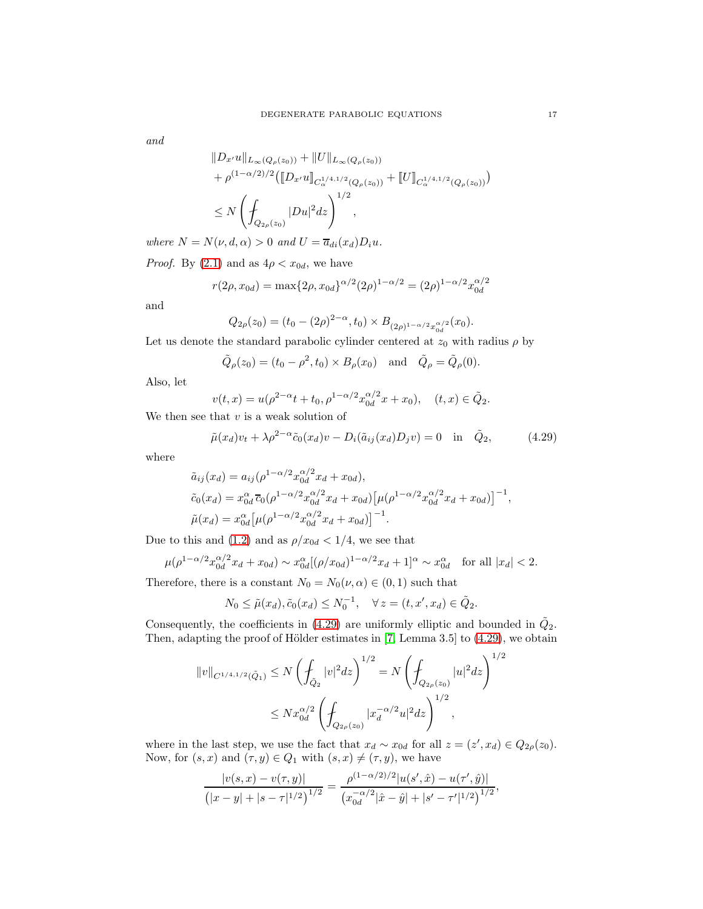and

$$
||D_{x'}u||_{L_{\infty}(Q_{\rho}(z_0))} + ||U||_{L_{\infty}(Q_{\rho}(z_0))}
$$
  
+  $\rho^{(1-\alpha/2)/2}([\![D_{x'}u]\!]_{C_{\alpha}^{1/4,1/2}(Q_{\rho}(z_0))} + [[U]\!]_{C_{\alpha}^{1/4,1/2}(Q_{\rho}(z_0))})$   
 $\leq N \left(\int_{Q_{2\rho}(z_0)} |Du|^2 dz\right)^{1/2},$ 

where  $N = N(\nu, d, \alpha) > 0$  and  $U = \overline{a}_{di}(x_d)D_i u$ .

*Proof.* By [\(2.1\)](#page-4-0) and as  $4\rho < x_{0d}$ , we have

$$
r(2\rho, x_{0d}) = \max\{2\rho, x_{0d}\}^{\alpha/2}(2\rho)^{1-\alpha/2} = (2\rho)^{1-\alpha/2} x_{0d}^{\alpha/2}
$$

and

$$
Q_{2\rho}(z_0) = (t_0 - (2\rho)^{2-\alpha}, t_0) \times B_{(2\rho)^{1-\alpha/2}x_{0d}^{\alpha/2}}(x_0).
$$

Let us denote the standard parabolic cylinder centered at  $z_0$  with radius  $\rho$  by

$$
\tilde{Q}_{\rho}(z_0) = (t_0 - \rho^2, t_0) \times B_{\rho}(x_0)
$$
 and  $\tilde{Q}_{\rho} = \tilde{Q}_{\rho}(0)$ .

Also, let

$$
v(t,x) = u(\rho^{2-\alpha}t + t_0, \rho^{1-\alpha/2}x_{0d}^{\alpha/2}x + x_0), \quad (t,x) \in \tilde{Q}_2.
$$

We then see that  $v$  is a weak solution of

<span id="page-16-0"></span>
$$
\tilde{\mu}(x_d)v_t + \lambda \rho^{2-\alpha}\tilde{c}_0(x_d)v - D_i(\tilde{a}_{ij}(x_d)D_jv) = 0 \quad \text{in} \quad \tilde{Q}_2,\tag{4.29}
$$

where

$$
\tilde{a}_{ij}(x_d) = a_{ij}(\rho^{1-\alpha/2}x_{0d}^{\alpha/2}x_d + x_{0d}),
$$
\n
$$
\tilde{c}_0(x_d) = x_{0d}^{\alpha} \overline{c}_0(\rho^{1-\alpha/2}x_{0d}^{\alpha/2}x_d + x_{0d})[\mu(\rho^{1-\alpha/2}x_{0d}^{\alpha/2}x_d + x_{0d})]^{-1},
$$
\n
$$
\tilde{\mu}(x_d) = x_{0d}^{\alpha}[\mu(\rho^{1-\alpha/2}x_{0d}^{\alpha/2}x_d + x_{0d})]^{-1}.
$$

Due to this and [\(1.2\)](#page-0-2) and as  $\rho/x_{0d} < 1/4$ , we see that

$$
\mu(\rho^{1-\alpha/2}x_{0d}^{\alpha/2}x_d + x_{0d}) \sim x_{0d}^{\alpha}[(\rho/x_{0d})^{1-\alpha/2}x_d + 1]^{\alpha} \sim x_{0d}^{\alpha} \text{ for all } |x_d| < 2.
$$

Therefore, there is a constant  $N_0 = N_0(\nu, \alpha) \in (0, 1)$  such that

$$
N_0 \le \tilde{\mu}(x_d), \tilde{c}_0(x_d) \le N_0^{-1}, \quad \forall z = (t, x', x_d) \in \tilde{Q}_2.
$$

Consequently, the coefficients in [\(4.29\)](#page-16-0) are uniformly elliptic and bounded in  $\tilde{Q}_2$ . Then, adapting the proof of Hölder estimates in  $[7,$  Lemma 3.5 $]$  to [\(4.29\)](#page-16-0), we obtain

$$
||v||_{C^{1/4,1/2}(\tilde{Q}_1)} \le N \left(\int_{\tilde{Q}_2} |v|^2 dz\right)^{1/2} = N \left(\int_{Q_{2\rho}(z_0)} |u|^2 dz\right)^{1/2}
$$
  

$$
\le N x_{0d}^{\alpha/2} \left(\int_{Q_{2\rho}(z_0)} |x_d^{-\alpha/2}u|^2 dz\right)^{1/2},
$$

where in the last step, we use the fact that  $x_d \sim x_{0d}$  for all  $z = (z', x_d) \in Q_{2\rho}(z_0)$ . Now, for  $(s, x)$  and  $(\tau, y) \in Q_1$  with  $(s, x) \neq (\tau, y)$ , we have

$$
\frac{|v(s,x) - v(\tau,y)|}{\left(|x-y| + |s-\tau|^{1/2}\right)^{1/2}} = \frac{\rho^{(1-\alpha/2)/2} |u(s',\hat{x}) - u(\tau',\hat{y})|}{\left(x_{0d}^{-\alpha/2}|\hat{x} - \hat{y}| + |s'-\tau'|^{1/2}\right)^{1/2}},
$$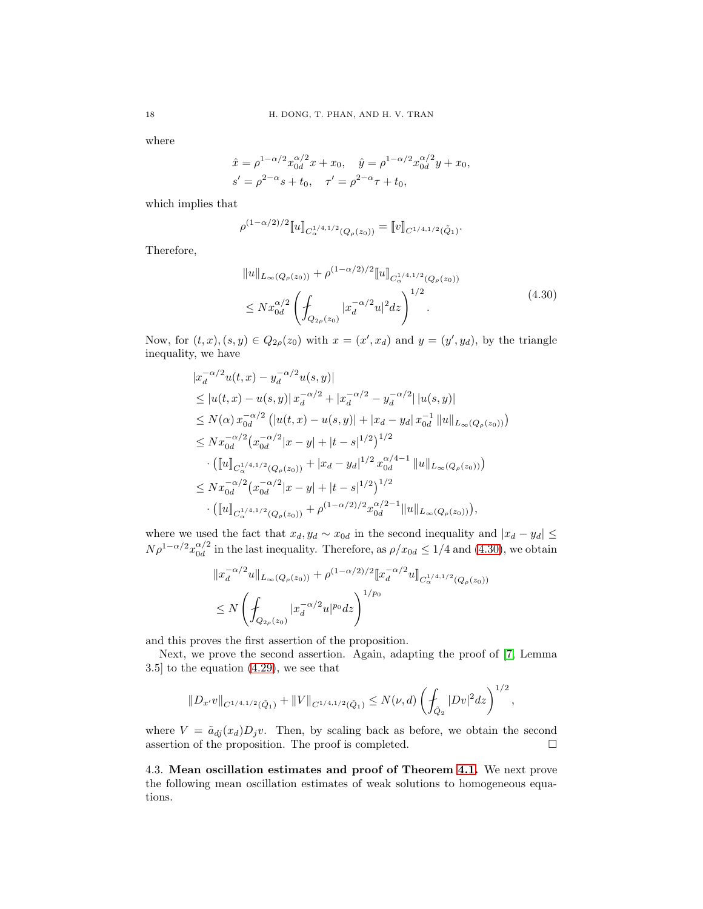where

$$
\hat{x} = \rho^{1-\alpha/2} x_{0d}^{\alpha/2} x + x_0, \quad \hat{y} = \rho^{1-\alpha/2} x_{0d}^{\alpha/2} y + x_0,
$$
  
\n
$$
s' = \rho^{2-\alpha} s + t_0, \quad \tau' = \rho^{2-\alpha} \tau + t_0,
$$

which implies that

$$
\rho^{(1-\alpha/2)/2}[\![u]\!]_{C^{1/4,1/2}_{\alpha}(Q_{\rho}(z_0))}=[\![v]\!]_{C^{1/4,1/2}(\tilde{Q}_1)}.
$$

<span id="page-17-1"></span>Therefore,

$$
||u||_{L_{\infty}(Q_{\rho}(z_0))} + \rho^{(1-\alpha/2)/2} [u]_{C_{\alpha}^{1/4,1/2}(Q_{\rho}(z_0))}
$$
  
\n
$$
\leq N x_{0d}^{\alpha/2} \left( \int_{Q_{2\rho}(z_0)} |x_d^{-\alpha/2} u|^2 dz \right)^{1/2}.
$$
\n(4.30)

Now, for  $(t, x)$ ,  $(s, y) \in Q_{2\rho}(z_0)$  with  $x = (x', x_d)$  and  $y = (y', y_d)$ , by the triangle inequality, we have

$$
|x_d^{-\alpha/2}u(t,x) - y_d^{-\alpha/2}u(s,y)|
$$
  
\n
$$
\leq |u(t,x) - u(s,y)| |x_d^{-\alpha/2} + |x_d^{-\alpha/2} - y_d^{-\alpha/2}| |u(s,y)|
$$
  
\n
$$
\leq N(\alpha) x_{0d}^{-\alpha/2} (|u(t,x) - u(s,y)| + |x_d - y_d| x_{0d}^{-1} ||u||_{L_\infty(Q_\rho(z_0))})
$$
  
\n
$$
\leq N x_{0d}^{-\alpha/2} (x_{0d}^{-\alpha/2} |x-y| + |t-s|^{1/2})^{1/2}
$$
  
\n
$$
\cdot ([[u]]_{C_{\alpha}^{1/4,1/2}(Q_\rho(z_0))} + |x_d - y_d|^{1/2} x_{0d}^{\alpha/4-1} ||u||_{L_\infty(Q_\rho(z_0))})
$$
  
\n
$$
\leq N x_{0d}^{-\alpha/2} (x_{0d}^{-\alpha/2} |x-y| + |t-s|^{1/2})^{1/2}
$$
  
\n
$$
\cdot ([[u]]_{C_{\alpha}^{1/4,1/2}(Q_\rho(z_0))} + \rho^{(1-\alpha/2)/2} x_{0d}^{\alpha/2-1} ||u||_{L_\infty(Q_\rho(z_0))}),
$$

where we used the fact that  $x_d, y_d \sim x_{0d}$  in the second inequality and  $|x_d - y_d| \le$  $N \rho^{1-\alpha/2} x_{0d}^{\alpha/2}$  $\frac{\alpha}{0d}$  in the last inequality. Therefore, as  $\rho/x_{0d} \leq 1/4$  and  $(4.30)$ , we obtain

$$
||x_d^{-\alpha/2}u||_{L_\infty(Q_\rho(z_0))} + \rho^{(1-\alpha/2)/2}||x_d^{-\alpha/2}u||_{C_\alpha^{1/4,1/2}(Q_\rho(z_0))}
$$
  
\n
$$
\leq N\left(\int_{Q_{2\rho}(z_0)} |x_d^{-\alpha/2}u|^{p_0}dz\right)^{1/p_0}
$$

and this proves the first assertion of the proposition.

Next, we prove the second assertion. Again, adapting the proof of [\[7,](#page-28-20) Lemma 3.5] to the equation [\(4.29\)](#page-16-0), we see that

$$
||D_{x'}v||_{C^{1/4,1/2}(\tilde{Q}_1)}+||V||_{C^{1/4,1/2}(\tilde{Q}_1)} \leq N(\nu,d)\left(\int_{\tilde{Q}_2} |Dv|^2 dz\right)^{1/2},
$$

where  $V = \tilde{a}_{dj}(x_d)D_j v$ . Then, by scaling back as before, we obtain the second assertion of the proposition. The proof is completed. assertion of the proposition. The proof is completed.

<span id="page-17-0"></span>4.3. Mean oscillation estimates and proof of Theorem [4.1.](#page-10-4) We next prove the following mean oscillation estimates of weak solutions to homogeneous equations.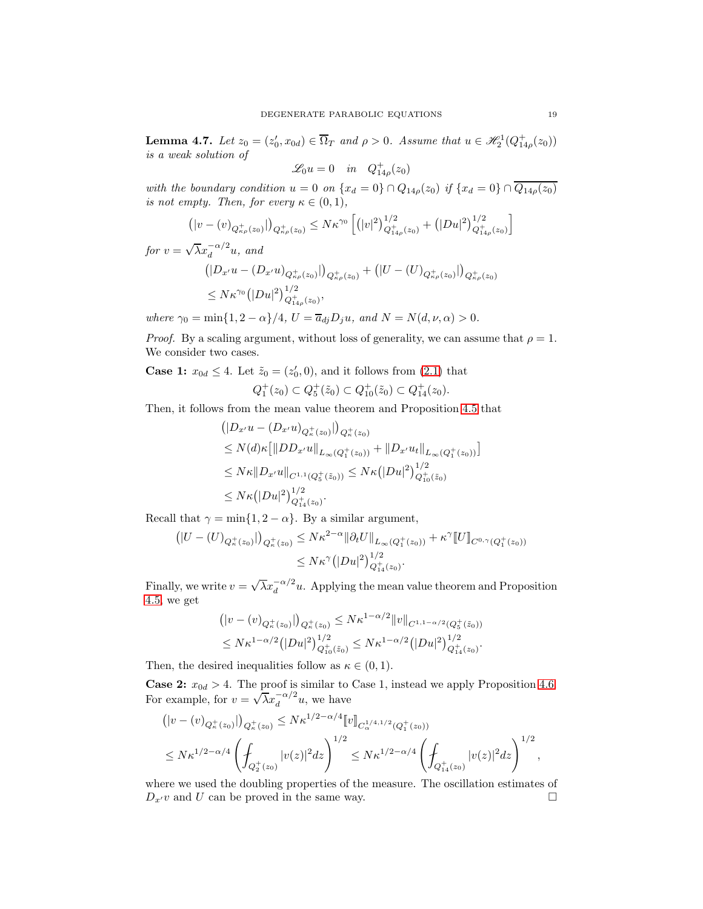<span id="page-18-0"></span>**Lemma 4.7.** Let  $z_0 = (z'_0, x_{0d}) \in \overline{\Omega}_T$  and  $\rho > 0$ . Assume that  $u \in \mathcal{H}_2^1(Q_{14\rho}^+(z_0))$ is a weak solution of

$$
\mathscr{L}_0 u = 0 \quad in \quad Q_{14\rho}^+(z_0)
$$

with the boundary condition  $u = 0$  on  $\{x_d = 0\} \cap Q_{14\rho}(z_0)$  if  $\{x_d = 0\} \cap Q_{14\rho}(z_0)$ is not empty. Then, for every  $\kappa \in (0,1)$ ,

$$
\left( |v - (v)_{Q_{\kappa\rho}^+(z_0)}| \right)_{Q_{\kappa\rho}^+(z_0)} \leq N\kappa^{\gamma_0} \left[ \left( |v|^2 \right)^{1/2}_{Q_{14\rho}^+(z_0)} + \left( |Du|^2 \right)^{1/2}_{Q_{14\rho}^+(z_0)} \right]
$$

for  $v = \sqrt{\lambda} x_d^{-\alpha/2} u$ , and  $\left(|D_{x'}u-(D_{x'}u)_{Q_{\kappa\rho}^+(z_0)}|\right)_{Q_{\kappa\rho}^+(z_0)}+\left(|U-(U)_{Q_{\kappa\rho}^+(z_0)}|\right)_{Q_{\kappa\rho}^+(z_0)}$  $\leq N\kappa^{\gamma_0} \big( |Du|^2 \big)^{1/2}_{Q^+_{14\rho}(z_0)},$ 

where  $\gamma_0 = \min\{1, 2 - \alpha\}/4$ ,  $U = \overline{a}_{dj}D_ju$ , and  $N = N(d, \nu, \alpha) > 0$ .

*Proof.* By a scaling argument, without loss of generality, we can assume that  $\rho = 1$ . We consider two cases.

**Case 1:**  $x_{0d} \leq 4$ . Let  $\tilde{z}_0 = (z'_0, 0)$ , and it follows from [\(2.1\)](#page-4-0) that

$$
Q_1^+(z_0) \subset Q_5^+(\tilde{z}_0) \subset Q_{10}^+(\tilde{z}_0) \subset Q_{14}^+(z_0).
$$

Then, it follows from the mean value theorem and Proposition [4.5](#page-12-0) that

$$
\begin{aligned} &\left( |D_{x'}u - (D_{x'}u)_{Q_{\kappa}^{+}(z_{0})}| \right)_{Q_{\kappa}^{+}(z_{0})} \\ &\leq N(d)\kappa \big[ \|DD_{x'}u\|_{L_{\infty}(Q_{1}^{+}(z_{0}))} + \|D_{x'}u_{t}\|_{L_{\infty}(Q_{1}^{+}(z_{0}))} \big] \\ &\leq N\kappa \|D_{x'}u\|_{C^{1,1}(Q_{5}^{+}(\tilde{z}_{0}))} \leq N\kappa \big( |Du|^{2} \big)^{1/2}_{Q_{10}^{+}(\tilde{z}_{0})} \\ &\leq N\kappa \big( |Du|^{2} \big)^{1/2}_{Q_{14}^{+}(z_{0})}. \end{aligned}
$$

Recall that  $\gamma = \min\{1, 2 - \alpha\}$ . By a similar argument,

$$
\left( |U - (U)_{Q^+_{\kappa}(z_0)}| \right)_{Q^+_{\kappa}(z_0)} \leq N\kappa^{2-\alpha} \|\partial_t U\|_{L_\infty(Q_1^+(z_0))} + \kappa^{\gamma} [U]_{C^{0,\gamma}(Q_1^+(z_0))}
$$
  

$$
\leq N\kappa^{\gamma} (|Du|^2)_{Q_{14}^+(z_0)}^{1/2}.
$$

Finally, we write  $v = \sqrt{\lambda} x_d^{-\alpha/2} u$ . Applying the mean value theorem and Proposition [4.5,](#page-12-0) we get

$$
\begin{aligned} & (|v - (v)_{Q_{\kappa}^+(z_0)}|)_{Q_{\kappa}^+(z_0)} \le N\kappa^{1-\alpha/2} \|v\|_{C^{1,1-\alpha/2}(Q_5^+(z_0))} \\ & \le N\kappa^{1-\alpha/2} (|Du|^2)_{Q_{10}^+(z_0)}^{1/2} \le N\kappa^{1-\alpha/2} (|Du|^2)_{Q_{14}^+(z_0)}^{1/2} .\end{aligned}
$$

Then, the desired inequalities follow as  $\kappa \in (0,1)$ .

**Case 2:**  $x_{0d} > 4$ . The proof is similar to Case 1, instead we apply Proposition [4.6.](#page-15-1) For example, for  $v = \sqrt{\lambda} x_d^{-\alpha/2} u$ , we have

$$
\begin{split} &\left(|v-(v)_{Q_{\kappa}^+(z_0)}|\right)_{Q_{\kappa}^+(z_0)} \leq N\kappa^{1/2-\alpha/4} \llbracket v \rrbracket_{C_{\alpha}^{1/4,1/2}(Q_1^+(z_0))} \\ &\leq N\kappa^{1/2-\alpha/4} \left(\int_{Q_2^+(z_0)} |v(z)|^2 dz\right)^{1/2} \leq N\kappa^{1/2-\alpha/4} \left(\int_{Q_{14}^+(z_0)} |v(z)|^2 dz\right)^{1/2}, \end{split}
$$

where we used the doubling properties of the measure. The oscillation estimates of  $D_{x'}v$  and U can be proved in the same way.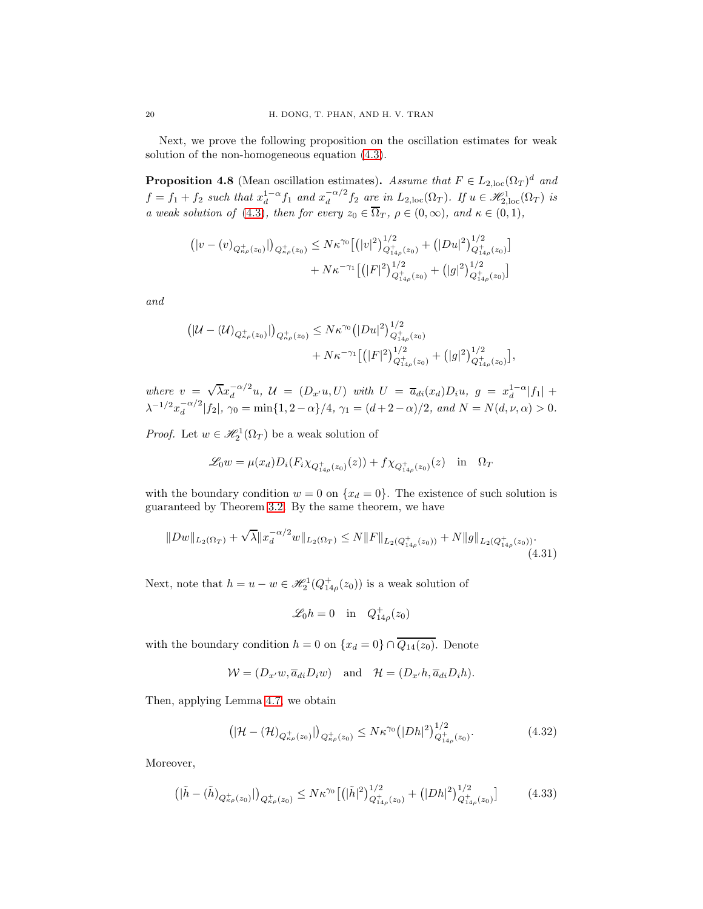Next, we prove the following proposition on the oscillation estimates for weak solution of the non-homogeneous equation [\(4.3\)](#page-10-3).

<span id="page-19-3"></span>**Proposition 4.8** (Mean oscillation estimates). Assume that  $F \in L_{2,loc}(\Omega_T)^d$  and  $f = f_1 + f_2$  such that  $x_d^{1-\alpha} f_1$  and  $x_d^{-\alpha/2}$  $\frac{d}{d} \alpha^{2} f_2$  are in  $L_{2,loc}(\Omega_T)$ . If  $u \in \mathscr{H}_{2,loc}^{1}(\Omega_T)$  is a weak solution of [\(4.3\)](#page-10-3), then for every  $z_0 \in \Omega_T$ ,  $\rho \in (0, \infty)$ , and  $\kappa \in (0, 1)$ ,

$$
\begin{aligned} \left(|v-(v)_{Q_{\kappa\rho}^{+}(z_{0})}|\right)_{Q_{\kappa\rho}^{+}(z_{0})} &\leq N\kappa^{\gamma_{0}}\big[ \left(|v|^{2}\right)_{Q_{14\rho}^{+}(z_{0})}^{1/2}+\left(|Du|^{2}\right)_{Q_{14\rho}^{+}(z_{0})}^{1/2}\big] \\ &\quad +N\kappa^{-\gamma_{1}}\big[ \left(|F|^{2}\right)_{Q_{14\rho}^{+}(z_{0})}^{1/2}+\left(|g|^{2}\right)_{Q_{14\rho}^{+}(z_{0})}^{1/2}\big] \end{aligned}
$$

and

$$
\begin{aligned} \left(|\mathcal{U} - (\mathcal{U})_{Q_{\kappa\rho}^+(z_0)}|\right)_{Q_{\kappa\rho}^+(z_0)} &\leq N\kappa^{\gamma_0} \big(|Du|^2\big)^{1/2}_{Q_{14\rho}^+(z_0)} \\ &+ N\kappa^{-\gamma_1} \big[ \big(|F|^2\big)^{1/2}_{Q_{14\rho}^+(z_0)} + \big(|g|^2\big)^{1/2}_{Q_{14\rho}^+(z_0)} \big], \end{aligned}
$$

where  $v = \sqrt{\lambda} x_d^{-\alpha/2} u$ ,  $\mathcal{U} = (D_{x'}u, U)$  with  $U = \overline{a}_{di}(x_d) D_i u$ ,  $g = x_d^{1-\alpha} |f_1| +$  $\lambda^{-1/2} x_d^{-\alpha/2}$  $\int_{d}^{-\alpha/2} |f_2|, \gamma_0 = \min\{1, 2-\alpha\}/4, \gamma_1 = (d+2-\alpha)/2, \text{ and } N = N(d,\nu,\alpha) > 0.$ 

*Proof.* Let  $w \in \mathcal{H}_2^1(\Omega_T)$  be a weak solution of

$$
\mathcal{L}_0 w = \mu(x_d) D_i(F_i \chi_{Q_{14\rho}^+(z_0)}(z)) + f \chi_{Q_{14\rho}^+(z_0)}(z) \text{ in } \Omega_T
$$

with the boundary condition  $w = 0$  on  $\{x_d = 0\}$ . The existence of such solution is guaranteed by Theorem [3.2.](#page-9-2) By the same theorem, we have

<span id="page-19-1"></span>
$$
||Dw||_{L_2(\Omega_T)} + \sqrt{\lambda} ||x_d^{-\alpha/2}w||_{L_2(\Omega_T)} \le N ||F||_{L_2(Q_{14\rho}^+(z_0))} + N ||g||_{L_2(Q_{14\rho}^+(z_0))}.
$$
\n(4.31)

Next, note that  $h = u - w \in \mathcal{H}_2^1(Q_{14\rho}^+(z_0))$  is a weak solution of

$$
\mathscr{L}_0 h = 0 \quad \text{in} \quad Q_{14\rho}^+(z_0)
$$

with the boundary condition  $h = 0$  on  $\{x_d = 0\} \cap \overline{Q_{14}(z_0)}$ . Denote

$$
\mathcal{W} = (D_{x'}w, \overline{a}_{di}D_iw) \text{ and } \mathcal{H} = (D_{x'}h, \overline{a}_{di}D_ih).
$$

Then, applying Lemma [4.7,](#page-18-0) we obtain

<span id="page-19-0"></span>
$$
\left( |\mathcal{H} - (\mathcal{H})_{Q_{\kappa\rho}^+(z_0)}| \right)_{Q_{\kappa\rho}^+(z_0)} \le N\kappa^{\gamma_0} \left( |Dh|^2 \right)_{Q_{14\rho}^+(z_0)}^{1/2}.
$$
\n(4.32)

Moreover,

<span id="page-19-2"></span>
$$
\left( |\tilde{h} - (\tilde{h})_{Q_{\kappa\rho}^+(z_0)}| \right)_{Q_{\kappa\rho}^+(z_0)} \le N\kappa^{\gamma_0} \left[ \left( |\tilde{h}|^2 \right)_{Q_{14\rho}^+(z_0)}^{1/2} + \left( |Dh|^2 \right)_{Q_{14\rho}^+(z_0)}^{1/2} \right] \tag{4.33}
$$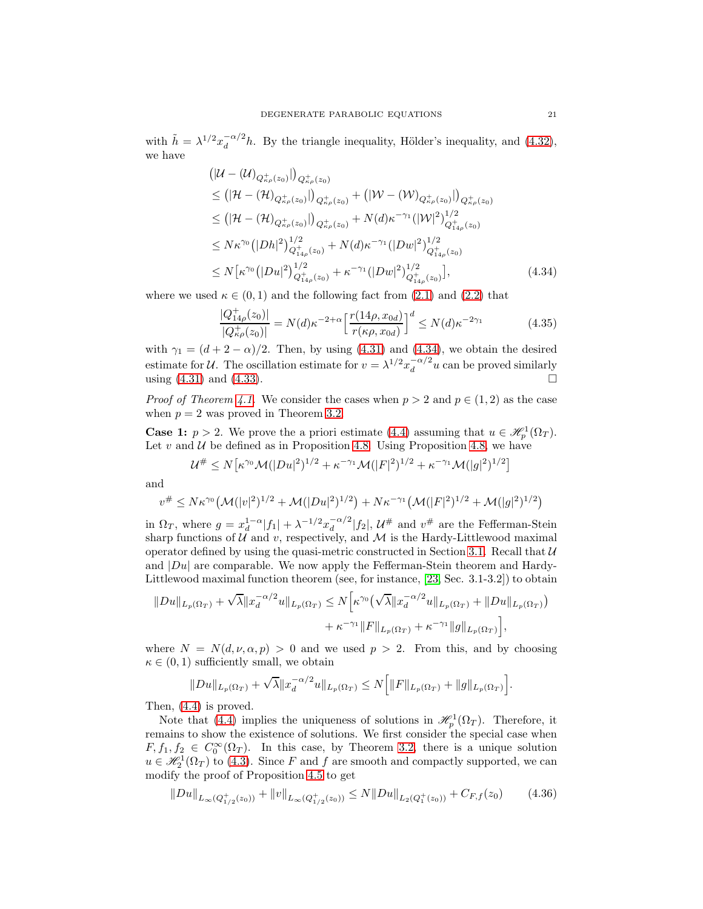with  $\tilde{h} = \lambda^{1/2} x_d^{-\alpha/2}$  $\frac{d}{dt}$  and  $\frac{d}{dt}$ . By the triangle inequality, Hölder's inequality, and  $(4.32)$ , we have

$$
\begin{split}\n&\left(|\mathcal{U} - (\mathcal{U})_{Q_{\kappa\rho}^{+}(z_{0})}|\right)_{Q_{\kappa\rho}^{+}(z_{0})} \\
&\leq \left(|\mathcal{H} - (\mathcal{H})_{Q_{\kappa\rho}^{+}(z_{0})}|\right)_{Q_{\kappa\rho}^{+}(z_{0})} + \left(|\mathcal{W} - (\mathcal{W})_{Q_{\kappa\rho}^{+}(z_{0})}|\right)_{Q_{\kappa\rho}^{+}(z_{0})} \\
&\leq \left(|\mathcal{H} - (\mathcal{H})_{Q_{\kappa\rho}^{+}(z_{0})}|\right)_{Q_{\kappa\rho}^{+}(z_{0})} + N(d)\kappa^{-\gamma_{1}}(|\mathcal{W}|^{2})_{Q_{14\rho}^{+}(z_{0})}^{1/2} \\
&\leq N\kappa^{\gamma_{0}}\left(|Dh|^{2}\right)_{Q_{14\rho}^{+}(z_{0})}^{1/2} + N(d)\kappa^{-\gamma_{1}}(|Dw|^{2})_{Q_{14\rho}^{+}(z_{0})}^{1/2} \\
&\leq N\left[\kappa^{\gamma_{0}}\left(|Du|^{2}\right)_{Q_{14\rho}^{+}(z_{0})}^{1/2} + \kappa^{-\gamma_{1}}(|Dw|^{2})_{Q_{14\rho}^{+}(z_{0})}^{1/2}\right],\n\end{split} \tag{4.34}
$$

where we used  $\kappa \in (0,1)$  and the following fact from  $(2.1)$  and  $(2.2)$  that

<span id="page-20-2"></span><span id="page-20-0"></span>
$$
\frac{|Q_{14\rho}^{+}(z_0)|}{|Q_{\kappa\rho}^{+}(z_0)|} = N(d)\kappa^{-2+\alpha} \left[\frac{r(14\rho, x_{0d})}{r(\kappa\rho, x_{0d})}\right]^d \le N(d)\kappa^{-2\gamma_1}
$$
(4.35)

with  $\gamma_1 = (d + 2 - \alpha)/2$ . Then, by using [\(4.31\)](#page-19-1) and [\(4.34\)](#page-20-0), we obtain the desired estimate for U. The oscillation estimate for  $v = \lambda^{1/2} x_d^{-\alpha/2}$  $\int_{d}^{-\alpha/2} u$  can be proved similarly using [\(4.31\)](#page-19-1) and [\(4.33\)](#page-19-2).

*Proof of Theorem [4.1.](#page-10-4)* We consider the cases when  $p > 2$  and  $p \in (1, 2)$  as the case when  $p = 2$  was proved in Theorem [3.2.](#page-9-2)

**Case 1:**  $p > 2$ . We prove the a priori estimate [\(4.4\)](#page-10-7) assuming that  $u \in \mathcal{H}^1_p(\Omega_T)$ . Let  $v$  and  $U$  be defined as in Proposition [4.8.](#page-19-3) Using Proposition [4.8,](#page-19-3) we have

$$
\mathcal{U}^{\#} \le N\big[\kappa^{\gamma_0} \mathcal{M}(|Du|^2)^{1/2} + \kappa^{-\gamma_1} \mathcal{M}(|F|^2)^{1/2} + \kappa^{-\gamma_1} \mathcal{M}(|g|^2)^{1/2}\big]
$$

and

$$
v^{\#} \leq N \kappa^{\gamma_0} \left( \mathcal{M}(|v|^2)^{1/2} + \mathcal{M}(|Du|^2)^{1/2} \right) + N \kappa^{-\gamma_1} \left( \mathcal{M}(|F|^2)^{1/2} + \mathcal{M}(|g|^2)^{1/2} \right)
$$

in  $\Omega_T$ , where  $g = x_d^{1-\alpha} |f_1| + \lambda^{-1/2} x_d^{-\alpha/2}$  $\int_{d}^{-\alpha/2} |f_2|, \, \mathcal{U}^{\#}$  and  $v^{\#}$  are the Fefferman-Stein sharp functions of  $U$  and  $v$ , respectively, and  $M$  is the Hardy-Littlewood maximal operator defined by using the quasi-metric constructed in Section [3.1.](#page-7-2) Recall that  $\mathcal U$ and  $|Du|$  are comparable. We now apply the Fefferman-Stein theorem and Hardy-Littlewood maximal function theorem (see, for instance, [\[23,](#page-28-19) Sec. 3.1-3.2]) to obtain

$$
||Du||_{L_p(\Omega_T)} + \sqrt{\lambda} ||x_d^{-\alpha/2}u||_{L_p(\Omega_T)} \le N \Big[\kappa^{\gamma_0} (\sqrt{\lambda} ||x_d^{-\alpha/2}u||_{L_p(\Omega_T)} + ||Du||_{L_p(\Omega_T)}) + \kappa^{-\gamma_1} ||F||_{L_p(\Omega_T)} + \kappa^{-\gamma_1} ||g||_{L_p(\Omega_T)} \Big],
$$

where  $N = N(d, \nu, \alpha, p) > 0$  and we used  $p > 2$ . From this, and by choosing  $\kappa \in (0, 1)$  sufficiently small, we obtain

$$
||Du||_{L_p(\Omega_T)} + \sqrt{\lambda} ||x_d^{-\alpha/2}u||_{L_p(\Omega_T)} \le N\Big[ ||F||_{L_p(\Omega_T)} + ||g||_{L_p(\Omega_T)}\Big].
$$

Then, [\(4.4\)](#page-10-7) is proved.

Note that [\(4.4\)](#page-10-7) implies the uniqueness of solutions in  $\mathcal{H}^1_p(\Omega_T)$ . Therefore, it remains to show the existence of solutions. We first consider the special case when  $F, f_1, f_2 \in C_0^{\infty}(\Omega_T)$ . In this case, by Theorem [3.2,](#page-9-2) there is a unique solution  $u \in \mathcal{H}^1_2(\Omega_T)$  to [\(4.3\)](#page-10-3). Since F and f are smooth and compactly supported, we can modify the proof of Proposition [4.5](#page-12-0) to get

<span id="page-20-1"></span>
$$
||Du||_{L_{\infty}(Q_{1/2}^+(z_0))} + ||v||_{L_{\infty}(Q_{1/2}^+(z_0))} \le N||Du||_{L_2(Q_1^+(z_0))} + C_{F,f}(z_0)
$$
 (4.36)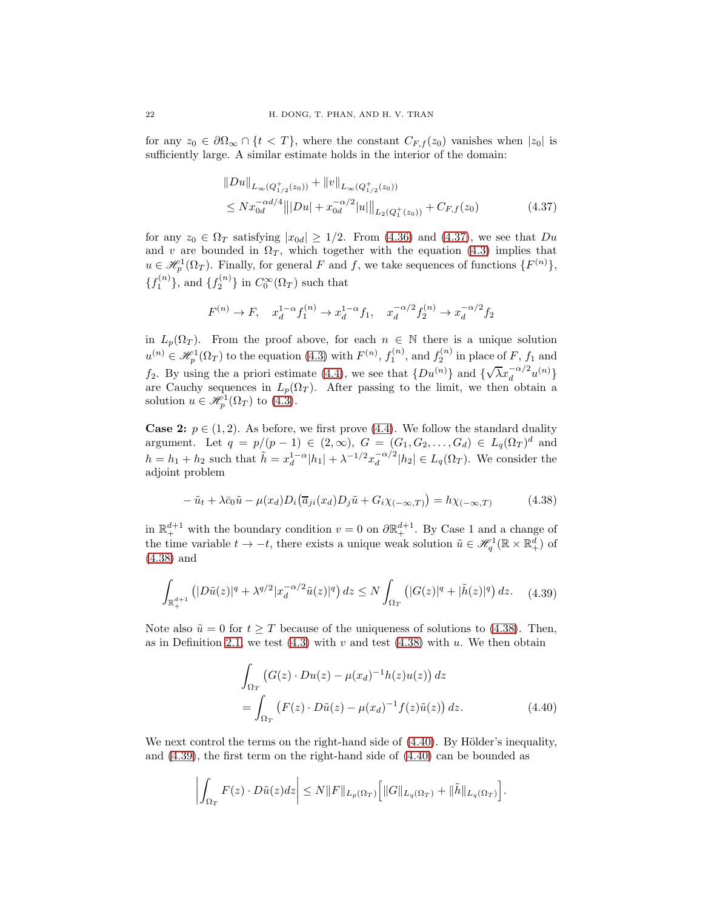for any  $z_0 \in \partial \Omega_\infty \cap \{t < T\}$ , where the constant  $C_{F,f}(z_0)$  vanishes when  $|z_0|$  is sufficiently large. A similar estimate holds in the interior of the domain:

<span id="page-21-0"></span>
$$
||Du||_{L_{\infty}(Q_{1/2}^+(z_0))} + ||v||_{L_{\infty}(Q_{1/2}^+(z_0))}
$$
  
\n
$$
\leq N x_{0d}^{-\alpha d/4} |||Du| + x_{0d}^{-\alpha/2} |u||_{L_{2}(Q_{1}^+(z_0))} + C_{F,f}(z_0)
$$
\n(4.37)

for any  $z_0 \in \Omega_T$  satisfying  $|x_{0d}| \geq 1/2$ . From [\(4.36\)](#page-20-1) and [\(4.37\)](#page-21-0), we see that  $Du$ and v are bounded in  $\Omega_T$ , which together with the equation [\(4.3\)](#page-10-3) implies that  $u \in \mathcal{H}_p^1(\Omega_T)$ . Finally, for general F and f, we take sequences of functions  $\{F^{(n)}\},$  ${f_1^{(n)}}$ , and  ${f_2^{(n)}}$  in  $C_0^{\infty}(\Omega_T)$  such that

$$
F^{(n)} \to F, \quad x_d^{1-\alpha} f_1^{(n)} \to x_d^{1-\alpha} f_1, \quad x_d^{-\alpha/2} f_2^{(n)} \to x_d^{-\alpha/2} f_2
$$

in  $L_p(\Omega_T)$ . From the proof above, for each  $n \in \mathbb{N}$  there is a unique solution  $u^{(n)} \in \mathcal{H}^1_p(\Omega_T)$  to the equation [\(4.3\)](#page-10-3) with  $F^{(n)}$ ,  $f_1^{(n)}$ , and  $f_2^{(n)}$  in place of F,  $f_1$  and  $f_2$ . By using the a priori estimate [\(4.4\)](#page-10-7), we see that  $\{Du^{(n)}\}$  and  $\{\sqrt{\lambda}x_d^{-\alpha/2}u^{(n)}\}$ are Cauchy sequences in  $L_p(\Omega_T)$ . After passing to the limit, we then obtain a solution  $u \in \mathcal{H}^1_p(\Omega_T)$  to  $(4.3)$ .

**Case 2:**  $p \in (1, 2)$ . As before, we first prove [\(4.4\)](#page-10-7). We follow the standard duality argument. Let  $q = p/(p - 1) \in (2, \infty)$ ,  $G = (G_1, G_2, ..., G_d) \in L_q(\Omega_T)^d$  and  $h = h_1 + h_2$  such that  $\tilde{h} = x_d^{1-\alpha} |h_1| + \lambda^{-1/2} x_d^{-\alpha/2}$  $\frac{d}{d} |h_2| \in L_q(\Omega_T)$ . We consider the adjoint problem

<span id="page-21-1"></span>
$$
-\tilde{u}_t + \lambda \bar{c}_0 \tilde{u} - \mu(x_d) D_i \left( \overline{a}_{ji}(x_d) D_j \tilde{u} + G_i \chi_{(-\infty, T)} \right) = h \chi_{(-\infty, T)}
$$
(4.38)

in  $\mathbb{R}^{d+1}_+$  with the boundary condition  $v = 0$  on  $\partial \mathbb{R}^{d+1}_+$ . By Case 1 and a change of the time variable  $t \to -t$ , there exists a unique weak solution  $\tilde{u} \in \mathcal{H}_q^1(\mathbb{R} \times \mathbb{R}^d_+)$  of [\(4.38\)](#page-21-1) and

<span id="page-21-3"></span>
$$
\int_{\mathbb{R}^{d+1}_+} \left( |D\tilde{u}(z)|^q + \lambda^{q/2} |x_d^{-\alpha/2} \tilde{u}(z)|^q \right) dz \le N \int_{\Omega_T} \left( |G(z)|^q + |\tilde{h}(z)|^q \right) dz. \tag{4.39}
$$

Note also  $\tilde{u} = 0$  for  $t \geq T$  because of the uniqueness of solutions to [\(4.38\)](#page-21-1). Then, as in Definition [2.1,](#page-4-1) we test  $(4.3)$  with v and test  $(4.38)$  with u. We then obtain

<span id="page-21-2"></span>
$$
\int_{\Omega_T} \left( G(z) \cdot Du(z) - \mu(x_d)^{-1} h(z) u(z) \right) dz
$$
\n
$$
= \int_{\Omega_T} \left( F(z) \cdot D\tilde{u}(z) - \mu(x_d)^{-1} f(z) \tilde{u}(z) \right) dz.
$$
\n(4.40)

We next control the terms on the right-hand side of  $(4.40)$ . By Hölder's inequality, and [\(4.39\)](#page-21-3), the first term on the right-hand side of [\(4.40\)](#page-21-2) can be bounded as

$$
\left| \int_{\Omega_T} F(z) \cdot D\tilde{u}(z) dz \right| \leq N \|F\|_{L_p(\Omega_T)} \Big[ \|G\|_{L_q(\Omega_T)} + \|\tilde{h}\|_{L_q(\Omega_T)} \Big].
$$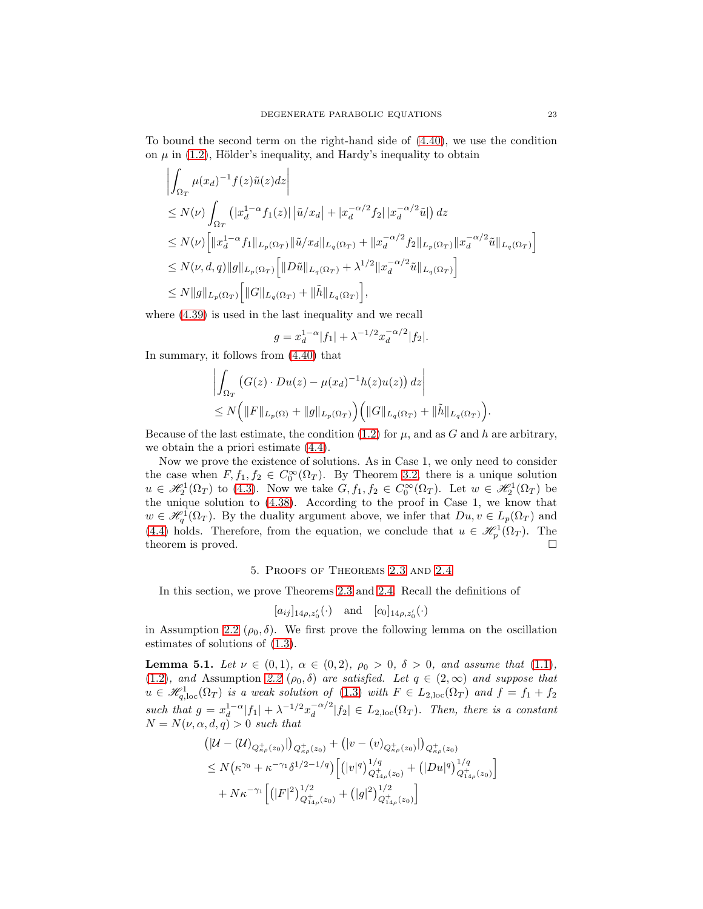To bound the second term on the right-hand side of [\(4.40\)](#page-21-2), we use the condition on  $\mu$  in [\(1.2\)](#page-0-2), Hölder's inequality, and Hardy's inequality to obtain

$$
\left| \int_{\Omega_T} \mu(x_d)^{-1} f(z) \tilde{u}(z) dz \right|
$$
  
\n
$$
\leq N(\nu) \int_{\Omega_T} (|x_d^{1-\alpha} f_1(z)| |\tilde{u}/x_d| + |x_d^{-\alpha/2} f_2| |x_d^{-\alpha/2} \tilde{u}|) dz
$$
  
\n
$$
\leq N(\nu) \Big[ ||x_d^{1-\alpha} f_1||_{L_p(\Omega_T)} ||\tilde{u}/x_d||_{L_q(\Omega_T)} + ||x_d^{-\alpha/2} f_2||_{L_p(\Omega_T)} ||x_d^{-\alpha/2} \tilde{u}||_{L_q(\Omega_T)} \Big]
$$
  
\n
$$
\leq N(\nu, d, q) ||g||_{L_p(\Omega_T)} \Big[ ||D\tilde{u}||_{L_q(\Omega_T)} + \lambda^{1/2} ||x_d^{-\alpha/2} \tilde{u}||_{L_q(\Omega_T)} \Big]
$$
  
\n
$$
\leq N ||g||_{L_p(\Omega_T)} \Big[ ||G||_{L_q(\Omega_T)} + ||\tilde{h}||_{L_q(\Omega_T)} \Big],
$$

where [\(4.39\)](#page-21-3) is used in the last inequality and we recall

$$
g = x_d^{1-\alpha} |f_1| + \lambda^{-1/2} x_d^{-\alpha/2} |f_2|.
$$

In summary, it follows from [\(4.40\)](#page-21-2) that

$$
\left| \int_{\Omega_T} \left( G(z) \cdot Du(z) - \mu(x_d)^{-1} h(z) u(z) \right) dz \right|
$$
  
 
$$
\leq N \left( \|F\|_{L_p(\Omega)} + \|g\|_{L_p(\Omega_T)} \right) \left( \|G\|_{L_q(\Omega_T)} + \|\tilde{h}\|_{L_q(\Omega_T)} \right).
$$

Because of the last estimate, the condition [\(1.2\)](#page-0-2) for  $\mu$ , and as G and h are arbitrary, we obtain the a priori estimate [\(4.4\)](#page-10-7).

Now we prove the existence of solutions. As in Case 1, we only need to consider the case when  $F, f_1, f_2 \in C_0^{\infty}(\Omega_T)$ . By Theorem [3.2,](#page-9-2) there is a unique solution  $u \in \mathscr{H}_2^1(\Omega_T)$  to [\(4.3\)](#page-10-3). Now we take  $G, f_1, f_2 \in C_0^{\infty}(\Omega_T)$ . Let  $w \in \mathscr{H}_2^1(\Omega_T)$  be the unique solution to [\(4.38\)](#page-21-1). According to the proof in Case 1, we know that  $w \in \mathscr{H}_q^1(\Omega_T)$ . By the duality argument above, we infer that  $Du, v \in L_p(\Omega_T)$  and [\(4.4\)](#page-10-7) holds. Therefore, from the equation, we conclude that  $u \in \mathcal{H}^1_p(\Omega_T)$ . The theorem is proved.

## 5. Proofs of Theorems [2.3](#page-5-0) and [2.4](#page-5-1)

<span id="page-22-0"></span>In this section, we prove Theorems [2.3](#page-5-0) and [2.4.](#page-5-1) Recall the definitions of

$$
[a_{ij}]_{14\rho,z'_0}(\cdot)
$$
 and  $[c_0]_{14\rho,z'_0}(\cdot)$ 

in Assumption [2.2](#page-5-2) ( $\rho_0$ ,  $\delta$ ). We first prove the following lemma on the oscillation estimates of solutions of [\(1.3\)](#page-0-0).

<span id="page-22-1"></span>Lemma 5.1. Let  $\nu \in (0,1)$ ,  $\alpha \in (0,2)$ ,  $\rho_0 > 0$ ,  $\delta > 0$ , and assume that [\(1.1\)](#page-0-1), [\(1.2\)](#page-0-2), and Assumption [2.2](#page-5-2)  $(\rho_0, \delta)$  are satisfied. Let  $q \in (2,\infty)$  and suppose that  $u \in \mathscr{H}_{q,loc}^{1}(\Omega_{T})$  is a weak solution of [\(1.3\)](#page-0-0) with  $F \in L_{2,loc}(\Omega_{T})$  and  $f = f_{1} + f_{2}$ such that  $g = x_d^{1-\alpha} |f_1| + \lambda^{-1/2} x_d^{-\alpha/2}$  $\int_{d}^{-\alpha/2} |f_2| \in L_{2,loc}(\Omega_T)$ . Then, there is a constant  $N = N(\nu, \alpha, d, q) > 0$  such that

$$
\begin{aligned} &\left(|\mathcal{U}-(\mathcal{U})_{Q_{\kappa\rho}^+(z_0)}|\right)_{Q_{\kappa\rho}^+(z_0)} + \left(|v-(v)_{Q_{\kappa\rho}^+(z_0)}|\right)_{Q_{\kappa\rho}^+(z_0)}\\ &\leq N\big(\kappa^{\gamma_0} + \kappa^{-\gamma_1}\delta^{1/2-1/q}\big) \Big[ \big(|v|^q\big)^{1/q}_{Q_{14\rho}^+(z_0)} + \big(|Du|^q\big)^{1/q}_{Q_{14\rho}^+(z_0)}\Big] \\ &+ N\kappa^{-\gamma_1} \Big[ \big(|F|^2\big)^{1/2}_{Q_{14\rho}^+(z_0)} + \big(|g|^2\big)^{1/2}_{Q_{14\rho}^+(z_0)}\Big] \end{aligned}
$$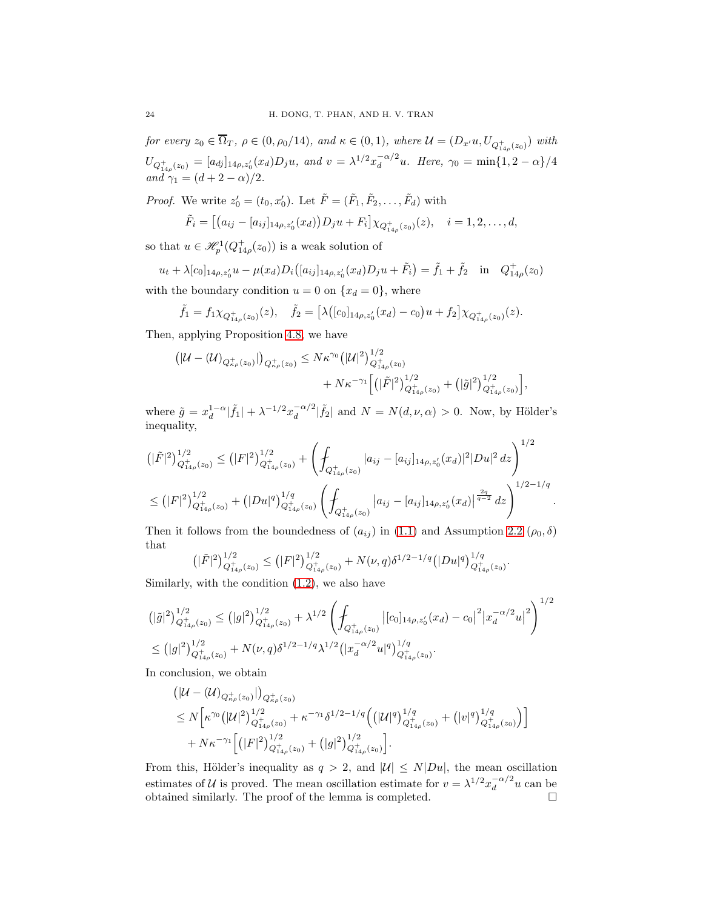for every  $z_0 \in \Omega_T$ ,  $\rho \in (0, \rho_0/14)$ , and  $\kappa \in (0, 1)$ , where  $\mathcal{U} = (D_{x'}u, U_{Q_{14\rho}^+(z_0)})$  with  $U_{Q_{14\rho}^+(z_0)} = [a_{dj}]_{14\rho,z'_0}(x_d)D_ju$ , and  $v = \lambda^{1/2}x_d^{-\alpha/2}$  $\int_{d}^{-\alpha/2} u$ . Here,  $\gamma_0 = \min\{1, 2 - \alpha\}/4$ and  $\gamma_1 = (d + 2 - \alpha)/2$ .

*Proof.* We write  $z'_0 = (t_0, x'_0)$ . Let  $\tilde{F} = (\tilde{F}_1, \tilde{F}_2, \dots, \tilde{F}_d)$  with

$$
\tilde{F}_i = [(a_{ij} - [a_{ij}]_{14\rho, z'_0}(x_d))D_j u + F_i] \chi_{Q^+_{14\rho}(z_0)}(z), \quad i = 1, 2, \dots, d,
$$

so that  $u \in \mathcal{H}_p^1(Q_{14\rho}^+(z_0))$  is a weak solution of

 $u_t + \lambda[c_0]_{14\rho,z'_0}u - \mu(x_d)D_i([a_{ij}]_{14\rho,z'_0}(x_d)D_ju + \tilde{F}_i) = \tilde{f}_1 + \tilde{f}_2$  in  $Q_{14\rho}^+(z_0)$ with the boundary condition  $u = 0$  on  $\{x_d = 0\}$ , where

$$
\tilde{f}_1 = f_1 \chi_{Q_{14\rho}^+(z_0)}(z), \quad \tilde{f}_2 = \left[ \lambda \big( [c_0]_{14\rho, z'_0}(x_d) - c_0 \big) u + f_2 \right] \chi_{Q_{14\rho}^+(z_0)}(z).
$$

Then, applying Proposition [4.8,](#page-19-3) we have

$$
\left( |\mathcal{U} - (\mathcal{U})_{Q_{\kappa\rho}^+(z_0)}| \right)_{Q_{\kappa\rho}^+(z_0)} \leq N\kappa^{\gamma_0} \left( |\mathcal{U}|^2 \right)_{Q_{14\rho}^+(z_0)}^{1/2} + N\kappa^{-\gamma_1} \left[ \left( |\tilde{F}|^2 \right)_{Q_{14\rho}^+(z_0)}^{1/2} + \left( |\tilde{g}|^2 \right)_{Q_{14\rho}^+(z_0)}^{1/2} \right],
$$

where  $\tilde{g} = x_d^{1-\alpha} |\tilde{f}_1| + \lambda^{-1/2} x_d^{-\alpha/2}$  $\int_{d}^{-\alpha/2} |\tilde{f}_2|$  and  $N = N(d, \nu, \alpha) > 0$ . Now, by Hölder's inequality,

$$
\begin{split} &\left(|\tilde{F}|^{2}\right)_{Q_{14\rho}^{+}(z_{0})}^{1/2} \leq (|F|^{2})_{Q_{14\rho}^{+}(z_{0})}^{1/2} + \left(\int_{Q_{14\rho}^{+}(z_{0})} |a_{ij} - [a_{ij}]_{14\rho,z'_{0}}(x_{d})|^{2}|Du|^{2} dz\right)^{1/2} \\ &\leq (|F|^{2})_{Q_{14\rho}^{+}(z_{0})}^{1/2} + (|Du|^{q})_{Q_{14\rho}^{+}(z_{0})}^{1/q} \left(\int_{Q_{14\rho}^{+}(z_{0})} |a_{ij} - [a_{ij}]_{14\rho,z'_{0}}(x_{d})|^{\frac{2q}{q-2}} dz\right)^{1/2-1/q}. \end{split}
$$

Then it follows from the boundedness of  $(a_{ij})$  in [\(1.1\)](#page-0-1) and Assumption [2.2](#page-5-2)  $(\rho_0, \delta)$ that

$$
(|\tilde{F}|^2)^{1/2}_{Q^+_{14\rho}(z_0)} \le (|F|^2)^{1/2}_{Q^+_{14\rho}(z_0)} + N(\nu, q)\delta^{1/2-1/q}(|Du|^q)^{1/q}_{Q^+_{14\rho}(z_0)}
$$

.

Similarly, with the condition [\(1.2\)](#page-0-2), we also have

$$
\begin{split} &\left(|\tilde{g}|^{2}\right)_{Q_{14\rho}^{+}(z_{0})}^{1/2} \leq (|g|^{2})_{Q_{14\rho}^{+}(z_{0})}^{1/2} + \lambda^{1/2} \left(\int_{Q_{14\rho}^{+}(z_{0})} |[c_{0}]_{14\rho,z'_{0}}(x_{d}) - c_{0}|^{2} |x_{d}^{-\alpha/2}u|^{2}\right)^{1/2} \\ &\leq (|g|^{2})_{Q_{14\rho}^{+}(z_{0})}^{1/2} + N(\nu,q)\delta^{1/2-1/q}\lambda^{1/2} \left(|x_{d}^{-\alpha/2}u|^{q}\right)_{Q_{14\rho}^{+}(z_{0})}^{1/q} .\end{split}
$$

In conclusion, we obtain

$$
\begin{split} &\left(|\mathcal{U} - (\mathcal{U})_{Q_{\kappa\rho}^+(z_0)}|\right)_{Q_{\kappa\rho}^+(z_0)}\\ &\leq N\Big[\kappa^{\gamma_0}\big(|\mathcal{U}|^2\big)^{1/2}_{Q_{14\rho}^+(z_0)} + \kappa^{-\gamma_1}\delta^{1/2-1/q}\Big(\big(|\mathcal{U}|^q\big)^{1/q}_{Q_{14\rho}^+(z_0)} + \big(|v|^q\big)^{1/q}_{Q_{14\rho}^+(z_0)}\Big)\Big]\\ &\quad + N\kappa^{-\gamma_1}\Big[\big(|F|^2\big)^{1/2}_{Q_{14\rho}^+(z_0)} + \big(|g|^2\big)^{1/2}_{Q_{14\rho}^+(z_0)}\Big]. \end{split}
$$

From this, Hölder's inequality as  $q > 2$ , and  $|\mathcal{U}| \leq N|Du|$ , the mean oscillation estimates of U is proved. The mean oscillation estimate for  $v = \lambda^{1/2} x_d^{-\alpha/2}$  $\int_{d}^{-\alpha/2}u\,$  can be obtained similarly. The proof of the lemma is completed.  $\Box$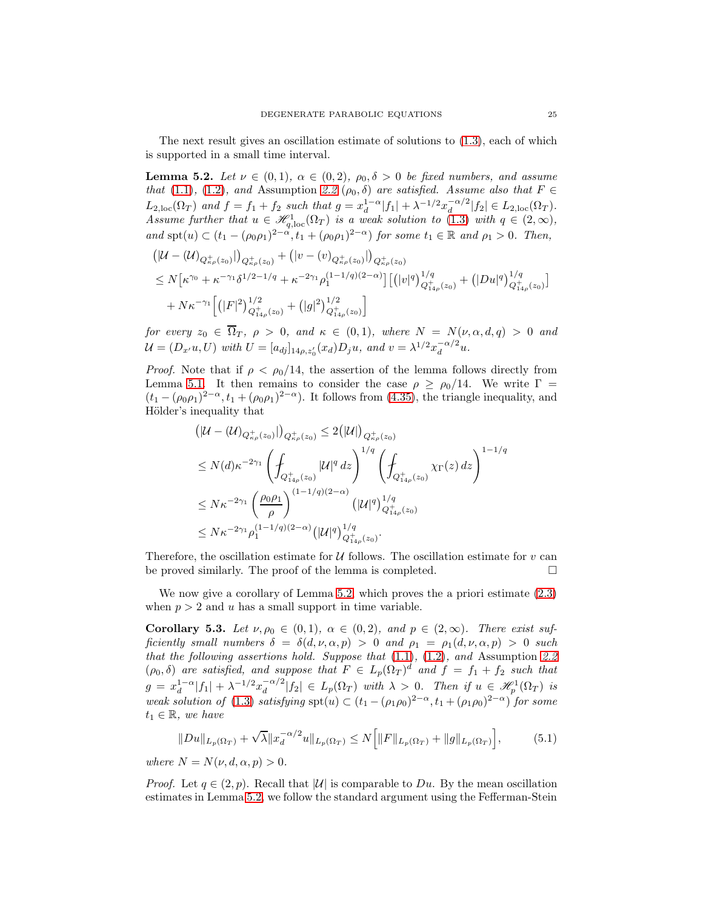The next result gives an oscillation estimate of solutions to [\(1.3\)](#page-0-0), each of which is supported in a small time interval.

<span id="page-24-0"></span>**Lemma 5.2.** Let  $\nu \in (0,1)$ ,  $\alpha \in (0,2)$ ,  $\rho_0, \delta > 0$  be fixed numbers, and assume that [\(1.1\)](#page-0-1), [\(1.2\)](#page-0-2), and Assumption [2.2](#page-5-2) ( $\rho_0$ ,  $\delta$ ) are satisfied. Assume also that  $F \in$  $L_{2,loc}(\Omega_T)$  and  $f = f_1 + f_2$  such that  $g = x_d^{1-\alpha} |f_1| + \lambda^{-1/2} x_d^{-\alpha/2}$  $\frac{-\alpha}{d}|f_2| \in L_{2,\mathrm{loc}}(\Omega_T).$ Assume further that  $u \in \mathscr{H}_{q,loc}^1(\Omega_T)$  is a weak solution to [\(1.3\)](#page-0-0) with  $q \in (2,\infty)$ , and  $spt(u) \subset (t_1 - (\rho_0 \rho_1)^{2-\alpha}, t_1 + (\rho_0 \rho_1)^{2-\alpha})$  for some  $t_1 \in \mathbb{R}$  and  $\rho_1 > 0$ . Then,

$$
\begin{aligned} &\left(|\mathcal{U}-(\mathcal{U})_{Q_{\kappa\rho}^{+}(z_{0})}|\right)_{Q_{\kappa\rho}^{+}(z_{0})}+\left(|v-(v)_{Q_{\kappa\rho}^{+}(z_{0})}|\right)_{Q_{\kappa\rho}^{+}(z_{0})} \\ &\leq N\big[\kappa^{\gamma_{0}}+\kappa^{-\gamma_{1}}\delta^{1/2-1/q}+\kappa^{-2\gamma_{1}}\rho_{1}^{(1-1/q)(2-\alpha)}\big]\big[\big(|v|^{q}\big)^{1/q}_{Q_{14\rho}^{+}(z_{0})}+\big(|Du|^{q}\big)^{1/q}_{Q_{14\rho}^{+}(z_{0})}\big] \\ &+N\kappa^{-\gamma_{1}}\Big[\big(|F|^{2}\big)^{1/2}_{Q_{14\rho}^{+}(z_{0})}+\big(|g|^{2}\big)^{1/2}_{Q_{14\rho}^{+}(z_{0})}\Big] \end{aligned}
$$

for every  $z_0 \in \Omega_T$ ,  $\rho > 0$ , and  $\kappa \in (0,1)$ , where  $N = N(\nu, \alpha, d, q) > 0$  and  $\mathcal{U} = (D_{x'}u, U)$  with  $U = [a_{dj}]_{14\rho, z'_0}(x_d)D_ju$ , and  $v = \lambda^{1/2}x_d^{-\alpha/2}$  $\frac{-\alpha}{d}u$ .

*Proof.* Note that if  $\rho < \rho_0/14$ , the assertion of the lemma follows directly from Lemma [5.1.](#page-22-1) It then remains to consider the case  $\rho \ge \rho_0/14$ . We write  $\Gamma =$  $(t_1 - (\rho_0 \rho_1)^{2-\alpha}, t_1 + (\rho_0 \rho_1)^{2-\alpha})$ . It follows from [\(4.35\)](#page-20-2), the triangle inequality, and Hölder's inequality that

$$
\begin{split} &\left(|\mathcal{U} - (\mathcal{U})_{Q_{\kappa\rho}^{+}(z_{0})}|\right)_{Q_{\kappa\rho}^{+}(z_{0})} \leq 2(|\mathcal{U}|)_{Q_{\kappa\rho}^{+}(z_{0})} \\ &\leq N(d)\kappa^{-2\gamma_{1}}\left(\int_{Q_{14\rho}^{+}(z_{0})}|\mathcal{U}|^{q}\,dz\right)^{1/q}\left(\int_{Q_{14\rho}^{+}(z_{0})}\chi_{\Gamma}(z)\,dz\right)^{1-1/q} \\ &\leq N\kappa^{-2\gamma_{1}}\left(\frac{\rho_{0}\rho_{1}}{\rho}\right)^{(1-1/q)(2-\alpha)}\left(|\mathcal{U}|^{q}\right)^{1/q}_{Q_{14\rho}^{+}(z_{0})} \\ &\leq N\kappa^{-2\gamma_{1}}\rho_{1}^{(1-1/q)(2-\alpha)}\left(|\mathcal{U}|^{q}\right)^{1/q}_{Q_{14\rho}^{+}(z_{0})} . \end{split}
$$

Therefore, the oscillation estimate for  $U$  follows. The oscillation estimate for  $v$  can be proved similarly. The proof of the lemma is completed. be proved similarly. The proof of the lemma is completed.

We now give a corollary of Lemma [5.2,](#page-24-0) which proves the a priori estimate [\(2.3\)](#page-5-3) when  $p > 2$  and u has a small support in time variable.

<span id="page-24-2"></span>Corollary 5.3. Let  $\nu, \rho_0 \in (0,1), \alpha \in (0,2), \text{ and } p \in (2,\infty).$  There exist sufficiently small numbers  $\delta = \delta(d, \nu, \alpha, p) > 0$  and  $\rho_1 = \rho_1(d, \nu, \alpha, p) > 0$  such that the following assertions hold. Suppose that  $(1.1)$ ,  $(1.2)$ , and Assumption [2.2](#page-5-2)  $(\rho_0, \delta)$  are satisfied, and suppose that  $F \in L_p(\Omega_T)^d$  and  $f = f_1 + f_2$  such that  $g = x_d^{1-\alpha} |f_1| + \lambda^{-1/2} x_d^{-\alpha/2}$  $\int_{d}^{-\alpha/2} |f_2| \in L_p(\Omega_T)$  with  $\lambda > 0$ . Then if  $u \in \mathscr{H}_p^1(\Omega_T)$  is weak solution of [\(1.3\)](#page-0-0) satisfying  $\text{spt}(u) \subset (t_1 - (\rho_1 \rho_0)^{2-\alpha}, t_1 + (\rho_1 \rho_0)^{2-\alpha})$  for some  $t_1 \in \mathbb{R}$ , we have

$$
||Du||_{L_p(\Omega_T)} + \sqrt{\lambda} ||x_d^{-\alpha/2}u||_{L_p(\Omega_T)} \le N \Big[ ||F||_{L_p(\Omega_T)} + ||g||_{L_p(\Omega_T)} \Big],\tag{5.1}
$$

<span id="page-24-1"></span>where  $N = N(\nu, d, \alpha, p) > 0$ .

*Proof.* Let  $q \in (2, p)$ . Recall that |U| is comparable to Du. By the mean oscillation estimates in Lemma [5.2,](#page-24-0) we follow the standard argument using the Fefferman-Stein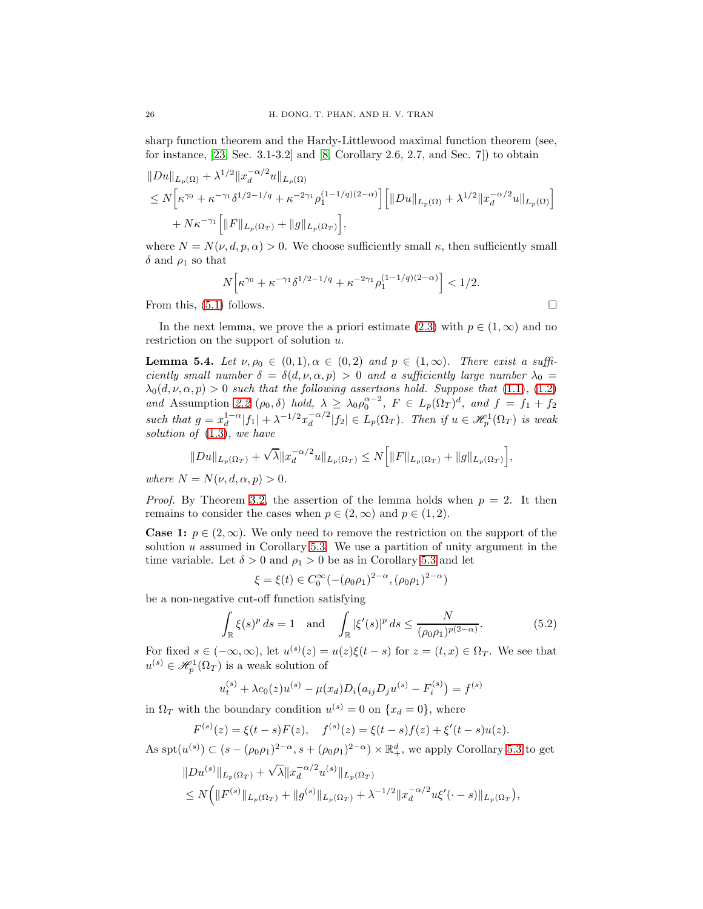sharp function theorem and the Hardy-Littlewood maximal function theorem (see, for instance, [\[23,](#page-28-19) Sec. 3.1-3.2] and [\[8,](#page-28-21) Corollary 2.6, 2.7, and Sec. 7]) to obtain

 $\overline{a}$ 

$$
||Du||_{L_p(\Omega)} + \lambda^{1/2} ||x_d^{-\alpha/2}u||_{L_p(\Omega)}
$$
  
\n
$$
\leq N \Big[ \kappa^{\gamma_0} + \kappa^{-\gamma_1} \delta^{1/2 - 1/q} + \kappa^{-2\gamma_1} \rho_1^{(1 - 1/q)(2 - \alpha)} \Big] \Big[ ||Du||_{L_p(\Omega)} + \lambda^{1/2} ||x_d^{-\alpha/2}u||_{L_p(\Omega)} \Big] + N \kappa^{-\gamma_1} \Big[ ||F||_{L_p(\Omega_T)} + ||g||_{L_p(\Omega_T)} \Big],
$$

where  $N = N(\nu, d, p, \alpha) > 0$ . We choose sufficiently small  $\kappa$ , then sufficiently small  $\delta$  and  $\rho_1$  so that

$$
N\Big[\kappa^{\gamma_0} + \kappa^{-\gamma_1} \delta^{1/2 - 1/q} + \kappa^{-2\gamma_1} \rho_1^{(1 - 1/q)(2 - \alpha)}\Big] < 1/2.
$$

From this,  $(5.1)$  follows.

In the next lemma, we prove the a priori estimate [\(2.3\)](#page-5-3) with  $p \in (1,\infty)$  and no restriction on the support of solution  $u$ .

<span id="page-25-1"></span>**Lemma 5.4.** Let  $\nu, \rho_0 \in (0,1), \alpha \in (0,2)$  and  $p \in (1,\infty)$ . There exist a sufficiently small number  $\delta = \delta(d, \nu, \alpha, p) > 0$  and a sufficiently large number  $\lambda_0 =$  $\lambda_0(d,\nu,\alpha,p) > 0$  such that the following assertions hold. Suppose that [\(1.1\)](#page-0-1), [\(1.2\)](#page-0-2) and Assumption [2.2](#page-5-2)  $(\rho_0, \delta)$  hold,  $\lambda \geq \lambda_0 \rho_0^{\alpha-2}$ ,  $F \in L_p(\Omega_T)^d$ , and  $f = f_1 + f_2$ such that  $g = x_d^{1-\alpha} |f_1| + \lambda^{-1/2} x_d^{-\alpha/2}$  $\frac{d}{d} \left|f_2\right| \in L_p(\Omega_T)$ . Then if  $u \in \mathscr{H}_p^1(\Omega_T)$  is weak solution of  $(1.3)$ , we have

$$
||Du||_{L_p(\Omega_T)} + \sqrt{\lambda} ||x_d^{-\alpha/2}u||_{L_p(\Omega_T)} \le N\Big[ ||F||_{L_p(\Omega_T)} + ||g||_{L_p(\Omega_T)}\Big],
$$

where  $N = N(\nu, d, \alpha, p) > 0$ .

*Proof.* By Theorem [3.2,](#page-9-2) the assertion of the lemma holds when  $p = 2$ . It then remains to consider the cases when  $p \in (2,\infty)$  and  $p \in (1,2)$ .

**Case 1:**  $p \in (2,\infty)$ . We only need to remove the restriction on the support of the solution  $u$  assumed in Corollary [5.3.](#page-24-2) We use a partition of unity argument in the time variable. Let  $\delta > 0$  and  $\rho_1 > 0$  be as in Corollary [5.3](#page-24-2) and let

$$
\xi = \xi(t) \in C_0^{\infty}(-(\rho_0 \rho_1)^{2-\alpha}, (\rho_0 \rho_1)^{2-\alpha})
$$

be a non-negative cut-off function satisfying

<span id="page-25-0"></span>
$$
\int_{\mathbb{R}} \xi(s)^p ds = 1 \quad \text{and} \quad \int_{\mathbb{R}} |\xi'(s)|^p ds \le \frac{N}{(\rho_0 \rho_1)^{p(2-\alpha)}}.
$$
\n(5.2)

For fixed  $s \in (-\infty, \infty)$ , let  $u^{(s)}(z) = u(z)\xi(t-s)$  for  $z = (t, x) \in \Omega_T$ . We see that  $u^{(s)} \in \mathscr{H}_{p}^{1}(\Omega_{T})$  is a weak solution of

$$
u_t^{(s)} + \lambda c_0(z)u^{(s)} - \mu(x_d)D_i(a_{ij}D_ju^{(s)} - F_i^{(s)}) = f^{(s)}
$$

in  $\Omega_T$  with the boundary condition  $u^{(s)} = 0$  on  $\{x_d = 0\}$ , where

$$
F^{(s)}(z) = \xi(t-s)F(z), \quad f^{(s)}(z) = \xi(t-s)f(z) + \xi'(t-s)u(z).
$$

As  $spt(u^{(s)}) \subset (s - (\rho_0 \rho_1)^{2-\alpha}, s + (\rho_0 \rho_1)^{2-\alpha}) \times \mathbb{R}^d_+$ , we apply Corollary [5.3](#page-24-2) to get

$$
\|Du^{(s)}\|_{L_p(\Omega_T)} + \sqrt{\lambda} \|x_d^{-\alpha/2}u^{(s)}\|_{L_p(\Omega_T)}\n\n\le N\Big(\|F^{(s)}\|_{L_p(\Omega_T)} + \|g^{(s)}\|_{L_p(\Omega_T)} + \lambda^{-1/2} \|x_d^{-\alpha/2}u\xi'(\cdot - s)\|_{L_p(\Omega_T)},
$$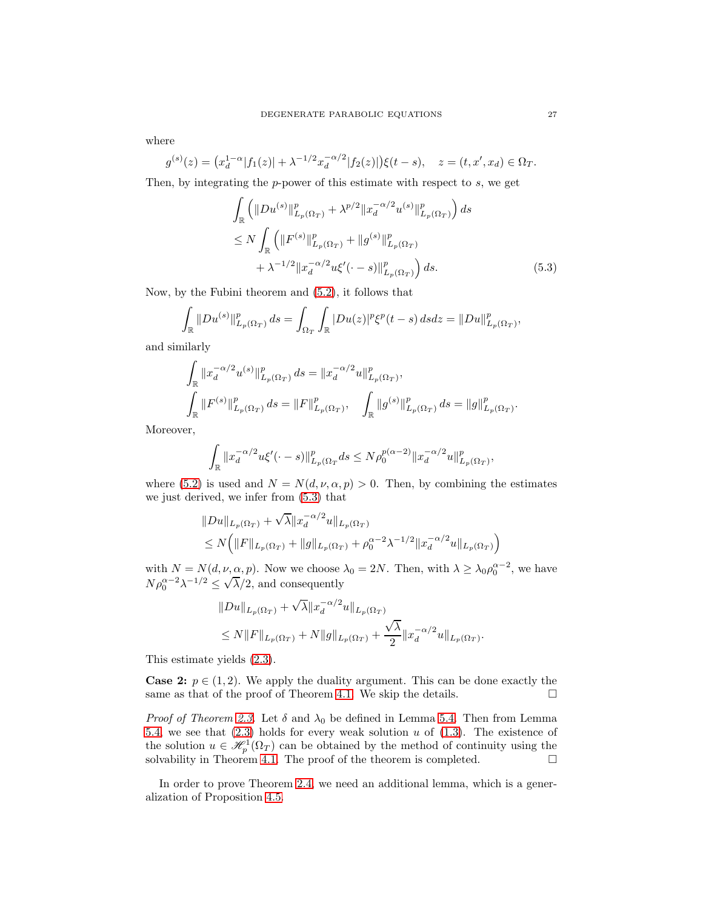where

$$
g^{(s)}(z) = (x_d^{1-\alpha}|f_1(z)| + \lambda^{-1/2}x_d^{-\alpha/2}|f_2(z)|)\xi(t-s), \quad z = (t, x', x_d) \in \Omega_T.
$$

Then, by integrating the  $p$ -power of this estimate with respect to  $s$ , we get

<span id="page-26-0"></span>
$$
\int_{\mathbb{R}} \left( \|Du^{(s)}\|_{L_p(\Omega_T)}^p + \lambda^{p/2} \|x_d^{-\alpha/2} u^{(s)}\|_{L_p(\Omega_T)}^p \right) ds
$$
\n
$$
\leq N \int_{\mathbb{R}} \left( \|F^{(s)}\|_{L_p(\Omega_T)}^p + \|g^{(s)}\|_{L_p(\Omega_T)}^p \right) ds
$$
\n
$$
+ \lambda^{-1/2} \|x_d^{-\alpha/2} u\xi'(\cdot - s)\|_{L_p(\Omega_T)}^p \right) ds.
$$
\n(5.3)

Now, by the Fubini theorem and [\(5.2\)](#page-25-0), it follows that

$$
\int_{\mathbb{R}} \|Du^{(s)}\|_{L_p(\Omega_T)}^p ds = \int_{\Omega_T} \int_{\mathbb{R}} |Du(z)|^p \xi^p(t-s) ds dz = \|Du\|_{L_p(\Omega_T)}^p,
$$

and similarly

$$
\int_{\mathbb{R}} \|x_d^{-\alpha/2} u^{(s)}\|_{L_p(\Omega_T)}^p ds = \|x_d^{-\alpha/2} u\|_{L_p(\Omega_T)}^p,
$$
\n
$$
\int_{\mathbb{R}} \|F^{(s)}\|_{L_p(\Omega_T)}^p ds = \|F\|_{L_p(\Omega_T)}^p, \quad \int_{\mathbb{R}} \|g^{(s)}\|_{L_p(\Omega_T)}^p ds = \|g\|_{L_p(\Omega_T)}^p.
$$

Moreover,

$$
\int_{\mathbb{R}} \|x_d^{-\alpha/2} u \xi'(\cdot - s)\|_{L_p(\Omega_T}^p ds \le N \rho_0^{p(\alpha - 2)} \|x_d^{-\alpha/2} u\|_{L_p(\Omega_T)}^p,
$$

where [\(5.2\)](#page-25-0) is used and  $N = N(d, \nu, \alpha, p) > 0$ . Then, by combining the estimates we just derived, we infer from [\(5.3\)](#page-26-0) that

$$
||Du||_{L_p(\Omega_T)} + \sqrt{\lambda} ||x_d^{-\alpha/2}u||_{L_p(\Omega_T)}
$$
  
\n
$$
\leq N(|F||_{L_p(\Omega_T)} + ||g||_{L_p(\Omega_T)} + \rho_0^{\alpha-2}\lambda^{-1/2} ||x_d^{-\alpha/2}u||_{L_p(\Omega_T)})
$$

with  $N = N(d, \nu, \alpha, p)$ . Now we choose  $\lambda_0 = 2N$ . Then, with  $\lambda \geq \lambda_0 \rho_0^{\alpha-2}$ , we have  $N \rho_0^{\alpha-2} \lambda^{-1/2} \leq \sqrt{\lambda}/2$ , and consequently

$$
||Du||_{L_p(\Omega_T)} + \sqrt{\lambda} ||x_d^{-\alpha/2}u||_{L_p(\Omega_T)}
$$
  
\n
$$
\leq N||F||_{L_p(\Omega_T)} + N||g||_{L_p(\Omega_T)} + \frac{\sqrt{\lambda}}{2} ||x_d^{-\alpha/2}u||_{L_p(\Omega_T)}.
$$

This estimate yields [\(2.3\)](#page-5-3).

**Case 2:**  $p \in (1, 2)$ . We apply the duality argument. This can be done exactly the same as that of the proof of Theorem 4.1. We skip the details. same as that of the proof of Theorem [4.1.](#page-10-4) We skip the details.

*Proof of Theorem [2.3.](#page-5-0)* Let  $\delta$  and  $\lambda_0$  be defined in Lemma [5.4.](#page-25-1) Then from Lemma [5.4,](#page-25-1) we see that  $(2.3)$  holds for every weak solution u of  $(1.3)$ . The existence of the solution  $u \in \mathscr{H}_p^1(\Omega_T)$  can be obtained by the method of continuity using the solvability in Theorem [4.1.](#page-10-4) The proof of the theorem is completed.  $\Box$ 

In order to prove Theorem [2.4,](#page-5-1) we need an additional lemma, which is a generalization of Proposition [4.5.](#page-12-0)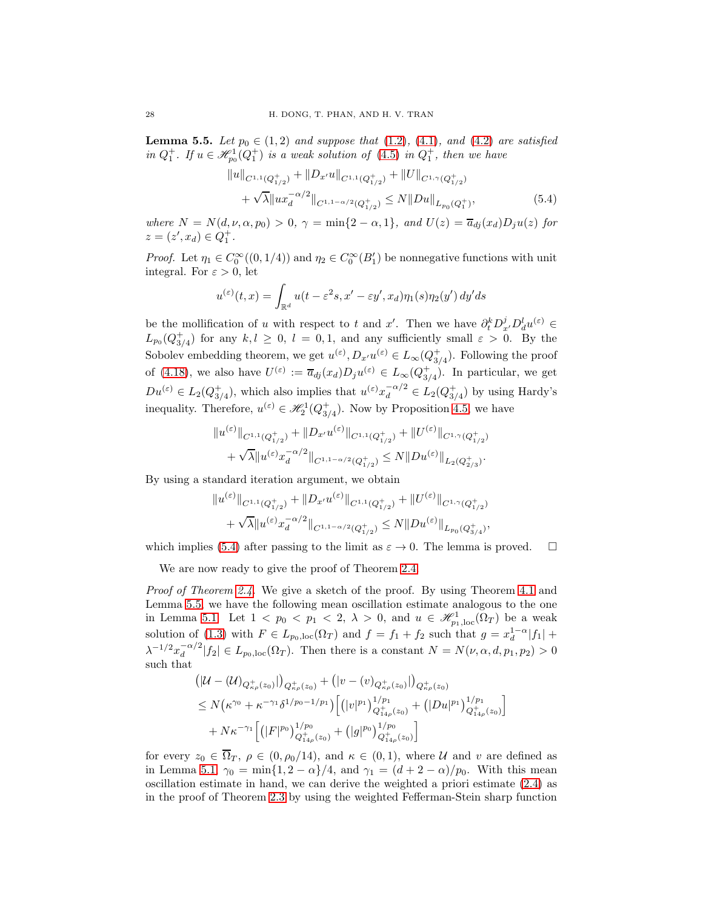<span id="page-27-1"></span>**Lemma 5.5.** Let  $p_0 \in (1,2)$  and suppose that  $(1.2)$ ,  $(4.1)$ , and  $(4.2)$  are satisfied in  $Q_1^+$ . If  $u \in \mathcal{H}_{p_0}^1(Q_1^+)$  is a weak solution of  $(4.5)$  in  $Q_1^+$ , then we have

<span id="page-27-0"></span>
$$
||u||_{C^{1,1}(Q_{1/2}^+)} + ||D_{x'}u||_{C^{1,1}(Q_{1/2}^+)} + ||U||_{C^{1,\gamma}(Q_{1/2}^+)} + \sqrt{\lambda}||ux_d^{-\alpha/2}||_{C^{1,1-\alpha/2}(Q_{1/2}^+)} \le N||Du||_{L_{p_0}(Q_1^+)},
$$
\n(5.4)

where  $N = N(d, \nu, \alpha, p_0) > 0$ ,  $\gamma = \min\{2 - \alpha, 1\}$ , and  $U(z) = \overline{a}_{dj}(x_d)D_ju(z)$  for  $z = (z', x_d) \in Q_1^+$ .

*Proof.* Let  $\eta_1 \in C_0^{\infty}((0,1/4))$  and  $\eta_2 \in C_0^{\infty}(B_1')$  be nonnegative functions with unit integral. For  $\varepsilon > 0$ , let

$$
u^{(\varepsilon)}(t,x) = \int_{\mathbb{R}^d} u(t - \varepsilon^2 s, x' - \varepsilon y', x_d) \eta_1(s) \eta_2(y') dy' ds
$$

be the mollification of u with respect to t and x'. Then we have  $\partial_t^k D_{x'}^j D_d^l u^{(\varepsilon)} \in$  $L_{p_0}(Q_{3/4}^+)$  for any  $k, l \geq 0, l = 0, 1$ , and any sufficiently small  $\varepsilon > 0$ . By the Sobolev embedding theorem, we get  $u^{(\varepsilon)}, D_{x'}u^{(\varepsilon)} \in L_{\infty}(Q_{3/4}^+).$  Following the proof of [\(4.18\)](#page-13-1), we also have  $U^{(\varepsilon)} := \overline{a}_{dj}(x_d)D_ju^{(\varepsilon)} \in L_\infty(Q^+_{3/4})$ . In particular, we get  $Du^{(\varepsilon)} \in L_2(Q_{3/4}^+),$  which also implies that  $u^{(\varepsilon)} x_d^{-\alpha/2} \in L_2(Q_{3/4}^+)$  by using Hardy's inequality. Therefore,  $u^{(\varepsilon)} \in \mathcal{H}_2^1(Q_{3/4}^+)$ . Now by Proposition [4.5,](#page-12-0) we have

$$
||u^{(\varepsilon)}||_{C^{1,1}(Q_{1/2}^+)} + ||D_{x'}u^{(\varepsilon)}||_{C^{1,1}(Q_{1/2}^+)} + ||U^{(\varepsilon)}||_{C^{1,\gamma}(Q_{1/2}^+)} + \sqrt{\lambda}||u^{(\varepsilon)}x_d^{-\alpha/2}||_{C^{1,1-\alpha/2}(Q_{1/2}^+)} \leq N||Du^{(\varepsilon)}||_{L_2(Q_{2/3}^+)}.
$$

By using a standard iteration argument, we obtain

$$
||u^{(\varepsilon)}||_{C^{1,1}(Q_{1/2}^+)} + ||D_{x'}u^{(\varepsilon)}||_{C^{1,1}(Q_{1/2}^+)} + ||U^{(\varepsilon)}||_{C^{1,\gamma}(Q_{1/2}^+)} + \sqrt{\lambda}||u^{(\varepsilon)}x_d^{-\alpha/2}||_{C^{1,1-\alpha/2}(Q_{1/2}^+)} \leq N||Du^{(\varepsilon)}||_{L_{p_0}(Q_{3/4}^+)},
$$

which implies [\(5.4\)](#page-27-0) after passing to the limit as  $\varepsilon \to 0$ . The lemma is proved.  $\square$ 

We are now ready to give the proof of Theorem [2.4.](#page-5-1)

Proof of Theorem [2.4.](#page-5-1) We give a sketch of the proof. By using Theorem [4.1](#page-10-4) and Lemma [5.5,](#page-27-1) we have the following mean oscillation estimate analogous to the one in Lemma [5.1.](#page-22-1) Let  $1 < p_0 < p_1 < 2, \lambda > 0$ , and  $u \in \mathcal{H}_{p_1,\text{loc}}^1(\Omega_T)$  be a weak solution of [\(1.3\)](#page-0-0) with  $F \in L_{p_0,\text{loc}}(\Omega_T)$  and  $f = f_1 + f_2$  such that  $g = x_d^{1-\alpha}|f_1| +$  $\lambda^{-1/2} x_d^{-\alpha/2}$  $\int_{d}^{d} |f_2| \in L_{p_0,\text{loc}}(\Omega_T)$ . Then there is a constant  $N = N(\nu, \alpha, d, p_1, p_2) > 0$ such that  $\sim$  18

$$
\begin{aligned} &\left(|\mathcal{U}-(\mathcal{U})_{Q_{\kappa\rho}^+(z_0)}|\right)_{Q_{\kappa\rho}^+(z_0)}+\left(|v-(v)_{Q_{\kappa\rho}^+(z_0)}|\right)_{Q_{\kappa\rho}^+(z_0)}\\ &\leq N\big(\kappa^{\gamma_0}+\kappa^{-\gamma_1}\delta^{1/p_0-1/p_1}\big)\Big[\big(|v|^{p_1}\big)^{1/p_1}_{Q_{14\rho}^+(z_0)}+\big(|Du|^{p_1}\big)^{1/p_1}_{Q_{14\rho}^+(z_0)}\Big] \\ &+N\kappa^{-\gamma_1}\Big[\big(|F|^{p_0}\big)^{1/p_0}_{Q_{14\rho}^+(z_0)}+\big(|g|^{p_0}\big)^{1/p_0}_{Q_{14\rho}^+(z_0)}\Big] \end{aligned}
$$

for every  $z_0 \in \overline{\Omega}_T$ ,  $\rho \in (0, \rho_0/14)$ , and  $\kappa \in (0, 1)$ , where U and v are defined as in Lemma [5.1,](#page-22-1)  $\gamma_0 = \min\{1, 2 - \alpha\}/4$ , and  $\gamma_1 = (d + 2 - \alpha)/p_0$ . With this mean oscillation estimate in hand, we can derive the weighted a priori estimate [\(2.4\)](#page-5-5) as in the proof of Theorem [2.3](#page-5-0) by using the weighted Fefferman-Stein sharp function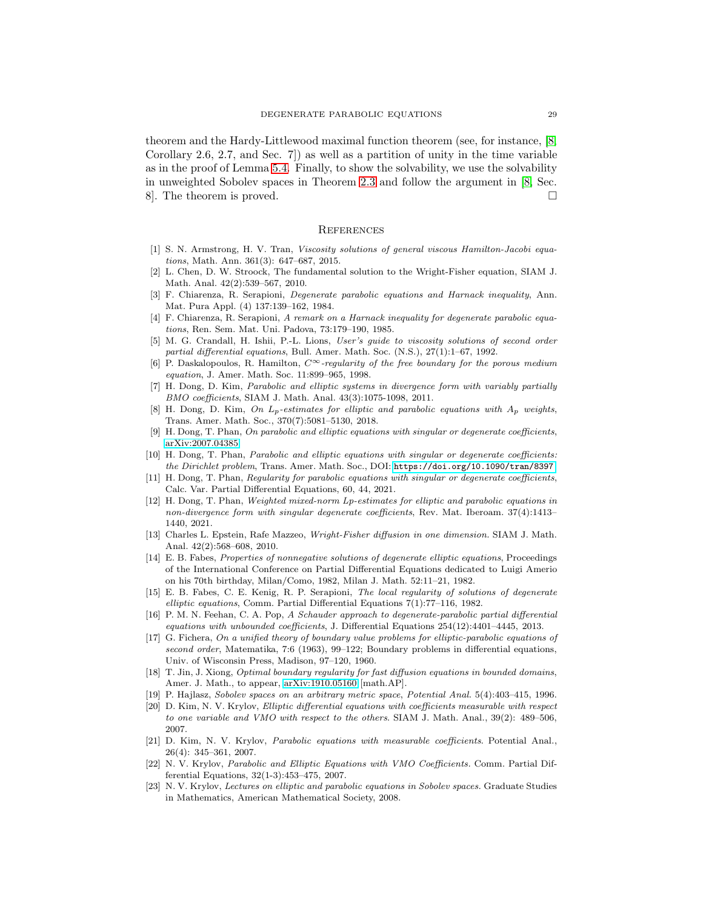theorem and the Hardy-Littlewood maximal function theorem (see, for instance, [\[8,](#page-28-21) Corollary 2.6, 2.7, and Sec. 7]) as well as a partition of unity in the time variable as in the proof of Lemma [5.4.](#page-25-1) Finally, to show the solvability, we use the solvability in unweighted Sobolev spaces in Theorem [2.3](#page-5-0) and follow the argument in [\[8,](#page-28-21) Sec. 8. The theorem is proved.  $\square$ 

### **REFERENCES**

- <span id="page-28-7"></span>[1] S. N. Armstrong, H. V. Tran, Viscosity solutions of general viscous Hamilton-Jacobi equations, Math. Ann. 361(3): 647–687, 2015.
- <span id="page-28-8"></span>[2] L. Chen, D. W. Stroock, The fundamental solution to the Wright-Fisher equation, SIAM J. Math. Anal. 42(2):539–567, 2010.
- <span id="page-28-14"></span>[3] F. Chiarenza, R. Serapioni, Degenerate parabolic equations and Harnack inequality, Ann. Mat. Pura Appl. (4) 137:139–162, 1984.
- <span id="page-28-15"></span>[4] F. Chiarenza, R. Serapioni, A remark on a Harnack inequality for degenerate parabolic equations, Ren. Sem. Mat. Uni. Padova, 73:179–190, 1985.
- <span id="page-28-6"></span>[5] M. G. Crandall, H. Ishii, P.-L. Lions, User's guide to viscosity solutions of second order partial differential equations, Bull. Amer. Math. Soc. (N.S.), 27(1):1–67, 1992.
- <span id="page-28-4"></span>[6] P. Daskalopoulos, R. Hamilton,  $C^{\infty}$ -regularity of the free boundary for the porous medium equation, J. Amer. Math. Soc. 11:899–965, 1998.
- <span id="page-28-20"></span>[7] H. Dong, D. Kim, Parabolic and elliptic systems in divergence form with variably partially BMO coefficients, SIAM J. Math. Anal. 43(3):1075-1098, 2011.
- <span id="page-28-21"></span>[8] H. Dong, D. Kim, On  $L_p$ -estimates for elliptic and parabolic equations with  $A_p$  weights, Trans. Amer. Math. Soc., 370(7):5081–5130, 2018.
- <span id="page-28-10"></span>[9] H. Dong, T. Phan, On parabolic and elliptic equations with singular or degenerate coefficients, [arXiv:2007.04385.](http://arxiv.org/abs/2007.04385)
- <span id="page-28-11"></span>[10] H. Dong, T. Phan, Parabolic and elliptic equations with singular or degenerate coefficients: the Dirichlet problem, Trans. Amer. Math. Soc., DOI: <https://doi.org/10.1090/tran/8397>.
- <span id="page-28-12"></span>[11] H. Dong, T. Phan, Regularity for parabolic equations with singular or degenerate coefficients, Calc. Var. Partial Differential Equations, 60, 44, 2021.
- <span id="page-28-13"></span>[12] H. Dong, T. Phan, Weighted mixed-norm Lp-estimates for elliptic and parabolic equations in non-divergence form with singular degenerate coefficients, Rev. Mat. Iberoam. 37(4):1413– 1440, 2021.
- <span id="page-28-9"></span>[13] Charles L. Epstein, Rafe Mazzeo, Wright-Fisher diffusion in one dimension. SIAM J. Math. Anal. 42(2):568–608, 2010.
- <span id="page-28-0"></span>[14] E. B. Fabes, Properties of nonnegative solutions of degenerate elliptic equations, Proceedings of the International Conference on Partial Differential Equations dedicated to Luigi Amerio on his 70th birthday, Milan/Como, 1982, Milan J. Math. 52:11–21, 1982.
- <span id="page-28-1"></span>[15] E. B. Fabes, C. E. Kenig, R. P. Serapioni, The local regularity of solutions of degenerate elliptic equations, Comm. Partial Differential Equations 7(1):77–116, 1982.
- <span id="page-28-5"></span>[16] P. M. N. Feehan, C. A. Pop, A Schauder approach to degenerate-parabolic partial differential equations with unbounded coefficients, J. Differential Equations 254(12):4401–4445, 2013.
- <span id="page-28-2"></span>[17] G. Fichera, On a unified theory of boundary value problems for elliptic-parabolic equations of second order, Matematika, 7:6 (1963), 99-122; Boundary problems in differential equations, Univ. of Wisconsin Press, Madison, 97–120, 1960.
- <span id="page-28-3"></span>[18] T. Jin, J. Xiong, Optimal boundary regularity for fast diffusion equations in bounded domains, Amer. J. Math., to appear, [arXiv:1910.05160](http://arxiv.org/abs/1910.05160) [math.AP].
- <span id="page-28-22"></span><span id="page-28-17"></span>[19] P. Hajlasz, Sobolev spaces on an arbitrary metric space, Potential Anal. 5(4):403–415, 1996.
- [20] D. Kim, N. V. Krylov, Elliptic differential equations with coefficients measurable with respect to one variable and VMO with respect to the others. SIAM J. Math. Anal., 39(2): 489–506, 2007.
- <span id="page-28-18"></span>[21] D. Kim, N. V. Krylov, Parabolic equations with measurable coefficients. Potential Anal., 26(4): 345–361, 2007.
- <span id="page-28-16"></span>[22] N. V. Krylov, Parabolic and Elliptic Equations with VMO Coefficients. Comm. Partial Differential Equations, 32(1-3):453–475, 2007.
- <span id="page-28-19"></span>[23] N. V. Krylov, Lectures on elliptic and parabolic equations in Sobolev spaces. Graduate Studies in Mathematics, American Mathematical Society, 2008.